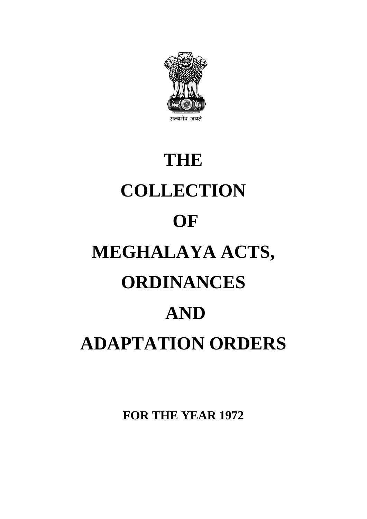

# **THE COLLECTION OF MEGHALAYA ACTS, ORDINANCES AND ADAPTATION ORDERS**

**FOR THE YEAR 1972**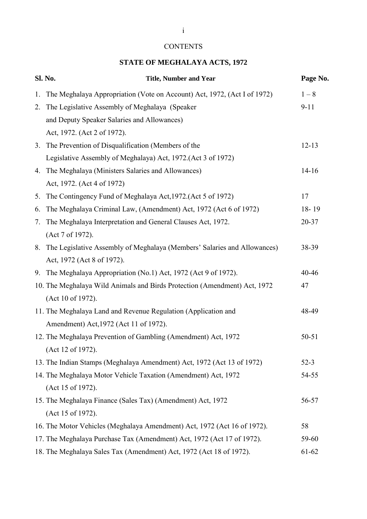## **CONTENTS**

## **STATE OF MEGHALAYA ACTS, 1972**

|    | Sl. No.<br><b>Title, Number and Year</b>                                    | Page No.  |
|----|-----------------------------------------------------------------------------|-----------|
| 1. | The Meghalaya Appropriation (Vote on Account) Act, 1972, (Act I of 1972)    | $1 - 8$   |
| 2. | The Legislative Assembly of Meghalaya (Speaker                              | $9 - 11$  |
|    | and Deputy Speaker Salaries and Allowances)                                 |           |
|    | Act, 1972. (Act 2 of 1972).                                                 |           |
| 3. | The Prevention of Disqualification (Members of the                          | $12 - 13$ |
|    | Legislative Assembly of Meghalaya) Act, 1972. (Act 3 of 1972)               |           |
|    | 4. The Meghalaya (Ministers Salaries and Allowances)                        | $14-16$   |
|    | Act, 1972. (Act 4 of 1972)                                                  |           |
| 5. | The Contingency Fund of Meghalaya Act, 1972. (Act 5 of 1972)                | 17        |
| 6. | The Meghalaya Criminal Law, (Amendment) Act, 1972 (Act 6 of 1972)           | 18-19     |
| 7. | The Meghalaya Interpretation and General Clauses Act, 1972.                 | 20-37     |
|    | (Act 7 of 1972).                                                            |           |
|    | 8. The Legislative Assembly of Meghalaya (Members' Salaries and Allowances) | 38-39     |
|    | Act, 1972 (Act 8 of 1972).                                                  |           |
|    | 9. The Meghalaya Appropriation (No.1) Act, 1972 (Act 9 of 1972).            | 40-46     |
|    | 10. The Meghalaya Wild Animals and Birds Protection (Amendment) Act, 1972   | 47        |
|    | (Act 10 of 1972).                                                           |           |
|    | 11. The Meghalaya Land and Revenue Regulation (Application and              | 48-49     |
|    | Amendment) Act, 1972 (Act 11 of 1972).                                      |           |
|    | 12. The Meghalaya Prevention of Gambling (Amendment) Act, 1972              | $50 - 51$ |
|    | (Act 12 of 1972).                                                           |           |
|    | 13. The Indian Stamps (Meghalaya Amendment) Act, 1972 (Act 13 of 1972)      | $52-3$    |
|    | 14. The Meghalaya Motor Vehicle Taxation (Amendment) Act, 1972              | 54-55     |
|    | (Act 15 of 1972).                                                           |           |
|    | 15. The Meghalaya Finance (Sales Tax) (Amendment) Act, 1972                 | 56-57     |
|    | (Act 15 of 1972).                                                           |           |
|    | 16. The Motor Vehicles (Meghalaya Amendment) Act, 1972 (Act 16 of 1972).    | 58        |
|    | 17. The Meghalaya Purchase Tax (Amendment) Act, 1972 (Act 17 of 1972).      | 59-60     |
|    | 18. The Meghalaya Sales Tax (Amendment) Act, 1972 (Act 18 of 1972).         | 61-62     |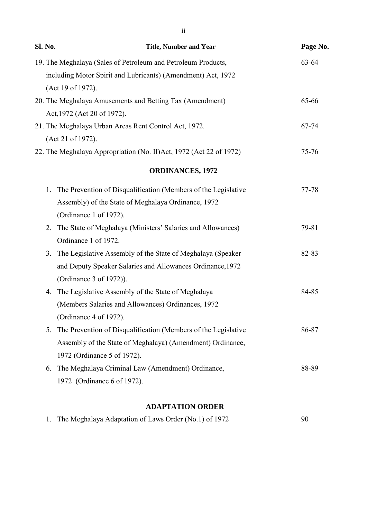| Sl. No. | <b>Title, Number and Year</b>                                      | Page No.  |
|---------|--------------------------------------------------------------------|-----------|
|         | 19. The Meghalaya (Sales of Petroleum and Petroleum Products,      | 63-64     |
|         | including Motor Spirit and Lubricants) (Amendment) Act, 1972       |           |
|         | (Act 19 of 1972).                                                  |           |
|         | 20. The Meghalaya Amusements and Betting Tax (Amendment)           | 65-66     |
|         | Act, 1972 (Act 20 of 1972).                                        |           |
|         | 21. The Meghalaya Urban Areas Rent Control Act, 1972.              | 67-74     |
|         | (Act 21 of 1972).                                                  |           |
|         | 22. The Meghalaya Appropriation (No. II)Act, 1972 (Act 22 of 1972) | $75 - 76$ |
|         | <b>ORDINANCES, 1972</b>                                            |           |
| 1.      | The Prevention of Disqualification (Members of the Legislative     | 77-78     |
|         | Assembly) of the State of Meghalaya Ordinance, 1972                |           |
|         | (Ordinance 1 of 1972).                                             |           |
| 2.      | The State of Meghalaya (Ministers' Salaries and Allowances)        | 79-81     |
|         | Ordinance 1 of 1972.                                               |           |
| 3.      | The Legislative Assembly of the State of Meghalaya (Speaker        | 82-83     |
|         | and Deputy Speaker Salaries and Allowances Ordinance, 1972         |           |
|         | (Ordinance 3 of 1972)).                                            |           |
| 4.      | The Legislative Assembly of the State of Meghalaya                 | 84-85     |
|         | (Members Salaries and Allowances) Ordinances, 1972                 |           |
|         | (Ordinance 4 of 1972).                                             |           |
| 5.      | The Prevention of Disqualification (Members of the Legislative     | 86-87     |
|         | Assembly of the State of Meghalaya) (Amendment) Ordinance,         |           |
|         | 1972 (Ordinance 5 of 1972).                                        |           |
| 6.      | The Meghalaya Criminal Law (Amendment) Ordinance,                  | 88-89     |
|         | 1972 (Ordinance 6 of 1972).                                        |           |
|         |                                                                    |           |

## **ADAPTATION ORDER**

|  | 1. The Meghalaya Adaptation of Laws Order (No.1) of 1972 | 90 |
|--|----------------------------------------------------------|----|
|--|----------------------------------------------------------|----|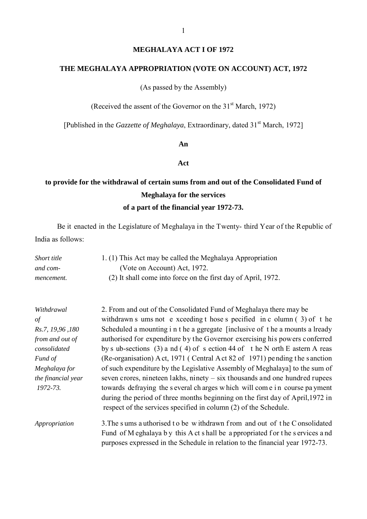#### **MEGHALAYA ACT I OF 1972**

#### **THE MEGHALAYA APPROPRIATION (VOTE ON ACCOUNT) ACT, 1972**

(As passed by the Assembly)

(Received the assent of the Governor on the  $31<sup>st</sup>$  March, 1972)

[Published in the *Gazzette of Meghalaya*, Extraordinary, dated 31<sup>st</sup> March, 1972]

#### **An**

#### **Act**

## **to provide for the withdrawal of certain sums from and out of the Consolidated Fund of Meghalaya for the services of a part of the financial year 1972-73.**

Be it enacted in the Legislature of Meghalaya in the Twenty- third Year of the Republic of India as follows:

| Short title | 1. (1) This Act may be called the Meghalaya Appropriation     |
|-------------|---------------------------------------------------------------|
| and com-    | (Vote on Account) Act, 1972.                                  |
| mencement.  | (2) It shall come into force on the first day of April, 1972. |

| Withdrawal         | 2. From and out of the Consolidated Fund of Meghalaya there may be             |
|--------------------|--------------------------------------------------------------------------------|
| $\sigma f$         | withdrawn s ums not e xceeding t hose s pecified in c olumn $(3)$ of t he      |
| Rs.7, 19,96,180    | Scheduled a mounting i n t he a ggregate [inclusive of t he a mounts a lready  |
| from and out of    | authorised for expenditure by the Governor exercising his powers conferred     |
| consolidated       | by s ub-sections (3) a nd (4) of s ection 44 of the N orth E astern A reas     |
| Fund of            | (Re-organisation) A ct, 1971 (Central A ct 82 of 1971) pending the sanction    |
| Meghalaya for      | of such expenditure by the Legislative Assembly of Meghalaya] to the sum of    |
| the financial year | seven crores, nineteen lakhs, ninety $-$ six thousands and one hundred rupees  |
| 1972-73.           | towards defraying the several charges which will come in course payment        |
|                    | during the period of three months beginning on the first day of April, 1972 in |
|                    | respect of the services specified in column (2) of the Schedule.               |
| Appropriation      | 3. The sums a uthorised to be withdrawn from and out of the Consolidated       |

Fund of M eghalaya b y this A ct s hall be a ppropriated f or the s ervices a nd purposes expressed in the Schedule in relation to the financial year 1972-73.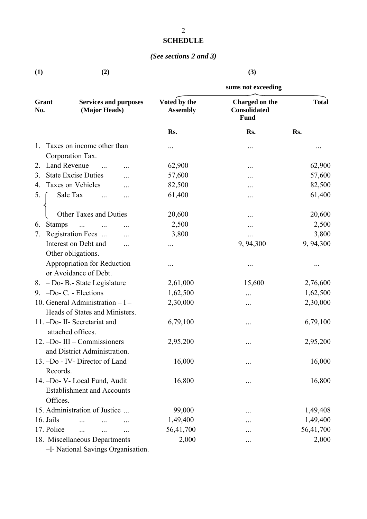## **SCHEDULE**

## *(See sections 2 and 3)*

| (1) | (2) | (3) |
|-----|-----|-----|
|     |     |     |

|                           |                                               |                                 | sums not exceeding                            |              |
|---------------------------|-----------------------------------------------|---------------------------------|-----------------------------------------------|--------------|
| Grant<br>No.              | <b>Services and purposes</b><br>(Major Heads) | Voted by the<br><b>Assembly</b> | Charged on the<br>Consolidated<br><b>Fund</b> | <b>Total</b> |
|                           |                                               | Rs.                             | Rs.                                           | Rs.          |
| 1.                        | Taxes on income other than                    |                                 |                                               |              |
|                           | Corporation Tax.                              |                                 |                                               |              |
| <b>Land Revenue</b><br>2. | $\cdots$                                      | 62,900                          |                                               | 62,900       |
| 3.                        | <b>State Excise Duties</b>                    | 57,600                          |                                               | 57,600       |
| 4.                        | Taxes on Vehicles                             | 82,500                          |                                               | 82,500       |
| 5.                        | Sale Tax<br>                                  | 61,400                          |                                               | 61,400       |
|                           | Other Taxes and Duties                        | 20,600                          |                                               | 20,600       |
| <b>Stamps</b><br>6.       | $\ddots$                                      | 2,500                           |                                               | 2,500        |
| 7.                        | Registration Fees                             | 3,800                           |                                               | 3,800        |
|                           | Interest on Debt and<br>$\ddotsc$             |                                 | 9, 94, 300                                    | 9, 94, 300   |
|                           | Other obligations.                            |                                 |                                               |              |
|                           | Appropriation for Reduction                   |                                 |                                               |              |
|                           | or Avoidance of Debt.                         |                                 |                                               |              |
|                           | 8. - Do- B.- State Legislature                | 2,61,000                        | 15,600                                        | 2,76,600     |
|                           | 9. $-Do-C.$ - Elections                       | 1,62,500                        |                                               | 1,62,500     |
|                           | 10. General Administration $-I -$             | 2,30,000                        |                                               | 2,30,000     |
|                           | Heads of States and Ministers.                |                                 |                                               |              |
|                           | 11. -Do- II- Secretariat and                  | 6,79,100                        |                                               | 6,79,100     |
|                           | attached offices.                             |                                 |                                               |              |
|                           | 12. -Do- III - Commissioners                  | 2,95,200                        |                                               | 2,95,200     |
|                           | and District Administration.                  |                                 |                                               |              |
|                           | 13. -Do - IV- Director of Land                | 16,000                          |                                               | 16,000       |
| Records.                  |                                               |                                 |                                               |              |
|                           | 14. -Do- V- Local Fund, Audit                 | 16,800                          |                                               | 16,800       |
|                           | <b>Establishment and Accounts</b>             |                                 |                                               |              |
| Offices.                  |                                               |                                 |                                               |              |
|                           | 15. Administration of Justice                 | 99,000                          |                                               | 1,49,408     |
| 16. Jails                 |                                               | 1,49,400                        |                                               | 1,49,400     |
| 17. Police                | $\cdots$<br>$\ddotsc$<br>                     | 56,41,700                       |                                               | 56,41,700    |
|                           | 18. Miscellaneous Departments                 | 2,000                           |                                               | 2,000        |
|                           | -I- National Savings Organisation.            |                                 |                                               |              |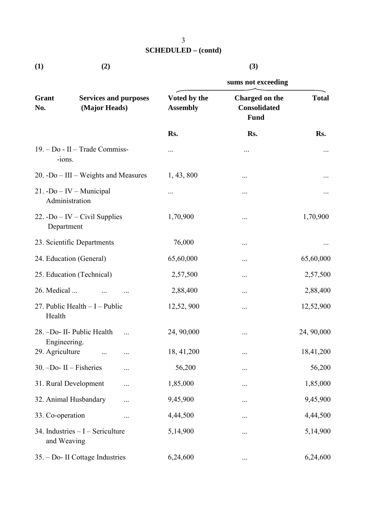| (1) | (2) | (3) |
|-----|-----|-----|

|                                 |                                               | sums not exceeding              |                                               |              |  |
|---------------------------------|-----------------------------------------------|---------------------------------|-----------------------------------------------|--------------|--|
| Grant<br>No.                    | <b>Services and purposes</b><br>(Major Heads) | Voted by the<br><b>Assembly</b> | Charged on the<br><b>Consolidated</b><br>Fund | <b>Total</b> |  |
|                                 |                                               | Rs.                             | Rs.                                           | Rs.          |  |
| -ions.                          | 19. – Do - II – Trade Commiss-                |                                 |                                               |              |  |
|                                 | 20. -Do $-$ III $-$ Weights and Measures      | 1, 43, 800                      |                                               |              |  |
|                                 | $21. -Do - IV - Municipal$<br>Administration  |                                 |                                               |              |  |
| Department                      | 22. -Do – IV – Civil Supplies                 | 1,70,900                        |                                               | 1,70,900     |  |
|                                 | 23. Scientific Departments                    | 76,000                          |                                               |              |  |
|                                 | 24. Education (General)                       | 65,60,000                       |                                               | 65,60,000    |  |
|                                 | 25. Education (Technical)                     | 2,57,500                        |                                               | 2,57,500     |  |
| 26. Medical                     |                                               | 2,88,400                        |                                               | 2,88,400     |  |
| Health                          | 27. Public Health $-I$ – Public               | 12,52, 900                      |                                               | 12,52,900    |  |
|                                 | 28. -Do- II- Public Health                    | 24, 90,000                      |                                               | 24, 90,000   |  |
| Engineering.<br>29. Agriculture | $\cdots$<br>$\cdots$                          | 18, 41, 200                     | $\ddotsc$                                     | 18,41,200    |  |
|                                 | $30. -Do- II-Fisheries$<br>                   | 56,200                          |                                               | 56,200       |  |
|                                 | 31. Rural Development<br>                     | 1,85,000                        |                                               | 1,85,000     |  |
|                                 | 32. Animal Husbandary<br>                     | 9,45,900                        |                                               | 9,45,900     |  |
| 33. Co-operation                |                                               | 4,44,500                        |                                               | 4,44,500     |  |
| and Weaving                     | 34. Industries $-I$ – Sericulture             | 5,14,900                        |                                               | 5,14,900     |  |
|                                 | 35. – Do- II Cottage Industries               | 6,24,600                        |                                               | 6,24,600     |  |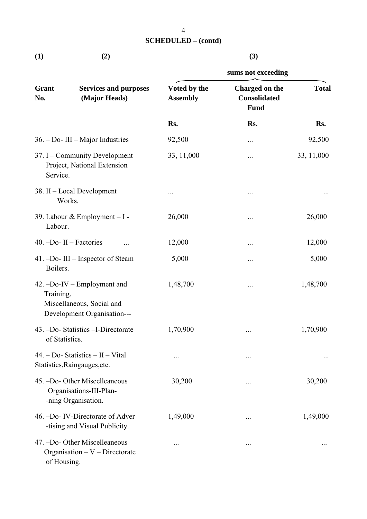| $\bf(1)$ | (2) | (3) |
|----------|-----|-----|
|          |     |     |

|                |                                                                                         | sums not exceeding              |                                                      |              |  |
|----------------|-----------------------------------------------------------------------------------------|---------------------------------|------------------------------------------------------|--------------|--|
| Grant<br>No.   | <b>Services and purposes</b><br>(Major Heads)                                           | Voted by the<br><b>Assembly</b> | Charged on the<br><b>Consolidated</b><br><b>Fund</b> | <b>Total</b> |  |
|                |                                                                                         | Rs.                             | Rs.                                                  | Rs.          |  |
|                | $36. - Do$ - III – Major Industries                                                     | 92,500                          |                                                      | 92,500       |  |
| Service.       | 37. I – Community Development<br>Project, National Extension                            | 33, 11,000                      |                                                      | 33, 11,000   |  |
|                | 38. II – Local Development<br>Works.                                                    |                                 |                                                      |              |  |
| Labour.        | 39. Labour & Employment - I -                                                           | 26,000                          | $\cdots$                                             | 26,000       |  |
|                | $40. -Do- II-Factories$<br>                                                             | 12,000                          | $\cdots$                                             | 12,000       |  |
| Boilers.       | 41. -Do- III - Inspector of Steam                                                       | 5,000                           |                                                      | 5,000        |  |
| Training.      | $42. -Do-IV-Employment$ and<br>Miscellaneous, Social and<br>Development Organisation--- | 1,48,700                        |                                                      | 1,48,700     |  |
| of Statistics. | 43. -Do- Statistics -I-Directorate                                                      | 1,70,900                        |                                                      | 1,70,900     |  |
|                | $44. - Do- Statistics - II - Vital$<br>Statistics, Raingauges, etc.                     |                                 | $\ddotsc$                                            |              |  |
|                | 45. -Do- Other Miscelleaneous<br>Organisations-III-Plan-<br>-ning Organisation.         | 30,200                          | $\ddotsc$                                            | 30,200       |  |
|                | 46. -Do- IV-Directorate of Adver<br>-tising and Visual Publicity.                       | 1,49,000                        |                                                      | 1,49,000     |  |
| of Housing.    | 47. -Do- Other Miscelleaneous<br>Organisation $-V$ – Directorate                        |                                 | $\ddotsc$                                            |              |  |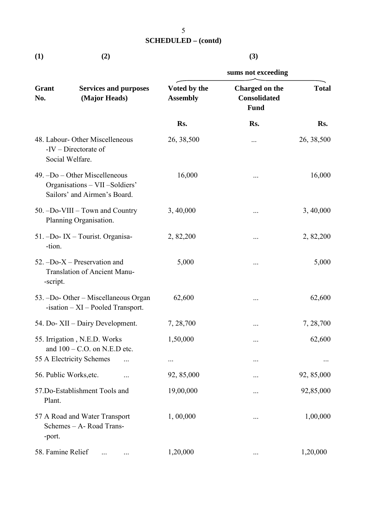| $\bf(1)$ | (2) | (3) |
|----------|-----|-----|
|          |     |     |

|                                                                                    |                                                                                                   | sums not exceeding              |                                                      |              |  |  |
|------------------------------------------------------------------------------------|---------------------------------------------------------------------------------------------------|---------------------------------|------------------------------------------------------|--------------|--|--|
| Grant<br>No.                                                                       | <b>Services and purposes</b><br>(Major Heads)                                                     | Voted by the<br><b>Assembly</b> | Charged on the<br><b>Consolidated</b><br><b>Fund</b> | <b>Total</b> |  |  |
|                                                                                    |                                                                                                   | Rs.                             | Rs.                                                  | Rs.          |  |  |
|                                                                                    | 48. Labour- Other Miscelleneous<br>$-IV$ – Directorate of<br>Social Welfare.                      | 26, 38, 500                     | .                                                    | 26, 38, 500  |  |  |
|                                                                                    | $49. -Do - Other Miscellaneous$<br>Organisations - VII -Soldiers'<br>Sailors' and Airmen's Board. | 16,000                          |                                                      | 16,000       |  |  |
|                                                                                    | 50. -Do-VIII - Town and Country<br>Planning Organisation.                                         | 3, 40,000                       |                                                      | 3, 40,000    |  |  |
| -tion.                                                                             | 51. -Do- IX - Tourist. Organisa-                                                                  | 2, 82, 200                      |                                                      | 2, 82, 200   |  |  |
| 52. $-$ Do-X – Preservation and<br><b>Translation of Ancient Manu-</b><br>-script. |                                                                                                   | 5,000                           |                                                      | 5,000        |  |  |
| 53. -Do- Other – Miscellaneous Organ<br>$-$ isation $- XI - P$ ooled Transport.    |                                                                                                   | 62,600                          | $\cdots$                                             | 62,600       |  |  |
| 54. Do- XII – Dairy Development.                                                   |                                                                                                   | 7, 28, 700                      |                                                      | 7, 28, 700   |  |  |
| 55. Irrigation, N.E.D. Works<br>and $100 - C.O.$ on N.E.D etc.                     |                                                                                                   | 1,50,000                        |                                                      | 62,600       |  |  |
|                                                                                    | 55 A Electricity Schemes                                                                          |                                 |                                                      |              |  |  |
| 56. Public Works, etc.                                                             |                                                                                                   | 92, 85,000                      |                                                      | 92, 85,000   |  |  |
| 57.Do-Establishment Tools and<br>Plant.                                            |                                                                                                   | 19,00,000                       |                                                      | 92,85,000    |  |  |
| -port.                                                                             | 57 A Road and Water Transport<br>Schemes - A- Road Trans-                                         | 1,00,000                        |                                                      | 1,00,000     |  |  |
| 58. Famine Relief                                                                  |                                                                                                   | 1,20,000                        | $\cdots$                                             | 1,20,000     |  |  |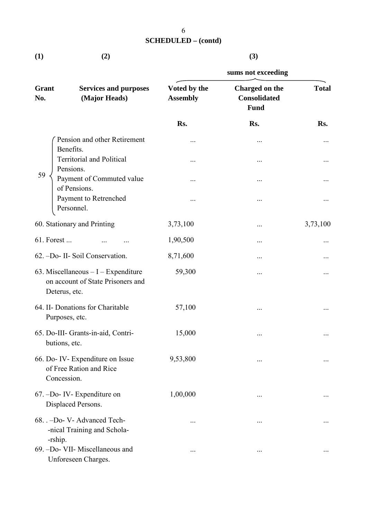**(1) (2) (3)**

|                                                     |                                                                           | sums not exceeding              |                                                      |              |  |  |
|-----------------------------------------------------|---------------------------------------------------------------------------|---------------------------------|------------------------------------------------------|--------------|--|--|
| Grant<br>No.                                        | <b>Services and purposes</b><br>(Major Heads)                             | Voted by the<br><b>Assembly</b> | Charged on the<br><b>Consolidated</b><br><b>Fund</b> | <b>Total</b> |  |  |
|                                                     |                                                                           | Rs.                             | Rs.                                                  | Rs.          |  |  |
|                                                     | Pension and other Retirement<br>Benefits.                                 |                                 |                                                      |              |  |  |
|                                                     | <b>Territorial and Political</b><br>Pensions.                             |                                 | $\cdots$                                             |              |  |  |
| 59                                                  | Payment of Commuted value<br>of Pensions.                                 |                                 | $\cdots$                                             |              |  |  |
|                                                     | Payment to Retrenched<br>Personnel.                                       |                                 |                                                      |              |  |  |
|                                                     | 60. Stationary and Printing                                               | 3,73,100                        | $\cdots$                                             | 3,73,100     |  |  |
| 61. Forest                                          |                                                                           | 1,90,500                        |                                                      |              |  |  |
|                                                     | 62. -Do- II- Soil Conservation.                                           | 8,71,600                        |                                                      |              |  |  |
| Deterus, etc.                                       | 63. Miscellaneous $-I$ – Expenditure<br>on account of State Prisoners and | 59,300                          |                                                      |              |  |  |
| Purposes, etc.                                      | 64. II- Donations for Charitable                                          | 57,100                          |                                                      |              |  |  |
| 65. Do-III- Grants-in-aid, Contri-<br>butions, etc. |                                                                           | 15,000                          | $\cdots$                                             |              |  |  |
| Concession.                                         | 66. Do- IV- Expenditure on Issue<br>of Free Ration and Rice               | 9,53,800                        |                                                      |              |  |  |
|                                                     | $67. -Do- IV- Expenditure on$<br>Displaced Persons.                       | 1,00,000                        | $\cdots$                                             |              |  |  |
| -rship.                                             | 68. . -Do- V- Advanced Tech-<br>-nical Training and Schola-               |                                 | $\cdots$                                             |              |  |  |
|                                                     | 69. -Do- VII- Miscellaneous and<br>Unforeseen Charges.                    |                                 | $\ddotsc$                                            |              |  |  |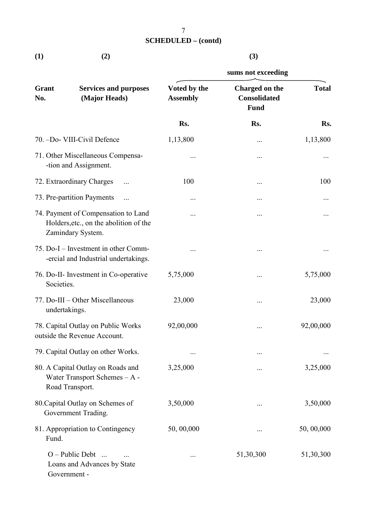| $\bf(1)$ | (2) | (3) |
|----------|-----|-----|

|                                                                    |                                                                                                    | sums not exceeding              |                                                      |              |  |  |
|--------------------------------------------------------------------|----------------------------------------------------------------------------------------------------|---------------------------------|------------------------------------------------------|--------------|--|--|
| Grant<br>No.                                                       | <b>Services and purposes</b><br>(Major Heads)                                                      | Voted by the<br><b>Assembly</b> | Charged on the<br><b>Consolidated</b><br><b>Fund</b> | <b>Total</b> |  |  |
|                                                                    |                                                                                                    | Rs.                             | Rs.                                                  | Rs.          |  |  |
|                                                                    | 70. -Do- VIII-Civil Defence                                                                        | 1,13,800                        |                                                      | 1,13,800     |  |  |
|                                                                    | 71. Other Miscellaneous Compensa-<br>-tion and Assignment.                                         |                                 |                                                      |              |  |  |
|                                                                    | 72. Extraordinary Charges                                                                          | 100                             |                                                      | 100          |  |  |
|                                                                    | 73. Pre-partition Payments<br>$\cdots$                                                             |                                 |                                                      |              |  |  |
|                                                                    | 74. Payment of Compensation to Land<br>Holders, etc., on the abolition of the<br>Zamindary System. |                                 |                                                      |              |  |  |
|                                                                    | 75. Do-I – Investment in other Comm-<br>-ercial and Industrial undertakings.                       |                                 |                                                      |              |  |  |
| Societies.                                                         | 76. Do-II- Investment in Co-operative                                                              | 5,75,000                        |                                                      | 5,75,000     |  |  |
| undertakings.                                                      | 77. Do-III - Other Miscellaneous                                                                   | 23,000                          |                                                      | 23,000       |  |  |
| 78. Capital Outlay on Public Works<br>outside the Revenue Account. |                                                                                                    | 92,00,000                       |                                                      | 92,00,000    |  |  |
|                                                                    | 79. Capital Outlay on other Works.                                                                 |                                 |                                                      |              |  |  |
|                                                                    | 80. A Capital Outlay on Roads and<br>Water Transport Schemes - A -<br>Road Transport.              | 3,25,000                        |                                                      | 3,25,000     |  |  |
| 80. Capital Outlay on Schemes of<br>Government Trading.            |                                                                                                    | 3,50,000                        |                                                      | 3,50,000     |  |  |
| Fund.                                                              | 81. Appropriation to Contingency                                                                   | 50, 00,000                      |                                                      | 50, 00,000   |  |  |
|                                                                    | $O - Public$ Debt<br>Loans and Advances by State<br>Government -                                   |                                 | 51,30,300                                            | 51,30,300    |  |  |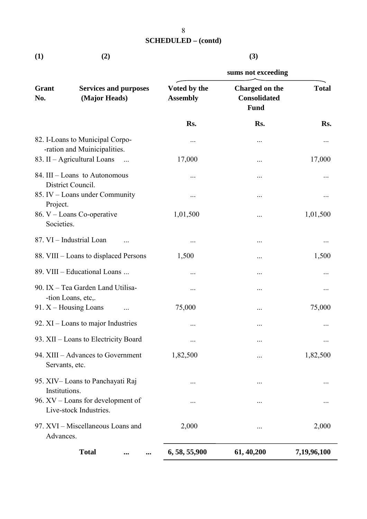**(1) (2) (3)**

|                                      |                                                                 | sums not exceeding              |                                                      |              |  |  |
|--------------------------------------|-----------------------------------------------------------------|---------------------------------|------------------------------------------------------|--------------|--|--|
| Grant<br>No.                         | <b>Services and purposes</b><br>(Major Heads)                   | Voted by the<br><b>Assembly</b> | Charged on the<br><b>Consolidated</b><br><b>Fund</b> | <b>Total</b> |  |  |
|                                      |                                                                 | Rs.                             | Rs.                                                  | Rs.          |  |  |
|                                      | 82. I-Loans to Municipal Corpo-<br>-ration and Muinicipalities. |                                 | $\cdots$                                             |              |  |  |
|                                      | 83. II - Agricultural Loans<br>$\ddots$                         | 17,000                          | $\cdots$                                             | 17,000       |  |  |
|                                      | 84. III – Loans to Autonomous<br>District Council.              |                                 | $\cdots$                                             |              |  |  |
| Project.                             | 85. IV – Loans under Community                                  |                                 | $\ddotsc$                                            |              |  |  |
| Societies.                           | 86. V – Loans Co-operative                                      | 1,01,500                        |                                                      | 1,01,500     |  |  |
|                                      | 87. VI - Industrial Loan                                        |                                 | $\cdots$                                             |              |  |  |
|                                      | 88. VIII – Loans to displaced Persons                           | 1,500                           |                                                      | 1,500        |  |  |
|                                      | 89. VIII - Educational Loans                                    |                                 |                                                      |              |  |  |
|                                      | 90. IX - Tea Garden Land Utilisa-<br>-tion Loans, etc,.         |                                 | $\cdots$                                             |              |  |  |
|                                      | 91. $X$ – Housing Loans                                         | 75,000                          |                                                      | 75,000       |  |  |
| 92. $XI$ – Loans to major Industries |                                                                 |                                 |                                                      |              |  |  |
|                                      | 93. XII - Loans to Electricity Board                            | $\cdots$                        |                                                      |              |  |  |
| Servants, etc.                       | 94. XIII - Advances to Government                               | 1,82,500                        |                                                      | 1,82,500     |  |  |
| Institutions.                        | 95. XIV – Loans to Panchayati Raj                               |                                 | $\cdots$                                             |              |  |  |
|                                      | 96. XV - Loans for development of<br>Live-stock Industries.     |                                 |                                                      |              |  |  |
| Advances.                            | 97. XVI – Miscellaneous Loans and                               | 2,000                           | $\cdots$                                             | 2,000        |  |  |
|                                      | <b>Total</b><br>$\ddotsc$<br>                                   | 6, 58, 55, 900                  | 61, 40, 200                                          | 7,19,96,100  |  |  |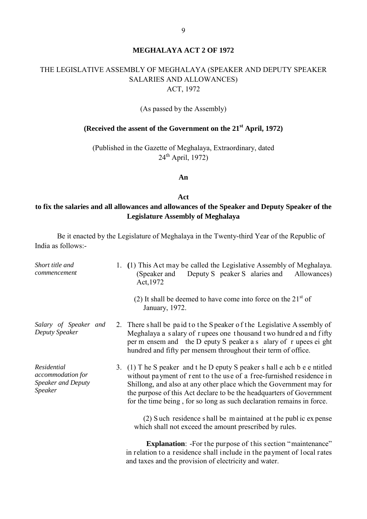#### **MEGHALAYA ACT 2 OF 1972**

## THE LEGISLATIVE ASSEMBLY OF MEGHALAYA (SPEAKER AND DEPUTY SPEAKER SALARIES AND ALLOWANCES) ACT, 1972

(As passed by the Assembly)

## **(Received the assent of the Government on the 21st April, 1972)**

(Published in the Gazette of Meghalaya, Extraordinary, dated 24th April, 1972)

#### **An**

#### **Act**

## **to fix the salaries and all allowances and allowances of the Speaker and Deputy Speaker of the Legislature Assembly of Meghalaya**

Be it enacted by the Legislature of Meghalaya in the Twenty-third Year of the Republic of India as follows:-

| Short title and<br>commencement                                                 | 1. (1) This Act may be called the Legislative Assembly of Meghalaya.<br>Deputy S peaker S alaries and<br>(Speaker and<br>Allowances)<br>Act, 1972                                                                                                                                                                                                                       |
|---------------------------------------------------------------------------------|-------------------------------------------------------------------------------------------------------------------------------------------------------------------------------------------------------------------------------------------------------------------------------------------------------------------------------------------------------------------------|
|                                                                                 | (2) It shall be deemed to have come into force on the $21st$ of<br>January, 1972.                                                                                                                                                                                                                                                                                       |
| Salary of Speaker and<br>Deputy Speaker                                         | 2. There shall be paid to the Speaker of the Legislative Assembly of<br>Meghalaya a salary of rupees one thousand two hundred and fifty<br>per m ensem and the D eputy S peaker a s alary of r upees ei ght<br>hundred and fifty per mensem throughout their term of office.                                                                                            |
| Residential<br>accommodation for<br><b>Speaker and Deputy</b><br><b>Speaker</b> | 3. (1) T he S peaker and t he D eputy S peaker s hall e ach b e e ntitled<br>without payment of rent to the use of a free-furnished residence in<br>Shillong, and also at any other place which the Government may for<br>the purpose of this Act declare to be the headquarters of Government<br>for the time being, for so long as such declaration remains in force. |
|                                                                                 | (2) Such residence shall be maintained at the public expense<br>which shall not exceed the amount prescribed by rules.                                                                                                                                                                                                                                                  |
|                                                                                 | <b>Explanation:</b> -For the purpose of this section "maintenance"<br>in relation to a residence shall include in the payment of local rates<br>and taxes and the provision of electricity and water.                                                                                                                                                                   |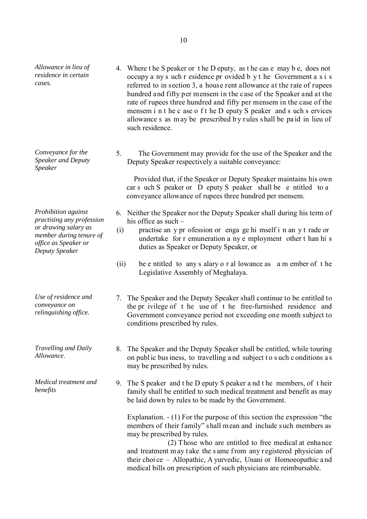*Allowance in lieu of residence in certain cases.*

*Conveyance for the Speaker and Deputy Speaker* 

*Prohibition against practising any profession or drawing salary as member during tenure of office as Speaker or Deputy Speaker*

*Use of residence and conveyance on relinquishing office.*

*Travelling and Daily* 

*Medical treatment and benefits*

- 4. Where t he S peaker or t he D eputy, as t he cas e may b e, does not occupy a ny s uch r esidence pr ovided b y t he Government a s i s referred to in section 3, a house rent allowance at the rate of rupees hundred and fifty per mensem in the case of the Speaker and at the rate of rupees three hundred and fifty per mensem in the case of the mensem i n t he c ase o f t he D eputy S peaker and s uch s ervices allowance s as m ay be prescribed b y r ules s hall be pa id in lieu of such residence.
- 5. The Government may provide for the use of the Speaker and the Deputy Speaker respectively a suitable conveyance:

 Provided that, if the Speaker or Deputy Speaker maintains his own car s uch S peaker or D eputy S peaker shall be e ntitled to a conveyance allowance of rupees three hundred per mensem.

- 6. Neither the Speaker nor the Deputy Speaker shall during his term of his office as such –
- (i) practise an y pr ofession or enga ge hi mself i n an y t rade or undertake for r emuneration a ny e mployment other t han hi s duties as Speaker or Deputy Speaker, or
- (ii) be e ntitled to any s alary o r al lowance as a m ember of t he Legislative Assembly of Meghalaya.
- 7. The Speaker and the Deputy Speaker shall continue to be entitled to the pr ivilege of t he use of t he free-furnished residence and Government conveyance period not exceeding one month subject to conditions prescribed by rules.
- *Travelling and Daily* 8. The Speaker and the Deputy Speaker shall be entitled, while touring *Allowance*. on publ ic bus iness, to travelling a nd subject t o s uch c onditions a s may be prescribed by rules.
	- 9. The S peaker and t he D eputy S peaker a nd t he members, of t heir family shall be entitled to such medical treatment and benefit as may be laid down by rules to be made by the Government.

Explanation. - (1) For the purpose of this section the expression "the members of their family" shall mean and include such members as may be prescribed by rules.

 (2) Those who are entitled to free medical at enhance and treatment m ay t ake the same from any r egistered physician of their choi ce – Allopathic, A yurvedic, Unani or Homoeopathic a nd medical bills on prescription of such physicians are reimbursable.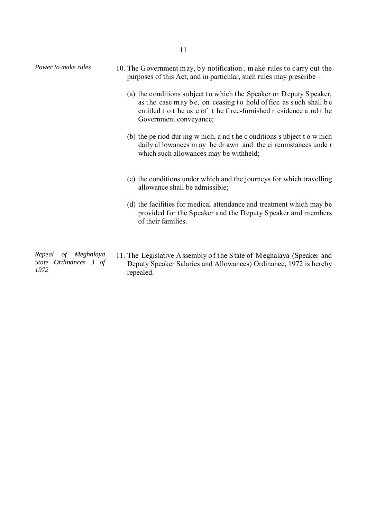| Power to make rules | 10. The Government may, by notification, make rules to carry out the<br>purposes of this Act, and in particular, such rules may prescribe –                                                                                            |
|---------------------|----------------------------------------------------------------------------------------------------------------------------------------------------------------------------------------------------------------------------------------|
|                     | (a) the conditions subject to which the Speaker or Deputy Speaker,<br>as the case may be, on ceasing to hold of fice as such shall be<br>entitled t o t he us e of t he f ree-furnished r esidence a nd t he<br>Government conveyance; |
|                     | (b) the pe riod during w hich, a nd t he c onditions s ubject to w hich<br>daily al lowances m ay be dr awn and the ci roumstances unde r<br>which such allowances may be withheld;                                                    |
|                     | (c) the conditions under which and the journeys for which travelling<br>allowance shall be admissible;                                                                                                                                 |
|                     | (d) the facilities for medical attendance and treatment which may be<br>provided for the Speaker and the Deputy Speaker and members<br>of their families.                                                                              |
| Repeal of Meghalaya | 11. The Legislative Assembly of the State of Meghalaya (Speaker and                                                                                                                                                                    |

*State Ordinances 3 of 1972* 

Deputy Speaker Salaries and Allowances) Ordinance, 1972 is hereby repealed.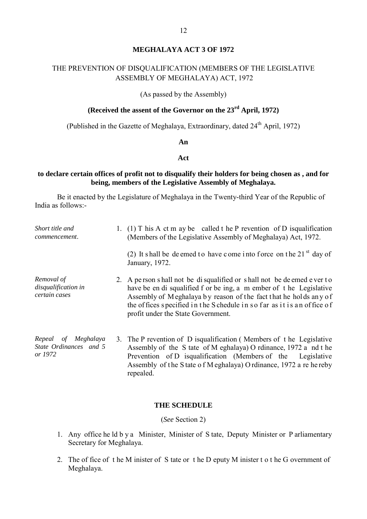#### **MEGHALAYA ACT 3 OF 1972**

## THE PREVENTION OF DISQUALIFICATION (MEMBERS OF THE LEGISLATIVE ASSEMBLY OF MEGHALAYA) ACT, 1972

(As passed by the Assembly)

## **(Received the assent of the Governor on the 23rd April, 1972)**

(Published in the Gazette of Meghalaya, Extraordinary, dated  $24<sup>th</sup>$  April, 1972)

**An** 

#### **Act**

#### **to declare certain offices of profit not to disqualify their holders for being chosen as , and for being, members of the Legislative Assembly of Meghalaya.**

Be it enacted by the Legislature of Meghalaya in the Twenty-third Year of the Republic of India as follows:-

| Short title and<br>commencement.                         | 1. (1) T his A ct m ay be called t he P revention of D isqualification<br>(Members of the Legislative Assembly of Meghalaya) Act, 1972.                                                                                                                                                                                        |
|----------------------------------------------------------|--------------------------------------------------------------------------------------------------------------------------------------------------------------------------------------------------------------------------------------------------------------------------------------------------------------------------------|
|                                                          | (2) It shall be deemed to have come into force on the 21 $^{\rm st}$ day of<br>January, 1972.                                                                                                                                                                                                                                  |
| Removal of<br>disqualification in<br>certain cases       | 2. A person shall not be disqualified or shall not be deemed ever to<br>have be en di squalified f or be ing, a m ember of t he Legislative<br>Assembly of Meghalaya by reason of the fact that he holds any of<br>the offices specified in the Schedule in so far as it is an office of<br>profit under the State Government. |
| Repeal of Meghalaya<br>State Ordinances and 5<br>or 1972 | 3. The P revention of D isqualification (Members of the Legislative<br>Assembly of the S tate of M eghalaya) O rdinance, 1972 a nd t he<br>Prevention of D isqualification (Members of the Legislative<br>Assembly of the State of Meghalaya) Ordinance, 1972 a re hereby<br>repealed.                                         |

#### **THE SCHEDULE**

(*See* Section 2)

- 1. Any office he ld b y a Minister, Minister of S tate, Deputy Minister or P arliamentary Secretary for Meghalaya.
- 2. The of fice of t he M inister of S tate or t he D eputy M inister t o t he G overnment of Meghalaya.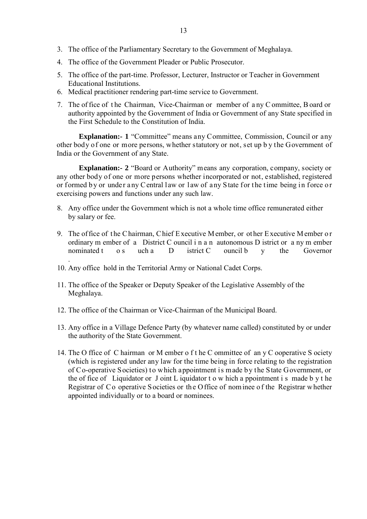- 3. The office of the Parliamentary Secretary to the Government of Meghalaya.
- 4. The office of the Government Pleader or Public Prosecutor.
- 5. The office of the part-time. Professor, Lecturer, Instructor or Teacher in Government Educational Institutions.
- 6. Medical practitioner rendering part-time service to Government.
- 7. The of fice of t he Chairman, Vice-Chairman or member of a ny C ommittee, B oard or authority appointed by the Government of India or Government of any State specified in the First Schedule to the Constitution of India.

**Explanation:- 1** "Committee" means any Committee, Commission, Council or any other body of one or more persons, whether statutory or not, set up b y the Government of India or the Government of any State.

**Explanation:- 2** "Board or Authority" means any corporation, company, society or any other body of one or more persons whether incorporated or not, established, registered or formed by or under any Central law or law of any State for the time being in force or exercising powers and functions under any such law.

- 8. Any office under the Government which is not a whole time office remunerated either by salary or fee.
- 9. The of fice of t he C hairman, C hief E xecutive M ember, or ot her E xecutive M ember o r ordinary m ember of a District C ouncil i n a n autonomous D istrict or a ny m ember nominated t os uch a  $D$  istrict C ouncil b  $v$  the Governor
- 10. Any office hold in the Territorial Army or National Cadet Corps.

.

- 11. The office of the Speaker or Deputy Speaker of the Legislative Assembly of the Meghalaya.
- 12. The office of the Chairman or Vice-Chairman of the Municipal Board.
- 13. Any office in a Village Defence Party (by whatever name called) constituted by or under the authority of the State Government.
- 14. The O ffice of C hairman or M ember o f t he C ommittee of an y C ooperative S ociety (which is registered under any law for the time being in force relating to the registration of Co-operative Societies) to which appointment is made by the State Government, or the of fice of Liquidator or J oint L iquidator t o w hich a ppointment i s made b y t he Registrar of Co operative Societies or the Office of nominee of the Registrar whether appointed individually or to a board or nominees.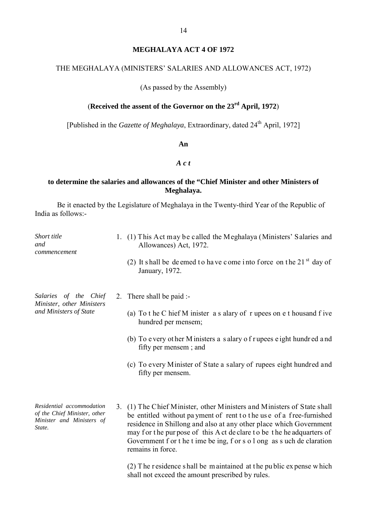#### **MEGHALAYA ACT 4 OF 1972**

#### THE MEGHALAYA (MINISTERS' SALARIES AND ALLOWANCES ACT, 1972)

(As passed by the Assembly)

## (**Received the assent of the Governor on the 23rd April, 1972**)

[Published in the *Gazette of Meghalaya*, Extraordinary, dated 24<sup>th</sup> April, 1972]

#### **An**

#### *A c t*

## **to determine the salaries and allowances of the "Chief Minister and other Ministers of Meghalaya.**

Be it enacted by the Legislature of Meghalaya in the Twenty-third Year of the Republic of India as follows:-

| Short title<br>and<br>commencement                                  | 1. (1) This Act may be called the Meghalaya (Ministers' Salaries and<br>Allowances) Act, 1972.                                                                                                                                                                                             |
|---------------------------------------------------------------------|--------------------------------------------------------------------------------------------------------------------------------------------------------------------------------------------------------------------------------------------------------------------------------------------|
|                                                                     | (2) It shall be deemed to have come into force on the 21 <sup>st</sup> day of<br>January, 1972.                                                                                                                                                                                            |
| Salaries of the Chief<br>Minister, other Ministers                  | 2. There shall be paid :-                                                                                                                                                                                                                                                                  |
| and Ministers of State                                              | (a) To t he C hief M inister a s alary of r upees on e t housand f ive<br>hundred per mensem;                                                                                                                                                                                              |
|                                                                     | (b) To every ot her M inisters a salary of rupees eight hundred and<br>fifty per mensem; and                                                                                                                                                                                               |
|                                                                     | (c) To every Minister of State a salary of rupees eight hundred and<br>fifty per mensem.                                                                                                                                                                                                   |
| Residential accommodation                                           | 3. (1) The Chief Minister, other Ministers and Ministers of State shall                                                                                                                                                                                                                    |
| of the Chief Minister, other<br>Minister and Ministers of<br>State. | be entitled without payment of rent to the use of a free-furnished<br>residence in Shillong and also at any other place which Government<br>may for the purpose of this A ct de clare to be the headquarters of<br>Government f or t he t ime be ing, f or s o l ong as s uch de claration |

remains in force.

(2) T he r esidence s hall be m aintained at t he pu blic ex pense w hich shall not exceed the amount prescribed by rules.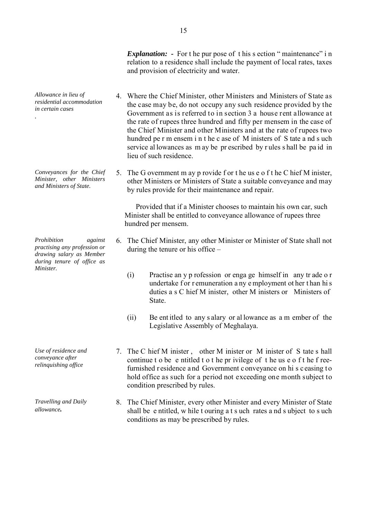*Explanation:* - For the pur pose of this s ection " maintenance" in relation to a residence shall include the payment of local rates, taxes and provision of electricity and water.

- 4. Where the Chief Minister, other Ministers and Ministers of State as the case may be, do not occupy any such residence provided by the Government as is referred to in section 3 a house rent allowance at the rate of rupees three hundred and fifty per mensem in the case of the Chief Minister and other Ministers and at the rate of rupees two hundred pe r m ensem i n t he c ase of M inisters of S tate a nd s uch service al lowances as m ay be pr escribed by r ules s hall be pa id in lieu of such residence.
- 5. The G overnment m ay p rovide f or t he us e o f t he C hief M inister, other Ministers or Ministers of State a suitable conveyance and may by rules provide for their maintenance and repair.

 Provided that if a Minister chooses to maintain his own car, such Minister shall be entitled to conveyance allowance of rupees three hundred per mensem.

- 6. The Chief Minister, any other Minister or Minister of State shall not during the tenure or his office –
	- (i) Practise an y p rofession or enga ge himself in any tr ade o r undertake for r emuneration a ny e mployment ot her than hi s duties a s C hief M inister, other M inisters or Ministers of State.
	- (ii) Be ent itled to any s alary or al lowance as a m ember of the Legislative Assembly of Meghalaya.
- 7. The C hief M inister , other M inister or M inister of S tate s hall continue t o be e ntitled t o t he pr ivilege of t he us e o f t he f reefurnished r esidence a nd Government c onveyance on hi s c easing t o hold office as such for a period not exceeding one month subject to condition prescribed by rules.
- *allowance* **and Daily** 8. The Chief Minister, every other Minister and every Minister of State *allowance*. shall be e ntitled, w hile t ouring a t s uch rates a nd s ubject to s uch conditions as may be prescribed by rules.

*Allowance in lieu of residential accommodation in certain cases*

*.* 

*Conveyances for the Chief Minister, other Ministers and Ministers of State.*

*Prohibition against practising any profession or drawing salary as Member during tenure of office as Minister.* 

*Use of residence and conveyance after relinquishing office*

*Travelling and Daily*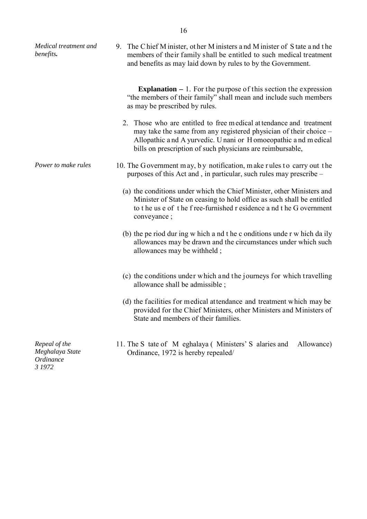| Medical treatment and<br>benefits.                      | 9. The C hief M inister, other M inisters and M inister of S tate and the<br>members of their family shall be entitled to such medical treatment<br>and benefits as may laid down by rules to by the Government.                                                      |
|---------------------------------------------------------|-----------------------------------------------------------------------------------------------------------------------------------------------------------------------------------------------------------------------------------------------------------------------|
|                                                         | <b>Explanation –</b> 1. For the purpose of this section the expression<br>"the members of their family" shall mean and include such members<br>as may be prescribed by rules.                                                                                         |
|                                                         | 2. Those who are entitled to free medical attendance and treatment<br>may take the same from any registered physician of their choice –<br>Allopathic and A yurvedic. Unani or Homoeopathic and medical<br>bills on prescription of such physicians are reimbursable, |
| Power to make rules                                     | 10. The G overnment may, by notification, make rules to carry out the<br>purposes of this Act and, in particular, such rules may prescribe –                                                                                                                          |
|                                                         | (a) the conditions under which the Chief Minister, other Ministers and<br>Minister of State on ceasing to hold office as such shall be entitled<br>to the use of the free-furnished r esidence and the G overnment<br>conveyance;                                     |
|                                                         | (b) the pe riod during w hich a nd t he c onditions under w hich daily<br>allowances may be drawn and the circumstances under which such<br>allowances may be withheld;                                                                                               |
|                                                         | (c) the conditions under which and the journeys for which travelling<br>allowance shall be admissible;                                                                                                                                                                |
|                                                         | (d) the facilities for medical attendance and treatment which may be<br>provided for the Chief Ministers, other Ministers and Ministers of<br>State and members of their families.                                                                                    |
| Repeal of the<br>Meghalaya State<br>Ordinance<br>3 1972 | 11. The S tate of M eghalaya (Ministers' S alaries and<br>Allowance)<br>Ordinance, 1972 is hereby repealed/                                                                                                                                                           |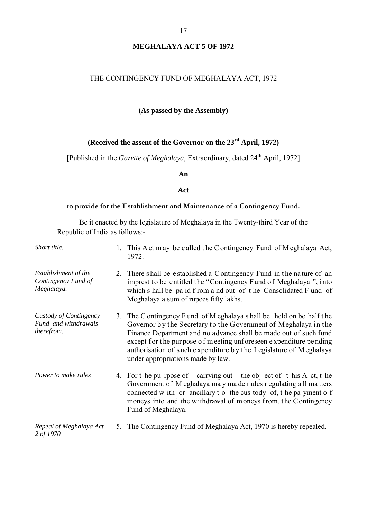#### **MEGHALAYA ACT 5 OF 1972**

#### THE CONTINGENCY FUND OF MEGHALAYA ACT, 1972

#### **(As passed by the Assembly)**

#### **(Received the assent of the Governor on the 23rd April, 1972)**

[Published in the *Gazette of Meghalaya*, Extraordinary, dated 24<sup>th</sup> April, 1972]

#### **An**

#### **Act**

#### **to provide for the Establishment and Maintenance of a Contingency Fund.**

Be it enacted by the legislature of Meghalaya in the Twenty-third Year of the Republic of India as follows:-

| Short title. | 1. This A ct may be called the Contingency Fund of Meghalaya Act, |
|--------------|-------------------------------------------------------------------|
|              | 1972.                                                             |

- *Establishment of the Contingency Fund of*  2. There shall be established a Contingency Fund in the nature of an imprest to be entitled the "Contingency Fund of Meghalaya ", into which s hall be pa id f rom a nd out of t he Consolidated F und of Meghalaya a sum of rupees fifty lakhs.
- *Custody of Contingency Fund and withdrawals therefrom.* 3. The C ontingency F und of M eghalaya s hall be held on be half t he Governor by the Secretary to the Government of Meghalaya in the Finance Department and no advance shall be made out of such fund except for the pur pose of m eeting unforeseen expenditure pending authorisation of s uch e xpenditure b y t he Legislature of M eghalaya under appropriations made by law.
- *Power to make rules* 4. For t he pu rpose of carrying out the obj ect of t his A ct, t he Government of M eghalaya ma y ma de r ules r egulating a ll ma tters connected w ith or ancillary t o the cus tody of, t he pa yment o f moneys into and the withdrawal of moneys from, the Contingency Fund of Meghalaya.
- *Repeal of Meghalaya Act 2 of 1970*  5. The Contingency Fund of Meghalaya Act, 1970 is hereby repealed.

*Meghalaya.*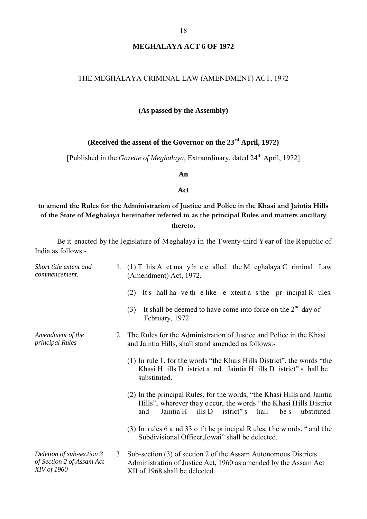## **MEGHALAYA ACT 6 OF 1972**

#### THE MEGHALAYA CRIMINAL LAW (AMENDMENT) ACT, 1972

#### **(As passed by the Assembly)**

## **(Received the assent of the Governor on the 23rd April, 1972)**

[Published in the *Gazette of Meghalaya*, Extraordinary, dated 24<sup>th</sup> April, 1972]

**An**

#### **Act**

## **to amend the Rules for the Administration of Justice and Police in the Khasi and Jaintia Hills of the State of Meghalaya hereinafter referred to as the principal Rules and matters ancillary thereto.**

Be it enacted by the legislature of Meghalaya in the Twenty-third Year of the Republic of India as follows:-

| Short title extent and<br>commencement.                                      | 1. (1) T his A ct may b e c alled the M eghalaya C riminal Law<br>(Amendment) Act, 1972.                                                                                                                                          |
|------------------------------------------------------------------------------|-----------------------------------------------------------------------------------------------------------------------------------------------------------------------------------------------------------------------------------|
|                                                                              | It s hall ha ve the like extent a s the pr incipal R ules.<br>(2)                                                                                                                                                                 |
|                                                                              | It shall be deemed to have come into force on the $2nd$ day of<br>(3)<br>February, 1972.                                                                                                                                          |
| Amendment of the<br>principal Rules                                          | 2. The Rules for the Administration of Justice and Police in the Khasi<br>and Jaintia Hills, shall stand amended as follows:-                                                                                                     |
|                                                                              | (1) In rule 1, for the words "the Khais Hills District", the words "the<br>Khasi H ills D istrict a nd Jaintia H ills D istrict" s hall be<br>substituted.                                                                        |
|                                                                              | (2) In the principal Rules, for the words, "the Khasi Hills and Jaintia<br>Hills", wherever they occur, the words "the Khasi Hills District"<br>Jaintia H<br>$\text{ills } D$<br>hall<br>and<br>istrict" s<br>be s<br>ubstituted. |
|                                                                              | (3) In rules 6 a nd 33 o f t he principal R ules, t he w ords, " and t he<br>Subdivisional Officer, Jowai" shall be delected.                                                                                                     |
| Deletion of sub-section 3<br>of Section 2 of Assam Act<br><i>XIV of 1960</i> | 3. Sub-section (3) of section 2 of the Assam Autonomous Districts<br>Administration of Justice Act, 1960 as amended by the Assam Act<br>XII of 1968 shall be delected.                                                            |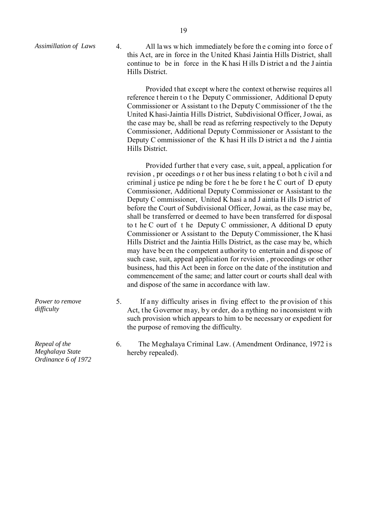Assimillation of Laws 4. All laws which immediately be fore the coming into force of this Act, are in force in the United Khasi Jaintia Hills District, shall continue to be in force in the K hasi H ills D istrict a nd the J aintia Hills District.

> Provided that except where the context otherwise requires all reference t herein t o t he Deputy C ommissioner, Additional D eputy Commissioner or Assistant to the Deputy Commissioner of the the United Khasi-Jaintia Hills District, Subdivisional Officer, Jowai, as the case may be, shall be read as referring respectively to the Deputy Commissioner, Additional Deputy Commissioner or Assistant to the Deputy C ommissioner of the K hasi H ills D istrict a nd the J aintia Hills District.

> Provided further that e very case, suit, a ppeal, a pplication for revision , pr oceedings o r ot her bus iness r elating t o bot h c ivil a nd criminal j ustice pe nding be fore t he be fore t he  $C$  ourt of  $D$  eputy Commissioner, Additional Deputy Commissioner or Assistant to the Deputy C ommissioner, United K hasi a nd J aintia H ills D istrict of before the Court of Subdivisional Officer, Jowai, as the case may be, shall be transferred or deemed to have been transferred for disposal to t he C ourt of t he Deputy C ommissioner, A dditional D eputy Commissioner or Assistant to the Deputy Commissioner, the Khasi Hills District and the Jaintia Hills District, as the case may be, which may have been the competent authority to entertain and dispose of such case, suit, appeal application for revision , proceedings or other business, had this Act been in force on the date of the institution and commencement of the same; and latter court or courts shall deal with and dispose of the same in accordance with law.

5. If a ny difficulty arises in fiving effect to the pr ovision of t his Act, the Governor may, by order, do a nything no inconsistent with such provision which appears to him to be necessary or expedient for the purpose of removing the difficulty.

6. The Meghalaya Criminal Law. (Amendment Ordinance, 1972 i s hereby repealed).

*Repeal of the* 

*Power to remove* 

*difficulty*

*Meghalaya State Ordinance 6 of 1972*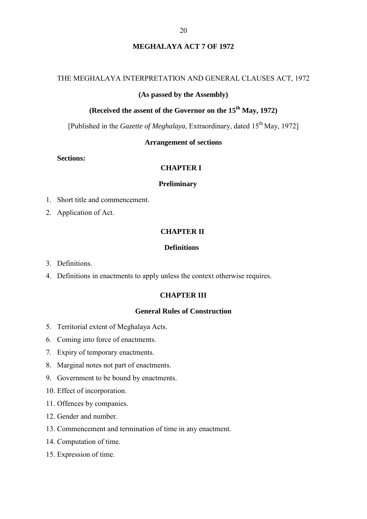## **MEGHALAYA ACT 7 OF 1972**

#### THE MEGHALAYA INTERPRETATION AND GENERAL CLAUSES ACT, 1972

#### **(As passed by the Assembly)**

## **(Received the assent of the Governor on the 15<sup>th</sup> May, 1972)**

[Published in the *Gazette of Meghalaya*, Extraordinary, dated 15th May, 1972]

#### **Arrangement of sections**

#### **Sections:**

#### **CHAPTER I**

#### **Preliminary**

- 1. Short title and commencement.
- 2. Application of Act.

#### **CHAPTER II**

#### **Definitions**

- 3. Definitions.
- 4. Definitions in enactments to apply unless the context otherwise requires.

#### **CHAPTER III**

#### **General Rules of Construction**

- 5. Territorial extent of Meghalaya Acts.
- 6. Coming into force of enactments.
- 7. Expiry of temporary enactments.
- 8. Marginal notes not part of enactments.
- 9. Government to be bound by enactments.
- 10. Effect of incorporation.
- 11. Offences by companies.
- 12. Gender and number.
- 13. Commencement and termination of time in any enactment.
- 14. Computation of time.
- 15. Expression of time.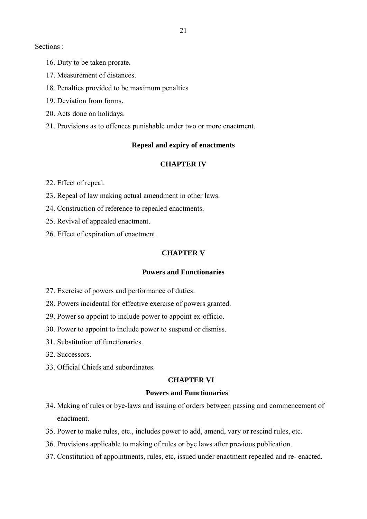Sections :

- 16. Duty to be taken prorate.
- 17. Measurement of distances.
- 18. Penalties provided to be maximum penalties
- 19. Deviation from forms.
- 20. Acts done on holidays.
- 21. Provisions as to offences punishable under two or more enactment.

#### **Repeal and expiry of enactments**

#### **CHAPTER IV**

22. Effect of repeal.

- 23. Repeal of law making actual amendment in other laws.
- 24. Construction of reference to repealed enactments.
- 25. Revival of appealed enactment.
- 26. Effect of expiration of enactment.

#### **CHAPTER V**

#### **Powers and Functionaries**

- 27. Exercise of powers and performance of duties.
- 28. Powers incidental for effective exercise of powers granted.
- 29. Power so appoint to include power to appoint ex-officio.
- 30. Power to appoint to include power to suspend or dismiss.
- 31. Substitution of functionaries.
- 32. Successors.
- 33. Official Chiefs and subordinates.

#### **CHAPTER VI**

#### **Powers and Functionaries**

- 34. Making of rules or bye-laws and issuing of orders between passing and commencement of enactment.
- 35. Power to make rules, etc., includes power to add, amend, vary or rescind rules, etc.
- 36. Provisions applicable to making of rules or bye laws after previous publication.
- 37. Constitution of appointments, rules, etc, issued under enactment repealed and re- enacted.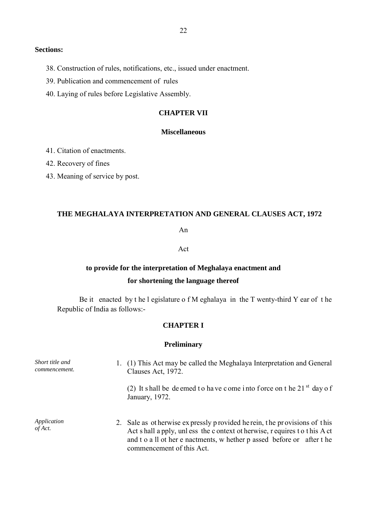#### **Sections:**

- 38. Construction of rules, notifications, etc., issued under enactment.
- 39. Publication and commencement of rules
- 40. Laying of rules before Legislative Assembly.

#### **CHAPTER VII**

#### **Miscellaneous**

- 41. Citation of enactments.
- 42. Recovery of fines
- 43. Meaning of service by post.

#### **THE MEGHALAYA INTERPRETATION AND GENERAL CLAUSES ACT, 1972**

An

#### Act

## **to provide for the interpretation of Meghalaya enactment and**

#### **for shortening the language thereof**

Be it enacted by t he l egislature o f M eghalaya in the T wenty-third Y ear of t he Republic of India as follows:-

#### **CHAPTER I**

#### **Preliminary**

| Short title and<br>commencement. | 1. (1) This Act may be called the Meghalaya Interpretation and General<br>Clauses Act, 1972.                                                                                                                                                              |  |
|----------------------------------|-----------------------------------------------------------------------------------------------------------------------------------------------------------------------------------------------------------------------------------------------------------|--|
|                                  | (2) It shall be deemed to have come into force on t he 21 $^{\rm st}$ day of<br>January, 1972.                                                                                                                                                            |  |
| Application<br>of Act.           | 2. Sale as otherwise expressly provided herein, the provisions of this<br>Act s hall a pply, unless the c ontext ot herwise, r equires to this Act<br>and t o a ll ot her e nactments, w hether p assed before or after t he<br>commencement of this Act. |  |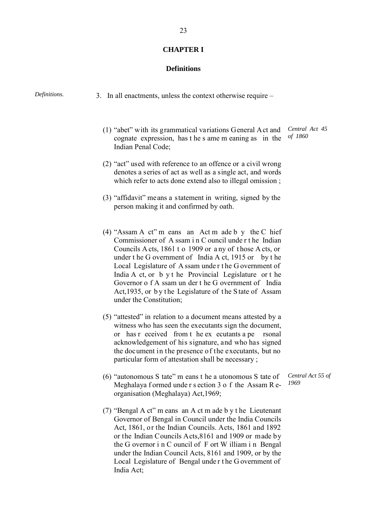#### **CHAPTER I**

#### **Definitions**

| Definitions. | 3. In all enactments, unless the context otherwise require $-$                                                                                                                                                                                                                                                                                                                                                                                                                              |
|--------------|---------------------------------------------------------------------------------------------------------------------------------------------------------------------------------------------------------------------------------------------------------------------------------------------------------------------------------------------------------------------------------------------------------------------------------------------------------------------------------------------|
|              | Central Act 45<br>(1) "abet" with its grammatical variations General Act and<br>of 1860<br>cognate expression, has the s ame m eaning as in the<br>Indian Penal Code;                                                                                                                                                                                                                                                                                                                       |
|              | (2) "act" used with reference to an offence or a civil wrong<br>denotes a series of act as well as a single act, and words<br>which refer to acts done extend also to illegal omission;                                                                                                                                                                                                                                                                                                     |
|              | (3) "affidavit" means a statement in writing, signed by the<br>person making it and confirmed by oath.                                                                                                                                                                                                                                                                                                                                                                                      |
|              | (4) "Assam A ct" m eans an Act m ade b y the C hief<br>Commissioner of A ssam i n C ouncil under the Indian<br>Councils A cts, 1861 t o 1909 or any of those A cts, or<br>under the G overnment of India A ct, 1915 or by the<br>Local Legislature of A ssam under the G overnment of<br>India A ct, or b y t he Provincial Legislature or t he<br>Governor of A ssam un der t he G overnment of India<br>Act, 1935, or by the Legislature of the State of Assam<br>under the Constitution; |
|              | (5) "attested" in relation to a document means attested by a<br>witness who has seen the executants sign the document,<br>or has r eceived from t he ex ecutants a pe<br>rsonal<br>acknowledgement of his signature, and who has signed<br>the document in the presence of the executants, but no<br>particular form of attestation shall be necessary;                                                                                                                                     |
|              | Central Act 55 of<br>(6) "autonomous S tate" m eans t he a utonomous S tate of<br>1969<br>Meghalaya formed under section 3 o f the Assam Re-<br>organisation (Meghalaya) Act, 1969;                                                                                                                                                                                                                                                                                                         |
|              | (7) "Bengal A ct" m eans an A ct m ade b y t he Lieutenant<br>Governor of Bengal in Council under the India Councils<br>Act, 1861, or the Indian Councils. Acts, 1861 and 1892<br>or the Indian Councils Acts, 8161 and 1909 or made by                                                                                                                                                                                                                                                     |

or the Indian Councils Acts,8161 and 1909 or made by the G overnor i n C ouncil of F ort W illiam i n Bengal under the Indian Council Acts, 8161 and 1909, or by the Local Legislature of Bengal unde r t he G overnment of India Act;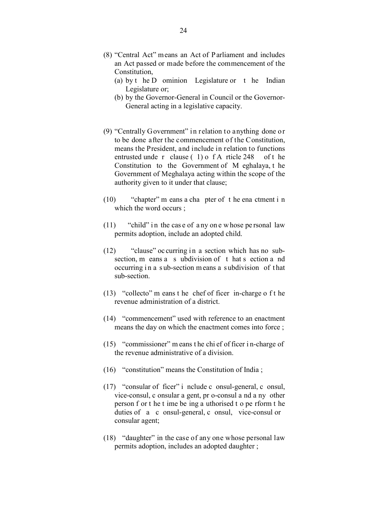- (8) "Central Act" means an Act of Parliament and includes an Act passed or made before the commencement of the Constitution,
	- (a) by t he D ominion Legislature or t he Indian Legislature or;
	- (b) by the Governor-General in Council or the Governor-General acting in a legislative capacity.
- (9) "Centrally Government" in relation to anything done or to be done after the commencement of the Constitution, means the President, and include in relation to functions entrusted unde r clause ( 1) o f A rticle 248 of t he Constitution to the Government of M eghalaya, t he Government of Meghalaya acting within the scope of the authority given to it under that clause;
- (10) "chapter" m eans a cha pter of t he ena ctment i n which the word occurs ;
- $(11)$  "child" in the case of any one whose personal law permits adoption, include an adopted child.
- $(12)$  "clause" oc curring in a section which has no subsection, m eans a s ubdivision of t hat s ection a nd occurring in a sub-section means a subdivision of that sub-section.
- (13) "collecto" m eans t he chef of ficer in-charge o f t he revenue administration of a district.
- (14) "commencement" used with reference to an enactment means the day on which the enactment comes into force ;
- (15) "commissioner" m eans t he chi ef of ficer i n-charge of the revenue administrative of a division.
- (16) "constitution" means the Constitution of India ;
- (17) "consular of ficer" i nclude c onsul-general, c onsul, vice-consul, c onsular a gent, pr o-consul a nd a ny other person f or t he t ime be ing a uthorised t o pe rform t he duties of a c onsul-general, c onsul, vice-consul or consular agent;
- (18) "daughter" in the case of any one whose personal law permits adoption, includes an adopted daughter ;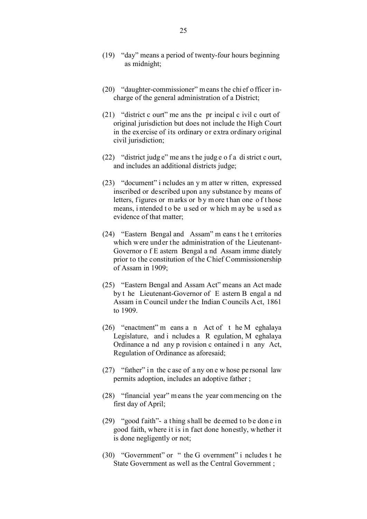- (19) "day" means a period of twenty-four hours beginning as midnight;
- (20) "daughter-commissioner" means the chief officer incharge of the general administration of a District;
- (21) "district c ourt" me ans the pr incipal c ivil c ourt of original jurisdiction but does not include the High Court in the exercise of its ordinary or extra ordinary original civil jurisdiction;
- (22) "district judg e" me ans t he judg e o f a di strict c ourt, and includes an additional districts judge;
- (23) "document" i ncludes an y m atter w ritten, expressed inscribed or described upon any substance by means of letters, figures or marks or by more than one of those means, i ntended t o be u sed or w hich m ay be u sed a s evidence of that matter;
- (24) "Eastern Bengal and Assam" m eans t he t erritories which were under the administration of the Lieutenant-Governor o f E astern Bengal a nd Assam imme diately prior to the constitution of the Chief Commissionership of Assam in 1909;
- (25) "Eastern Bengal and Assam Act" means an Act made by t he Lieutenant-Governor of E astern B engal a nd Assam in Council under the Indian Councils Act, 1861 to 1909.
- (26) "enactment" m eans a n Act of t he M eghalaya Legislature, and i ncludes a R egulation, M eghalaya Ordinance a nd any p rovision c ontained i n any Act, Regulation of Ordinance as aforesaid;
- (27) "father" in the c ase of a ny on e w hose personal law permits adoption, includes an adoptive father ;
- (28) "financial year" m eans t he year com mencing on t he first day of April;
- (29) "good faith"- a thing shall be deemed to be done in good faith, where it is in fact done honestly, whether it is done negligently or not;
- (30) "Government" or " the G overnment" i ncludes t he State Government as well as the Central Government ;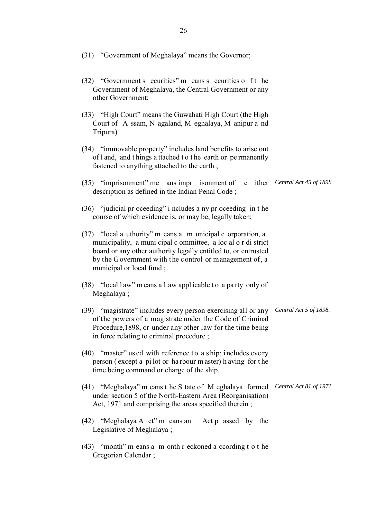| (31) "Government of Meghalaya" means the Governor;                                                                                                                                                                                                                                   |                        |
|--------------------------------------------------------------------------------------------------------------------------------------------------------------------------------------------------------------------------------------------------------------------------------------|------------------------|
| (32) "Government s ecurities" m eans s ecurities o f t he<br>Government of Meghalaya, the Central Government or any<br>other Government;                                                                                                                                             |                        |
| (33) "High Court" means the Guwahati High Court (the High<br>Court of A ssam, N agaland, M eghalaya, M anipur a nd<br>Tripura)                                                                                                                                                       |                        |
| (34) "immovable property" includes land benefits to arise out<br>of l and, and things a ttached to the earth or permanently<br>fastened to anything attached to the earth;                                                                                                           |                        |
| (35) "imprisonment" me ans impr isonment of<br>e ither<br>description as defined in the Indian Penal Code;                                                                                                                                                                           | Central Act 45 of 1898 |
| (36) "judicial pr oceeding" i ncludes a ny pr oceeding in t he<br>course of which evidence is, or may be, legally taken;                                                                                                                                                             |                        |
| (37) "local a uthority" m eans a m unicipal c orporation, a<br>municipality, a muni cipal c ommittee, a loc al o r di strict<br>board or any other authority legally entitled to, or entrusted<br>by the Government with the control or management of, a<br>municipal or local fund; |                        |
| (38) "local law" means a l aw applicable to a party only of<br>Meghalaya;                                                                                                                                                                                                            |                        |
| (39) "magistrate" includes every person exercising all or any<br>of the powers of a magistrate under the Code of Criminal<br>Procedure, 1898, or under any other law for the time being<br>in force relating to criminal procedure;                                                  | Central Act 5 of 1898. |
| $(40)$ "master" used with reference to a ship; includes every<br>person (except a pilot or harbour m aster) h aving for the<br>time being command or charge of the ship.                                                                                                             |                        |
| (41) "Meghalaya" m eans t he S tate of M eghalaya formed<br>under section 5 of the North-Eastern Area (Reorganisation)<br>Act, 1971 and comprising the areas specified therein;                                                                                                      | Central Act 81 of 1971 |
| (42) "Meghalaya A ct" m eans an Act p assed by the<br>Legislative of Meghalaya;                                                                                                                                                                                                      |                        |
| (43) "month" m eans a m onth r eckoned a ccording t o t he<br>Gregorian Calendar;                                                                                                                                                                                                    |                        |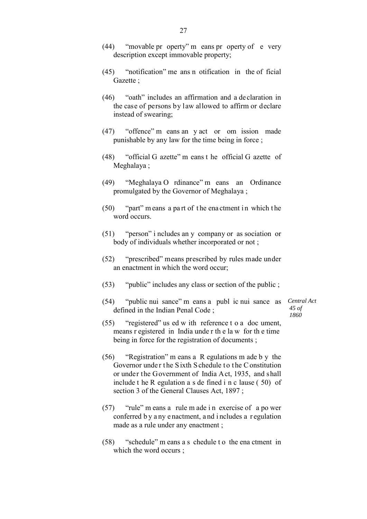- (44) "movable pr operty" m eans pr operty of e very description except immovable property;
- (45) "notification" me ans n otification in the of ficial Gazette ;
- (46) "oath" includes an affirmation and a declaration in the case of persons by law allowed to affirm or declare instead of swearing;
- (47) "offence" m eans an y act or om ission made punishable by any law for the time being in force ;
- (48) "official G azette" m eans t he official G azette of Meghalaya ;
- (49) "Meghalaya O rdinance" m eans an Ordinance promulgated by the Governor of Meghalaya ;
- $(50)$  "part" m eans a part of the ena ctment in which the word occurs.
- (51) "person" i ncludes an y company or as sociation or body of individuals whether incorporated or not ;
- (52) "prescribed" means prescribed by rules made under an enactment in which the word occur;
- (53) "public" includes any class or section of the public ;
- (54) "public nui sance" m eans a publ ic nui sance as defined in the Indian Penal Code ;

*Central Act 45 of 1860*

- (55) "registered" us ed w ith reference t o a doc ument, means r egistered in India unde r th e la w for th e time being in force for the registration of documents ;
- (56) "Registration" m eans a R egulations m ade b y the Governor under the Sixth S chedule to the C onstitution or under the Government of India Act, 1935, and shall include t he R egulation a s de fined i n c lause ( 50) of section 3 of the General Clauses Act, 1897 ;
- (57) "rule" m eans a rule m ade i n exercise of a po wer conferred b y a ny e nactment, a nd i ncludes a r egulation made as a rule under any enactment ;
- (58) "schedule" m eans a s chedule t o the ena ctment in which the word occurs ;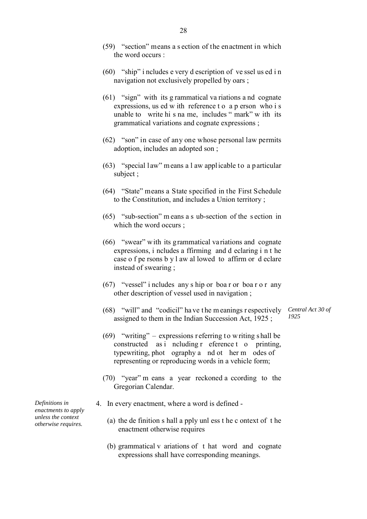- (59) "section" means a s ection of the enactment in which the word occurs :
- (60) "ship" i ncludes e very d escription of ve ssel us ed i n navigation not exclusively propelled by oars ;
- (61) "sign" with its g rammatical va riations a nd cognate expressions, us ed w ith reference t o a p erson who i s unable to write hi s na me, includes " mark" w ith its grammatical variations and cognate expressions ;
- (62) "son" in case of any one whose personal law permits adoption, includes an adopted son ;
- (63) "special law" means a l aw applicable to a particular subject ;
- (64) "State" means a State specified in the First Schedule to the Constitution, and includes a Union territory ;
- (65) "sub-section" m eans a s ub-section of the s ection in which the word occurs ;
- (66) "swear" with its grammatical variations and cognate expressions, i ncludes a ffirming and d eclaring i n t he case o f pe rsons b y l aw al lowed to affirm or d eclare instead of swearing ;
- $(67)$  "vessel" i ncludes any s hip or boa r or boa r o r any other description of vessel used in navigation ;
- (68) "will" and "codicil" ha ve t he m eanings r espectively assigned to them in the Indian Succession Act, 1925 ; *Central Act 30 of 1925*
- (69) "writing" expressions referring to writing shall be constructed as i ncluding r eference t o printing, typewriting, phot ography a nd ot her m odes of representing or reproducing words in a vehicle form;
- (70) "year" m eans a year reckoned a ccording to the Gregorian Calendar.
- 4. In every enactment, where a word is defined
	- (a) the de finition s hall a pply unl ess t he c ontext of t he enactment otherwise requires
	- (b) grammatical v ariations of t hat word and cognate expressions shall have corresponding meanings.

*Definitions in enactments to apply unless the context otherwise requires.*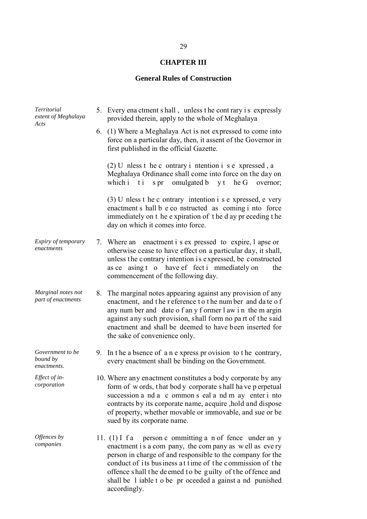## **CHAPTER III**

## **General Rules of Construction**

| <b>Territorial</b><br>extent of Meghalaya<br>Acts | 5. Every ena ctment s hall, unless t he cont rary is expressly<br>provided therein, apply to the whole of Meghalaya                                                                                                                                                                                                                                                                |
|---------------------------------------------------|------------------------------------------------------------------------------------------------------------------------------------------------------------------------------------------------------------------------------------------------------------------------------------------------------------------------------------------------------------------------------------|
|                                                   | 6. (1) Where a Meghalaya Act is not expressed to come into<br>force on a particular day, then, it assent of the Governor in<br>first published in the official Gazette.                                                                                                                                                                                                            |
|                                                   | $(2)$ U nless t he c ontrary i ntention i s e xpressed, a<br>Meghalaya Ordinance shall come into force on the day on<br>which i t i s pr omulgated b y t he G overnor;                                                                                                                                                                                                             |
|                                                   | $(3)$ U nless t he c ontrary intention i s e xpressed, e very<br>enactment s hall b e co nstructed as coming i nto force<br>immediately on t he expiration of the d ay pr eceding the<br>day on which it comes into force.                                                                                                                                                         |
| Expiry of temporary<br>enactments                 | 7. Where an enactment i s ex pressed to expire, l apse or<br>otherwise cease to have effect on a particular day, it shall,<br>unless the contrary intention is expressed, be constructed<br>as ce asing t o have ef fect i mmediately on<br>the<br>commencement of the following day.                                                                                              |
| Marginal notes not<br>part of enactments          | 8. The marginal notes appearing against any provision of any<br>enactment, and the reference to the number and date of<br>any num ber and date of any former l aw in the m argin<br>against any such provision, shall form no part of the said<br>enactment and shall be deemed to have been inserted for<br>the sake of convenience only.                                         |
| Government to be<br>bound by<br>enactments.       | 9. In the a bsence of a n e xpress provision to the contrary,<br>every enactment shall be binding on the Government.                                                                                                                                                                                                                                                               |
| Effect of in-<br>corporation                      | 10. Where any enactment constitutes a body corporate by any<br>form of words, that body corporate shall have perpetual<br>succession a nd a c ommon s eal a nd m ay enter i nto<br>contracts by its corporate name, acquire , hold and dispose<br>of property, whether movable or immovable, and sue or be<br>sued by its corporate name.                                          |
| Offences by<br>companies                          | 11. (1) I fa person c ommitting a n of fence under an y<br>enactment is a company, the company as well as every<br>person in charge of and responsible to the company for the<br>conduct of its business at time of the commission of the<br>offence shall the deemed to be guilty of the offence and<br>shall be 1 iable t o be pr oceeded a gainst a nd punished<br>accordingly. |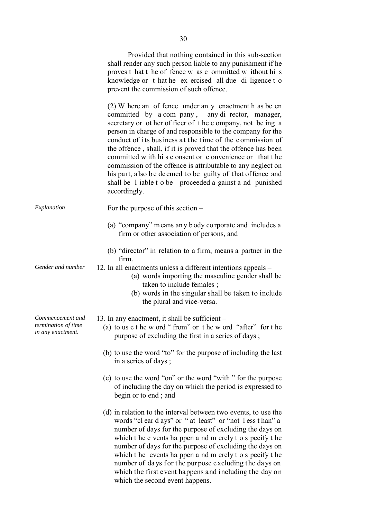|                                                              | Provided that nothing contained in this sub-section<br>shall render any such person liable to any punishment if he<br>proves t hat t he of fence w as c ommitted w ithout hi s<br>knowledge or t hat he ex ercised all due di ligence t o<br>prevent the commission of such offence.                                                                                                                                                                                                                                                                                                                                                      |
|--------------------------------------------------------------|-------------------------------------------------------------------------------------------------------------------------------------------------------------------------------------------------------------------------------------------------------------------------------------------------------------------------------------------------------------------------------------------------------------------------------------------------------------------------------------------------------------------------------------------------------------------------------------------------------------------------------------------|
|                                                              | (2) W here an of fence under an y enactment h as be en<br>committed by a com pany, any di rector, manager,<br>secretary or ot her of ficer of the c ompany, not be ing a<br>person in charge of and responsible to the company for the<br>conduct of its business at the time of the commission of<br>the offence, shall, if it is proved that the offence has been<br>committed w ith hi s c onsent or c onvenience or that t he<br>commission of the offence is attributable to any neglect on<br>his part, also be deemed to be guilty of that offence and<br>shall be 1 iable t o be proceeded a gainst a nd punished<br>accordingly. |
| Explanation                                                  | For the purpose of this section $-$                                                                                                                                                                                                                                                                                                                                                                                                                                                                                                                                                                                                       |
|                                                              | (a) "company" means any body corporate and includes a<br>firm or other association of persons, and                                                                                                                                                                                                                                                                                                                                                                                                                                                                                                                                        |
|                                                              | (b) "director" in relation to a firm, means a partner in the<br>firm.                                                                                                                                                                                                                                                                                                                                                                                                                                                                                                                                                                     |
| Gender and number                                            | 12. In all enactments unless a different intentions appeals –<br>(a) words importing the masculine gender shall be<br>taken to include females;<br>(b) words in the singular shall be taken to include<br>the plural and vice-versa.                                                                                                                                                                                                                                                                                                                                                                                                      |
| Commencement and<br>termination of time<br>in any enactment. | 13. In any enactment, it shall be sufficient –<br>(a) to us e t he w ord "from" or t he w ord "after" for t he<br>purpose of excluding the first in a series of days;                                                                                                                                                                                                                                                                                                                                                                                                                                                                     |
|                                                              | (b) to use the word "to" for the purpose of including the last<br>in a series of days;                                                                                                                                                                                                                                                                                                                                                                                                                                                                                                                                                    |
|                                                              | (c) to use the word "on" or the word "with" for the purpose<br>of including the day on which the period is expressed to<br>begin or to end; and                                                                                                                                                                                                                                                                                                                                                                                                                                                                                           |
|                                                              | (d) in relation to the interval between two events, to use the<br>words "cl ear d ays" or "at least" or "not less than" a<br>number of days for the purpose of excluding the days on<br>which t he e vents ha ppen a nd m erely t o s pecify t he<br>number of days for the purpose of excluding the days on<br>which t he events ha ppen a nd m erely t o s pecify t he<br>number of days for the purpose excluding the days on<br>which the first event happens and including the day on                                                                                                                                                |

which the second event happens.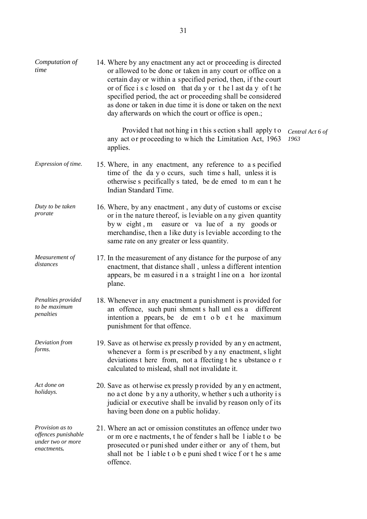| Computation of<br>time                                                     | 14. Where by any enactment any act or proceeding is directed<br>or allowed to be done or taken in any court or office on a<br>certain day or within a specified period, then, if the court<br>or of fice i s c losed on that day or the l ast day of the<br>specified period, the act or proceeding shall be considered<br>as done or taken in due time it is done or taken on the next<br>day afterwards on which the court or office is open.; |                          |
|----------------------------------------------------------------------------|--------------------------------------------------------------------------------------------------------------------------------------------------------------------------------------------------------------------------------------------------------------------------------------------------------------------------------------------------------------------------------------------------------------------------------------------------|--------------------------|
|                                                                            | Provided that not hing in this section shall apply to<br>any act or proceeding to which the Limitation Act, 1963<br>applies.                                                                                                                                                                                                                                                                                                                     | Central Act 6 of<br>1963 |
| Expression of time.                                                        | 15. Where, in any enactment, any reference to a s pecified<br>time of the day o ccurs, such time s hall, unless it is<br>otherwise s pecifically s tated, be de emed to m ean t he<br>Indian Standard Time.                                                                                                                                                                                                                                      |                          |
| Duty to be taken<br>prorate                                                | 16. Where, by any enactment, any duty of customs or excise<br>or in the nature thereof, is leviable on a ny given quantity<br>by w eight, m easure or value of a ny goods or<br>merchandise, then a like duty is leviable according to the<br>same rate on any greater or less quantity.                                                                                                                                                         |                          |
| Measurement of<br>distances                                                | 17. In the measurement of any distance for the purpose of any<br>enactment, that distance shall, unless a different intention<br>appears, be m easured in a s traight l ine on a hor izontal<br>plane.                                                                                                                                                                                                                                           |                          |
| Penalties provided<br>to be maximum<br>penalties                           | 18. Whenever in any enactment a punishment is provided for<br>an offence, such puni shment s hall unl ess a<br>different<br>intention a ppears, be de em t o b e t he maximum<br>punishment for that offence.                                                                                                                                                                                                                                    |                          |
| Deviation from<br>forms.                                                   | 19. Save as otherwise expressly provided by any enactment,<br>whenever a form is prescribed by a ny enactment, slight<br>deviations t here from, not a ffecting t he s ubstance o r<br>calculated to mislead, shall not invalidate it.                                                                                                                                                                                                           |                          |
| Act done on<br>holidays.                                                   | 20. Save as otherwise expressly provided by any enactment,<br>no a ct done by a ny a uthority, whether such a uthority is<br>judicial or executive shall be invalid by reason only of its<br>having been done on a public holiday.                                                                                                                                                                                                               |                          |
| Provision as to<br>offences punishable<br>under two or more<br>enactments. | 21. Where an act or omission constitutes an offence under two<br>or m ore e nactments, t he of fender s hall be liable t o be<br>prosecuted or punished under either or any of them, but<br>shall not be 1 iable t o b e puni shed t wice f or t he s ame<br>offence.                                                                                                                                                                            |                          |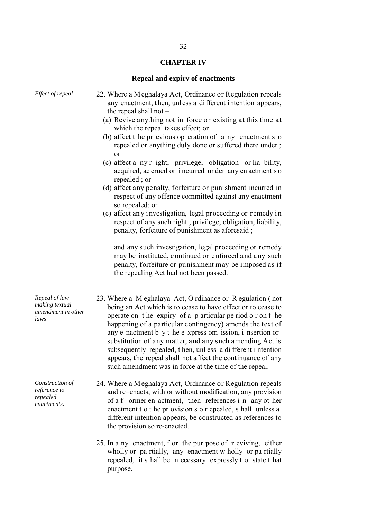#### **CHAPTER IV**

#### **Repeal and expiry of enactments**

- *Effect of repeal* 22. Where a Meghalaya Act, Ordinance or Regulation repeals any enactment, then, unless a different intention appears, the repeal shall not –
	- (a) Revive anything not in force or existing at this time at which the repeal takes effect; or
	- (b) affect t he pr evious op eration of a ny enactment s o repealed or anything duly done or suffered there under ; or
	- (c) affect a ny r ight, privilege, obligation or lia bility, acquired, ac crued or i ncurred under any en actment s o repealed ; or
	- (d) affect any penalty, forfeiture or punishment incurred in respect of any offence committed against any enactment so repealed; or
	- (e) affect an y investigation, legal proceeding or remedy i n respect of any such right , privilege, obligation, liability, penalty, forfeiture of punishment as aforesaid ;

and any such investigation, legal proceeding or remedy may be ins tituted, c ontinued or e nforced a nd a ny such penalty, forfeiture or punishment may be imposed as if the repealing Act had not been passed.

- 23. Where a M eghalaya Act, O rdinance or R egulation ( not being an Act which is to cease to have effect or to cease to operate on t he expiry of a p articular pe riod o r on t he happening of a particular contingency) amends the text of any e nactment b y t he e xpress om ission, i nsertion or substitution of any matter, and any such amending Act is subsequently repealed, t hen, unl ess a di fferent i ntention appears, the repeal shall not affect the continuance of any such amendment was in force at the time of the repeal.
- 24. Where a Meghalaya Act, Ordinance or Regulation repeals and re=enacts, with or without modification, any provision of a f ormer en actment, then references i n any ot her enactment t o t he pr ovision s o r epealed, s hall unless a different intention appears, be constructed as references to the provision so re-enacted.
- 25. In a ny enactment, f or the pur pose of r eviving, either wholly or pa rtially, any enactment w holly or pa rtially repealed, it s hall be n ecessary expressly t o state t hat purpose.

*Repeal of law making textual amendment in other laws*

*Construction of reference to repealed enactments.*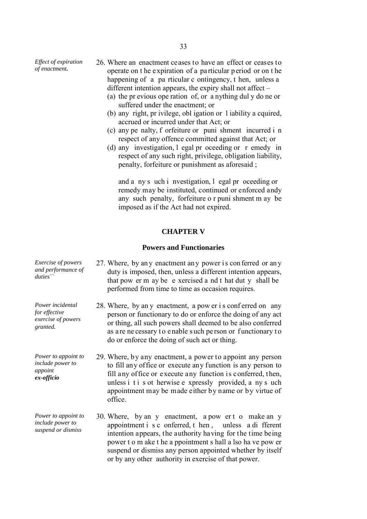*Effect of expiration* 

- *of expiration* 26. Where an enactment ceases to have an effect or ceases to *of enactment*. operate on t he expiration of a particular period or on t he happening of a pa rticular c ontingency, t hen, unless a different intention appears, the expiry shall not affect –
	- (a) the pr evious ope ration of, or a nything dul y do ne or suffered under the enactment; or
	- (b) any right, pr ivilege, obl igation or l iability a cquired, accrued or incurred under that Act; or
	- (c) any pe nalty, f orfeiture or puni shment incurred i n respect of any offence committed against that Act; or
	- (d) any investigation, l egal pr oceeding or r emedy in respect of any such right, privilege, obligation liability, penalty, forfeiture or punishment as aforesaid ;

and a ny s uch i nvestigation, l egal pr oceeding or remedy may be instituted, continued or enforced andy any such penalty, forfeiture o r puni shment m ay be imposed as if the Act had not expired.

#### **CHAPTER V**

#### **Powers and Functionaries**

or by any other authority in exercise of that power.

| Exercise of powers<br>and performance of<br>duties                  | 27. Where, by any enactment any power is conferred or any<br>duty is imposed, then, unless a different intention appears,<br>that pow er m ay be e xercised a nd t hat dut y shall be<br>performed from time to time as occasion requires.                                                                                 |
|---------------------------------------------------------------------|----------------------------------------------------------------------------------------------------------------------------------------------------------------------------------------------------------------------------------------------------------------------------------------------------------------------------|
| Power incidental<br>for effective<br>exercise of powers<br>granted. | 28. Where, by an y enactment, a pow er is conferred on any<br>person or functionary to do or enforce the doing of any act<br>or thing, all such powers shall deemed to be also conferred<br>as are ne cessary to enable such person or functionary to<br>do or enforce the doing of such act or thing.                     |
| Power to appoint to<br>include power to<br>appoint<br>ex-officio    | 29. Where, by any enactment, a power to appoint any person<br>to fill any office or execute any function is any person to<br>fill any office or execute any function is conferred, then,<br>unless i t i s ot herwise e xpressly provided, a ny s uch<br>appointment may be made either by name or by virtue of<br>office. |
| Power to appoint to<br>include power to<br>suspend or dismiss       | 30. Where, by an y enactment, a pow er t o make an y<br>appointment i s c onferred, t hen, unless a di fferent<br>intention appears, the authority having for the time being<br>power t o m ake t he a ppointment s hall a lso ha ve pow er<br>suspend or dismiss any person appointed whether by itself                   |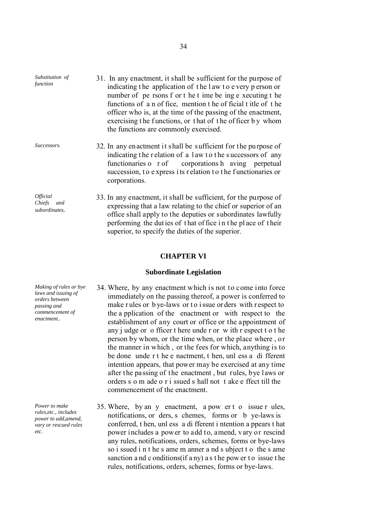*Substitution of*  31. In any enactment, it shall be sufficient for the purpose of indicating t he application of t he l aw t o e very p erson or number of pe rsons f or t he t ime be ing e xecuting t he functions of a n of fice, mention t he of ficial t itle of t he officer who is, at the time of the passing of the enactment, exercising the functions, or that of the officer by whom the functions are commonly exercised.

- *Successors.* 32. In any enactment it shall be sufficient for the pu rpose of indicating the r elation of a l aw to the successors of any functionaries o r of corporations h aving perpetual succession, to express its r elation to the functionaries or corporations.
	- 33. In any enactment, it shall be sufficient, for the purpose of expressing that a law relating to the chief or superior of an office shall apply to the deputies or subordinates lawfully performing the dut ies of t hat of fice i n t he pl ace of t heir superior, to specify the duties of the superior.

#### **CHAPTER VI**

#### **Subordinate Legislation**

- 34. Where, by any enactment which is not to come into force immediately on the passing thereof, a power is conferred to make rules or bye-laws or to issue orders with respect to the a pplication of the enactment or with respect to the establishment of any court or office or the appointment of any j udge or o fficer t here unde r or w ith r espect t o t he person by whom, or the time when, or the place where , or the manner in which , or the fees for which, anything is to be done unde r t he e nactment, t hen, unl ess a di fferent intention appears, that power may be exercised at any time after the passing of the enactment , but rules, bye laws or orders s o m ade o r i ssued s hall not t ake e ffect till the commencement of the enactment.
	- 35. Where, by an y enactment, a pow er t o issue r ules, notifications, or ders, s chemes, forms or b ye-laws is conferred, t hen, unl ess a di fferent i ntention a ppears t hat power includes a power to add to, amend, vary or rescind any rules, notifications, orders, schemes, forms or bye-laws so i ssued i n t he s ame m anner a nd s ubject t o the s ame sanction and c onditions (if a ny) as the pow er to issue the rules, notifications, orders, schemes, forms or bye-laws.

*Making of rules or bye laws and issuing of orders between passing and commencement of enactment..*

*Power to make rules,etc., includes power to add,amend, vary or rescued rules etc.*

*function*

*Official Chiefs and subordinates.*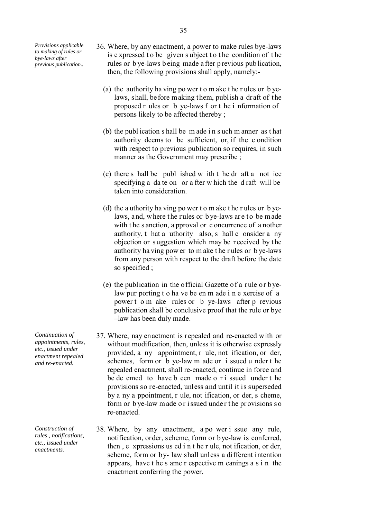*Provisions applicable to making of rules or bye-laws after previous publication..*

- 36. Where, by any enactment, a power to make rules bye-laws is e xpressed t o be given s ubject t o t he condition of t he rules or b ye-laws b eing made a fter p revious pub lication, then, the following provisions shall apply, namely:-
	- (a) the authority ha ving po wer t o m ake t he r ules or b yelaws, shall, before making them, publish a draft of the proposed r ules or b ye-laws f or t he i nformation of persons likely to be affected thereby ;
	- (b) the publ ication s hall be m ade i n s uch m anner as t hat authority deems to be sufficient, or, if the c ondition with respect to previous publication so requires, in such manner as the Government may prescribe ;
	- (c) there s hall be publ ished w ith t he dr aft a not ice specifying a da te on or a fter w hich the d raft will be taken into consideration.
	- (d) the a uthority ha ving po wer t o m ake t he r ules or b yelaws, and, where the rules or bye-laws are to be made with t he s anction, a pproval or c oncurrence of a nother authority, t hat a uthority also, s hall c onsider a ny objection or s uggestion which may be r eceived by t he authority ha ving pow er to m ake t he r ules or b ye-laws from any person with respect to the draft before the date so specified ;
	- (e) the publication in the official Gazette of a rule or byelaw pur porting t o ha ve be en m ade i n e xercise of a power t o m ake rules or b ye-laws after p revious publication shall be conclusive proof that the rule or bye –law has been duly made.
- 37. Where, nay enactment is repealed and re-enacted with or without modification, then, unless it is otherwise expressly provided, a ny appointment, r ule, not ification, or der, schemes, form or b ye-law m ade or i ssued u nder t he repealed enactment, shall re-enacted, continue in force and be de emed to have b een made o r i ssued under t he provisions so re-enacted, unless and until it is superseded by a ny a ppointment, r ule, not ification, or der, s cheme, form or bye-law made or issued under the provisions so re-enacted.
- 38. Where, by any enactment, a po wer i ssue any rule, notification, order, scheme, form or bye-law is conferred, then , e xpressions us ed i n t he r ule, not ification, or der, scheme, form or by- law shall unless a different intention appears, have t he s ame r espective m eanings a s i n the enactment conferring the power.

*Continuation of appointments, rules, etc., issued under enactment repealed and re-enacted.*

*Construction of rules , notifications, etc., issued under enactments.*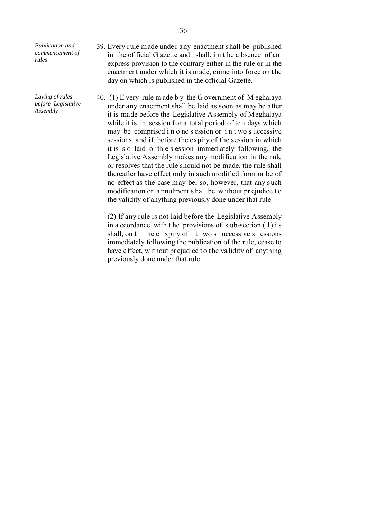*Publication and commencement of rules*

*Laying of rules before Legislative Assembly*

- 39. Every rule made under any enactment shall be published in the of ficial G azette and shall, i n t he a bsence of an express provision to the contrary either in the rule or in the enactment under which it is made, come into force on the day on which is published in the official Gazette.
- 40. (1) E very rule m ade b y the G overnment of M eghalaya under any enactment shall be laid as soon as may be after it is made before the Legislative Assembly of Meghalaya while it is in session for a total period of ten days which may be comprised i n o ne s ession or i n t wo s uccessive sessions, and if, before the expiry of the session in which it is s o laid or th e s ession immediately following, the Legislative Assembly makes any modification in the rule or resolves that the rule should not be made, the rule shall thereafter have effect only in such modified form or be of no effect as the case may be, so, however, that any such modification or a nnulment s hall be w ithout pr ejudice t o the validity of anything previously done under that rule.

(2) If any rule is not laid before the Legislative Assembly in a ccordance with t he provisions of s ub-section ( 1) i s shall, on t he e xpiry of t wo s uccessive s essions immediately following the publication of the rule, cease to have effect, without prejudice to the validity of anything previously done under that rule.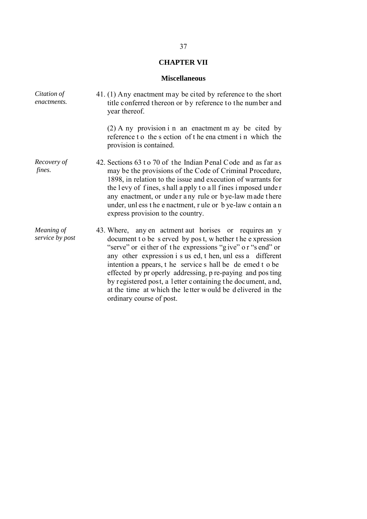# **CHAPTER VII**

#### **Miscellaneous**

| Citation of<br>enactments.    | 41. (1) Any enactment may be cited by reference to the short<br>title conferred thereon or by reference to the number and<br>year thereof.<br>$(2)$ A ny provision i n an enactment m ay be cited by<br>reference to the section of the ena ctment in which the<br>provision is contained.                                                                                                                                                                                                                                  |
|-------------------------------|-----------------------------------------------------------------------------------------------------------------------------------------------------------------------------------------------------------------------------------------------------------------------------------------------------------------------------------------------------------------------------------------------------------------------------------------------------------------------------------------------------------------------------|
| Recovery of<br>fines.         | 42. Sections 63 t o 70 of the Indian Penal Code and as far as<br>may be the provisions of the Code of Criminal Procedure,<br>1898, in relation to the issue and execution of warrants for<br>the levy of fines, shall apply to all fines imposed under<br>any enactment, or under any rule or bye-law made there<br>under, unl ess the e nactment, rule or b ye-law c ontain an<br>express provision to the country.                                                                                                        |
| Meaning of<br>service by post | 43. Where, any en actment aut horises or requires an y<br>document to be served by post, whether the expression<br>"serve" or either of the expressions "give" or "s end" or<br>any other expression i s us ed, t hen, unl ess a different<br>intention a ppears, t he service s hall be de emed t o be<br>effected by properly addressing, p re-paying and pos ting<br>by registered post, a letter containing the document, and,<br>at the time at which the letter would be delivered in the<br>ordinary course of post. |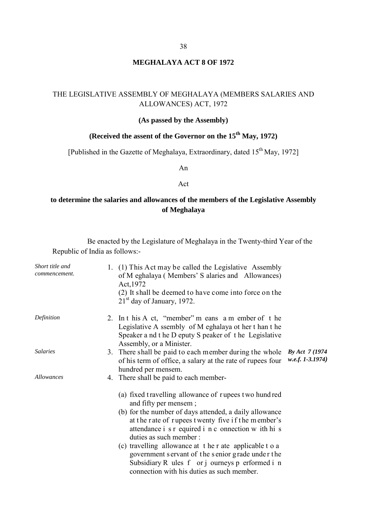### **MEGHALAYA ACT 8 OF 1972**

### THE LEGISLATIVE ASSEMBLY OF MEGHALAYA (MEMBERS SALARIES AND ALLOWANCES) ACT, 1972

#### **(As passed by the Assembly)**

# **(Received the assent of the Governor on the 15<sup>th</sup> May, 1972)**

[Published in the Gazette of Meghalaya, Extraordinary, dated 15<sup>th</sup> May, 1972]

An

#### Act

# **to determine the salaries and allowances of the members of the Legislative Assembly of Meghalaya**

Be enacted by the Legislature of Meghalaya in the Twenty-third Year of the Republic of India as follows:-

| Short title and<br>commencement. | 1. (1) This Act may be called the Legislative Assembly<br>of M eghalaya (Members' S alaries and Allowances)<br>Act, 1972<br>(2) It shall be deemed to have come into force on the<br>$21st$ day of January, 1972.                                                                                                                                                                                                                                                                           |                                       |
|----------------------------------|---------------------------------------------------------------------------------------------------------------------------------------------------------------------------------------------------------------------------------------------------------------------------------------------------------------------------------------------------------------------------------------------------------------------------------------------------------------------------------------------|---------------------------------------|
| Definition                       | 2. In this A ct, "member" m eans a m ember of the<br>Legislative A ssembly of M eghalaya ot her t han t he<br>Speaker a nd t he D eputy S peaker of t he Legislative<br>Assembly, or a Minister.                                                                                                                                                                                                                                                                                            |                                       |
| <b>Salaries</b>                  | 3. There shall be paid to each member during the whole<br>of his term of office, a salary at the rate of rupees four<br>hundred per mensem.                                                                                                                                                                                                                                                                                                                                                 | By Act 7 (1974)<br>$w.e.f. 1-3.1974)$ |
| <i>Allowances</i>                | 4. There shall be paid to each member-                                                                                                                                                                                                                                                                                                                                                                                                                                                      |                                       |
|                                  | (a) fixed travelling allowance of rupees two hundred<br>and fifty per mensem;<br>(b) for the number of days attended, a daily allowance<br>at the rate of rupees twenty five if the member's<br>attendance i s r equired i n c onnection w ith hi s<br>duties as such member:<br>(c) travelling allowance at the r ate applicable to a<br>government servant of the senior grade under the<br>Subsidiary R ules f or j ourneys p erformed i n<br>connection with his duties as such member. |                                       |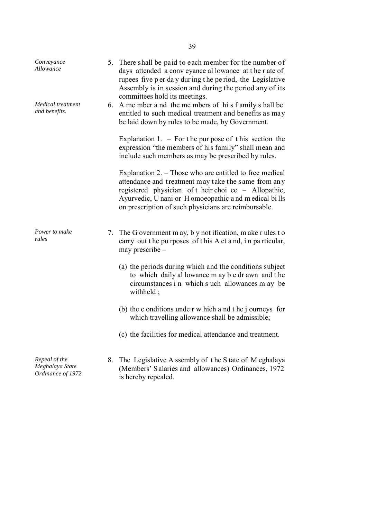| Conveyance<br>Allowance                               |    | 5. There shall be paid to each member for the number of<br>days attended a conv eyance al lowance at the r ate of<br>rupees five p er day during the period, the Legislative<br>Assembly is in session and during the period any of its<br>committees hold its meetings.                 |
|-------------------------------------------------------|----|------------------------------------------------------------------------------------------------------------------------------------------------------------------------------------------------------------------------------------------------------------------------------------------|
| Medical treatment<br>and benefits.                    |    | 6. A me mber a nd the me mbers of his f amily s hall be<br>entitled to such medical treatment and benefits as may<br>be laid down by rules to be made, by Government.                                                                                                                    |
|                                                       |    | Explanation 1. $-$ For the pur pose of this section the<br>expression "the members of his family" shall mean and<br>include such members as may be prescribed by rules.                                                                                                                  |
|                                                       |    | Explanation $2.$ – Those who are entitled to free medical<br>attendance and treatment may take the same from any<br>registered physician of their choi ce - Allopathic,<br>Ayurvedic, U nani or H omoeopathic and m edical bills<br>on prescription of such physicians are reimbursable. |
| Power to make<br>rules                                |    | 7. The G overnment m ay, b y not ification, m ake r ules t o<br>carry out the purposes of this A ct and, in particular,<br>may prescribe $-$                                                                                                                                             |
|                                                       |    | (a) the periods during which and the conditions subject<br>to which daily al lowance m ay b e dr awn and the<br>circumstances i n which s uch allowances m ay be<br>withheld;                                                                                                            |
|                                                       |    | (b) the c onditions under w hich and the journeys for<br>which travelling allowance shall be admissible;                                                                                                                                                                                 |
|                                                       |    | (c) the facilities for medical attendance and treatment.                                                                                                                                                                                                                                 |
| Repeal of the<br>Meghalaya State<br>Ordinance of 1972 | 8. | The Legislative A ssembly of the S tate of M eghalaya<br>(Members' Salaries and allowances) Ordinances, 1972<br>is hereby repealed.                                                                                                                                                      |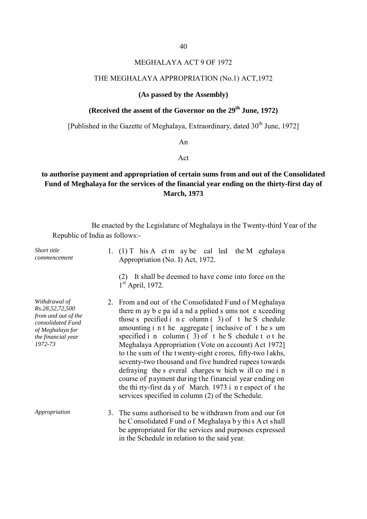### MEGHALAYA ACT 9 OF 1972

#### THE MEGHALAYA APPROPRIATION (No.1) ACT,1972

### **(As passed by the Assembly)**

# (Received the assent of the Governor on the 29<sup>th</sup> June, 1972)

[Published in the Gazette of Meghalaya, Extraordinary, dated 30<sup>th</sup> June, 1972]

An

Act

# **to authorise payment and appropriation of certain sums from and out of the Consolidated Fund of Meghalaya for the services of the financial year ending on the thirty-first day of March, 1973**

Be enacted by the Legislature of Meghalaya in the Twenty-third Year of the Republic of India as follows:-

| Short title<br>commencement                                                                                                       | 1. (1) T his A ct m ay be called the M eghalaya<br>Appropriation (No. I) Act, 1972.<br>It shall be deemed to have come into force on the<br>(2)<br>$1st$ April, 1972.                                                                                                                                                                                                                                                                                                                                                                                                                                                                                                                                           |
|-----------------------------------------------------------------------------------------------------------------------------------|-----------------------------------------------------------------------------------------------------------------------------------------------------------------------------------------------------------------------------------------------------------------------------------------------------------------------------------------------------------------------------------------------------------------------------------------------------------------------------------------------------------------------------------------------------------------------------------------------------------------------------------------------------------------------------------------------------------------|
| Withdrawal of<br>Rs.28,52,72,500<br>from and out of the<br>consolidated Fund<br>of Meghalaya for<br>the financial year<br>1972-73 | 2. From and out of the Consolidated Fund of Meghalaya<br>there m ay b e pa id a nd a pplied s ums not e xceeding<br>those s pecified i $n c$ olumn $(3)$ of $t$ he S chedule<br>amounting i n t he aggregate $\lceil$ inclusive of t he s um<br>specified i n column $(3)$ of the S chedule t o the<br>Meghalaya Appropriation (Vote on a ccount) Act 1972]<br>to the sum of the twenty-eight crores, fifty-two lakhs,<br>seventy-two thousand and five hundred rupees towards<br>defraying the s everal charges w hich w ill come in<br>course of payment during the financial year ending on<br>the thi rty-first day of March. 1973 i n r espect of the<br>services specified in column (2) of the Schedule. |
| Appropriation                                                                                                                     | 3. The sums authorised to be withdrawn from and our fot<br>he Consolidated Fund of Meghalaya by this Act shall<br>be appropriated for the services and purposes expressed<br>in the Schedule in relation to the said year.                                                                                                                                                                                                                                                                                                                                                                                                                                                                                      |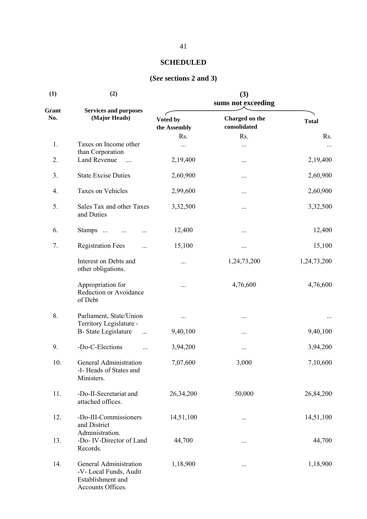| (1)          | (2)                                                                                       |                          | (3)<br>sums not exceeding      |              |
|--------------|-------------------------------------------------------------------------------------------|--------------------------|--------------------------------|--------------|
| Grant<br>No. | <b>Services and purposes</b><br>(Major Heads)                                             | Voted by<br>the Assembly | Charged on the<br>consolidated | <b>Total</b> |
|              |                                                                                           | Rs.                      | Rs.                            | Rs.          |
| 1.           | Taxes on Income other<br>than Corporation                                                 |                          |                                | $\cdots$     |
| 2.           | Land Revenue                                                                              | 2,19,400                 | $\cdots$                       | 2,19,400     |
| 3.           | <b>State Excise Duties</b>                                                                | 2,60,900                 | $\cdots$                       | 2,60,900     |
| 4.           | Taxes on Vehicles                                                                         | 2,99,600                 | $\cdots$                       | 2,60,900     |
| 5.           | Sales Tax and other Taxes<br>and Duties                                                   | 3,32,500                 | $\cdots$                       | 3,32,500     |
| 6.           | Stamps                                                                                    | 12,400                   |                                | 12,400       |
| 7.           | <b>Registration Fees</b><br>.                                                             | 15,100                   | $\cdots$                       | 15,100       |
|              | Interest on Debts and<br>other obligations.                                               |                          | 1,24,73,200                    | 1,24,73,200  |
|              | Appropriation for<br>Reduction or Avoidance<br>of Debt                                    |                          | 4,76,600                       | 4,76,600     |
| 8.           | Parliament, State/Union                                                                   |                          | $\cdots$                       |              |
|              | Territory Legislature -<br><b>B-State Legislature</b><br>$\ddots$                         | 9,40,100                 | $\cdots$                       | 9,40,100     |
| 9.           | -Do-C-Elections                                                                           | 3,94,200                 |                                | 3,94,200     |
| 10.          | General Administration<br>-I-Heads of States and<br>Ministers.                            | 7,07,600                 | 3,000                          | 7,10,600     |
| 11.          | -Do-II-Secretariat and<br>attached offices.                                               | 26,34,200                | 50,000                         | 26,84,200    |
| 12.          | -Do-III-Commissioners<br>and District<br>Administration.                                  | 14,51,100                |                                | 14,51,100    |
| 13.          | -Do- IV-Director of Land<br>Records.                                                      | 44,700                   | $\cdots$                       | 44,700       |
| 14.          | General Administration<br>-V-Local Funds, Audit<br>Establishment and<br>Accounts Offices. | 1,18,900                 | $\cdots$                       | 1,18,900     |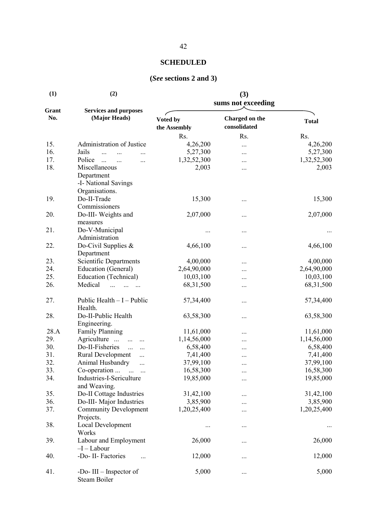| (1)          | (2)                                                                   |                          | (3)<br>sums not exceeding      |              |
|--------------|-----------------------------------------------------------------------|--------------------------|--------------------------------|--------------|
| Grant<br>No. | <b>Services and purposes</b><br>(Major Heads)                         | Voted by<br>the Assembly | Charged on the<br>consolidated | <b>Total</b> |
|              |                                                                       | Rs.                      | Rs.                            | Rs.          |
| 15.          | Administration of Justice                                             | 4,26,200                 |                                | 4,26,200     |
| 16.          | Jails<br>$\dddotsc$<br>$\cdots$                                       | 5,27,300                 |                                | 5,27,300     |
| 17.          | Police<br>$\dddotsc$<br>$\ddotsc$<br>$\cdots$                         | 1,32,52,300              |                                | 1,32,52,300  |
| 18.          | Miscellaneous<br>Department<br>-I- National Savings<br>Organisations. | 2,003                    |                                | 2,003        |
| 19.          | Do-II-Trade<br>Commissioners                                          | 15,300                   |                                | 15,300       |
| 20.          | Do-III- Weights and<br>measures                                       | 2,07,000                 |                                | 2,07,000     |
| 21.          | Do-V-Municipal<br>Administration                                      |                          |                                |              |
| 22.          | Do-Civil Supplies &<br>Department                                     | 4,66,100                 |                                | 4,66,100     |
| 23.          | Scientific Departments                                                | 4,00,000                 |                                | 4,00,000     |
| 24.          | Education (General)                                                   | 2,64,90,000              |                                | 2,64,90,000  |
| 25.          | Education (Technical)                                                 | 10,03,100                |                                | 10,03,100    |
| 26.          | Medical<br>$\dddotsc$                                                 | 68, 31, 500              |                                | 68, 31, 500  |
| 27.          | Public Health $-I$ – Public<br>Health.                                | 57,34,400                |                                | 57,34,400    |
| 28.          | Do-II-Public Health<br>Engineering.                                   | 63,58,300                |                                | 63,58,300    |
| 28.A         | <b>Family Planning</b>                                                | 11,61,000                |                                | 11,61,000    |
| 29.          | Agriculture<br>$\cdots$                                               | 1,14,56,000              |                                | 1,14,56,000  |
| 30.          | Do-II-Fisheries<br>$\cdots$<br>$\cdots$                               | 6,58,400                 |                                | 6,58,400     |
| 31.          | Rural Development<br>$\cdots$                                         | 7,41,400                 |                                | 7,41,400     |
| 32.          | Animal Husbandry<br>$\cdots$                                          | 37,99,100                | $\cdots$                       | 37,99,100    |
| 33.          | Co-operation                                                          | 16,58,300                |                                | 16,58,300    |
| 34.          | Industries-I-Sericulture<br>and Weaving.                              | 19,85,000                |                                | 19,85,000    |
| 35.          | Do-II Cottage Industries                                              | 31,42,100                |                                | 31,42,100    |
| 36.          | Do-III- Major Industries                                              | 3,85,900                 |                                | 3,85,900     |
| 37.          | <b>Community Development</b><br>Projects.                             | 1,20,25,400              |                                | 1,20,25,400  |
| 38.          | Local Development<br>Works                                            | $\cdots$                 |                                | $\cdots$     |
| 39.          | Labour and Employment<br>$-I-Labour$                                  | 26,000                   |                                | 26,000       |
| 40.          | -Do- II- Factories                                                    | 12,000                   |                                | 12,000       |
| 41.          | -Do-III $-$ Inspector of<br>Steam Boiler                              | 5,000                    |                                | 5,000        |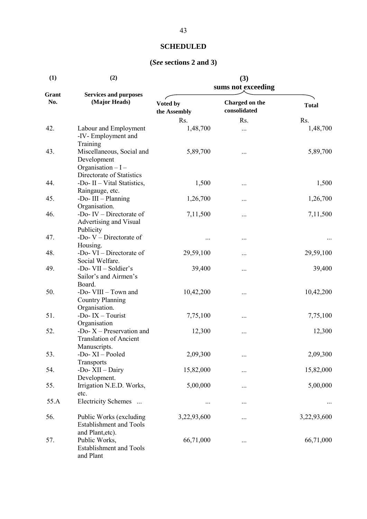| (1)          | (2)                                                                                          |                          | (3)<br>sums not exceeding      |              |
|--------------|----------------------------------------------------------------------------------------------|--------------------------|--------------------------------|--------------|
| Grant<br>No. | <b>Services and purposes</b><br>(Major Heads)                                                | Voted by<br>the Assembly | Charged on the<br>consolidated | <b>Total</b> |
|              |                                                                                              | Rs.                      | Rs.                            | Rs.          |
| 42.          | Labour and Employment<br>-IV-Employment and<br>Training                                      | 1,48,700                 | $\cdots$                       | 1,48,700     |
| 43.          | Miscellaneous, Social and<br>Development<br>Organisation $-I -$<br>Directorate of Statistics | 5,89,700                 |                                | 5,89,700     |
| 44.          | -Do- II - Vital Statistics,<br>Raingauge, etc.                                               | 1,500                    |                                | 1,500        |
| 45.          | -Do-III - Planning<br>Organisation.                                                          | 1,26,700                 | $\cdots$                       | 1,26,700     |
| 46.          | -Do- $IV - Director$ ate of<br>Advertising and Visual<br>Publicity                           | 7,11,500                 | $\cdots$                       | 7,11,500     |
| 47.          | -Do- $V -$ Directorate of<br>Housing.                                                        | $\cdots$                 |                                |              |
| 48.          | -Do- $VI$ – Directorate of<br>Social Welfare.                                                | 29,59,100                |                                | 29,59,100    |
| 49.          | -Do- VII - Soldier's<br>Sailor's and Airmen's<br>Board.                                      | 39,400                   | $\cdots$                       | 39,400       |
| 50.          | -Do- VIII - Town and<br><b>Country Planning</b><br>Organisation.                             | 10,42,200                |                                | 10,42,200    |
| 51.          | -Do- $IX - Tourism$<br>Organisation                                                          | 7,75,100                 | $\cdots$                       | 7,75,100     |
| 52.          | -Do- $X$ – Preservation and<br><b>Translation of Ancient</b><br>Manuscripts.                 | 12,300                   |                                | 12,300       |
| 53.          | -Do-XI-Pooled<br>Transports                                                                  | 2,09,300                 | $\cdots$                       | 2,09,300     |
| 54.          | -Do-XII - Dairy<br>Development.                                                              | 15,82,000                |                                | 15,82,000    |
| 55.          | Irrigation N.E.D. Works,<br>etc.                                                             | 5,00,000                 |                                | 5,00,000     |
| 55.A         | Electricity Schemes                                                                          | $\cdots$                 |                                |              |
| 56.          | Public Works (excluding<br><b>Establishment and Tools</b><br>and Plant, etc).                | 3,22,93,600              |                                | 3,22,93,600  |
| 57.          | Public Works,<br><b>Establishment and Tools</b><br>and Plant                                 | 66,71,000                | $\cdots$                       | 66,71,000    |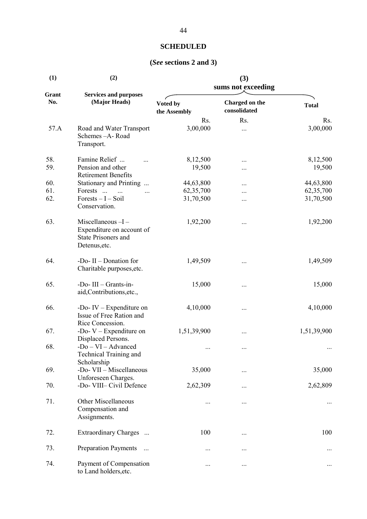| (1)          | (2)                                                                                          |                          | (3)<br>sums not exceeding      |              |
|--------------|----------------------------------------------------------------------------------------------|--------------------------|--------------------------------|--------------|
| Grant<br>No. | <b>Services and purposes</b><br>(Major Heads)                                                | Voted by<br>the Assembly | Charged on the<br>consolidated | <b>Total</b> |
|              |                                                                                              | Rs.                      | Rs.                            | Rs.          |
| 57.A         | Road and Water Transport<br>Schemes - A- Road<br>Transport.                                  | 3,00,000                 |                                | 3,00,000     |
| 58.          | Famine Relief                                                                                | 8,12,500                 |                                | 8,12,500     |
| 59.          | Pension and other<br><b>Retirement Benefits</b>                                              | 19,500                   |                                | 19,500       |
| 60.          | Stationary and Printing                                                                      | 44,63,800                |                                | 44,63,800    |
| 61.          | Forests                                                                                      | 62,35,700                |                                | 62,35,700    |
| 62.          | $Forests - I - Soil$<br>Conservation.                                                        | 31,70,500                |                                | 31,70,500    |
| 63.          | Miscellaneous-I-<br>Expenditure on account of<br><b>State Prisoners and</b><br>Detenus, etc. | 1,92,200                 |                                | 1,92,200     |
| 64.          | -Do- II - Donation for<br>Charitable purposes, etc.                                          | 1,49,509                 |                                | 1,49,509     |
| 65.          | -Do-III - Grants-in-<br>aid, Contributions, etc.,                                            | 15,000                   |                                | 15,000       |
| 66.          | -Do-IV $-$ Expenditure on<br>Issue of Free Ration and                                        | 4,10,000                 |                                | 4,10,000     |
| 67.          | Rice Concession.<br>-Do- $V$ – Expenditure on<br>Displaced Persons.                          | 1,51,39,900              |                                | 1,51,39,900  |
| 68.          | -Do - VI - Advanced<br>Technical Training and<br>Scholarship                                 | $\cdots$                 |                                |              |
| 69.          | -Do- VII - Miscellaneous<br>Unforeseen Charges.                                              | 35,000                   |                                | 35,000       |
| 70.          | -Do- VIII- Civil Defence                                                                     | 2,62,309                 |                                | 2,62,809     |
| 71.          | <b>Other Miscellaneous</b><br>Compensation and<br>Assignments.                               | $\cdots$                 |                                |              |
| 72.          | Extraordinary Charges                                                                        | 100                      |                                | 100          |
| 73.          | <b>Preparation Payments</b><br>$\ddots$                                                      | $\cdots$                 |                                |              |
| 74.          | Payment of Compensation<br>to Land holders, etc.                                             | $\cdots$                 |                                |              |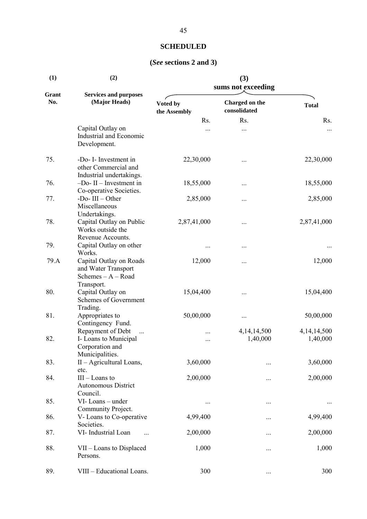| (1)          | (2)                                                                                          |                          | (3)<br>sums not exceeding      |                         |
|--------------|----------------------------------------------------------------------------------------------|--------------------------|--------------------------------|-------------------------|
| Grant<br>No. | <b>Services and purposes</b><br>(Major Heads)                                                | Voted by<br>the Assembly | Charged on the<br>consolidated | <b>Total</b>            |
|              |                                                                                              | Rs.                      | Rs.                            | Rs.                     |
|              | Capital Outlay on<br>Industrial and Economic<br>Development.                                 |                          |                                | $\cdots$                |
| 75.          | -Do- I- Investment in<br>other Commercial and<br>Industrial undertakings.                    | 22,30,000                |                                | 22,30,000               |
| 76.          | $-Do$ - II – Investment in<br>Co-operative Societies.                                        | 18,55,000                |                                | 18,55,000               |
| 77.          | -Do- $III - Other$<br>Miscellaneous<br>Undertakings.                                         | 2,85,000                 |                                | 2,85,000                |
| 78.          | Capital Outlay on Public<br>Works outside the<br>Revenue Accounts.                           | 2,87,41,000              |                                | 2,87,41,000             |
| 79.          | Capital Outlay on other<br>Works.                                                            |                          | $\cdots$                       | $\cdots$                |
| 79.A         | Capital Outlay on Roads<br>and Water Transport<br>Schemes - A - Road<br>Transport.           | 12,000                   |                                | 12,000                  |
| 80.          | Capital Outlay on<br>Schemes of Government<br>Trading.                                       | 15,04,400                |                                | 15,04,400               |
| 81.          | Appropriates to<br>Contingency Fund.                                                         | 50,00,000                |                                | 50,00,000               |
| 82.          | Repayment of Debt<br>$\ddots$<br>I- Loans to Municipal<br>Corporation and<br>Municipalities. | <br>                     | 4, 14, 14, 500<br>1,40,000     | 4,14,14,500<br>1,40,000 |
| 83.          | II - Agricultural Loans,<br>etc.                                                             | 3,60,000                 | $\cdots$                       | 3,60,000                |
| 84.          | $III$ – Loans to<br><b>Autonomous District</b><br>Council.                                   | 2,00,000                 |                                | 2,00,000                |
| 85.          | VI-Loans-under<br>Community Project.                                                         | $\cdots$                 | $\cdots$                       |                         |
| 86.          | V-Loans to Co-operative<br>Societies.                                                        | 4,99,400                 | $\cdots$                       | 4,99,400                |
| 87.          | VI- Industrial Loan                                                                          | 2,00,000                 |                                | 2,00,000                |
| 88.          | VII - Loans to Displaced<br>Persons.                                                         | 1,000                    |                                | 1,000                   |
| 89.          | VIII - Educational Loans.                                                                    | 300                      |                                | 300                     |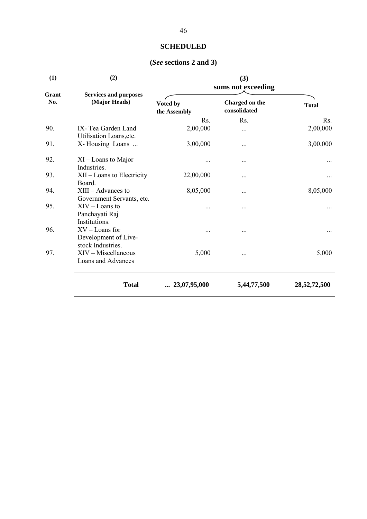| (2)                                                           |                          | (3)<br>sums not exceeding      |              |
|---------------------------------------------------------------|--------------------------|--------------------------------|--------------|
| <b>Services and purposes</b><br>(Major Heads)                 | Voted by<br>the Assembly | Charged on the<br>consolidated | <b>Total</b> |
|                                                               | Rs.                      | Rs.                            | Rs.          |
| IX-Tea Garden Land<br>Utilisation Loans, etc.                 | 2,00,000                 |                                | 2,00,000     |
| X-Housing Loans                                               | 3,00,000                 |                                | 3,00,000     |
| $XI$ – Loans to Major<br>Industries.                          |                          |                                |              |
| XII - Loans to Electricity<br>Board.                          | 22,00,000                | $\cdots$                       |              |
| $XIII - Advances$ to<br>Government Servants, etc.             | 8,05,000                 |                                | 8,05,000     |
| $XIV$ – Loans to<br>Panchayati Raj<br>Institutions.           |                          |                                |              |
| $XV$ – Loans for<br>Development of Live-<br>stock Industries. |                          |                                |              |
| $XIV$ – Miscellaneous<br>Loans and Advances                   | 5,000                    |                                | 5,000        |
| <b>Total</b>                                                  | $\ldots$ 23,07,95,000    | 5,44,77,500                    | 28,52,72,500 |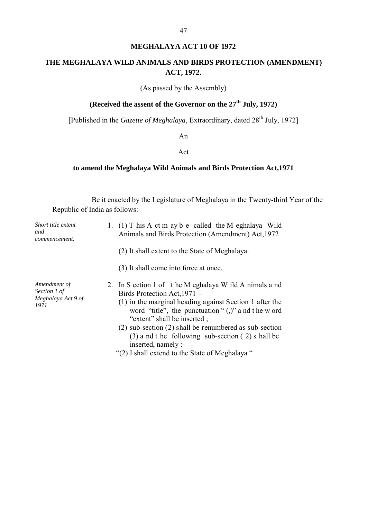### **MEGHALAYA ACT 10 OF 1972**

### **THE MEGHALAYA WILD ANIMALS AND BIRDS PROTECTION (AMENDMENT) ACT, 1972.**

(As passed by the Assembly)

# **(Received the assent of the Governor on the 27th July, 1972)**

[Published in the *Gazette of Meghalaya*, Extraordinary, dated 28<sup>th</sup> July, 1972]

An

#### Act

### **to amend the Meghalaya Wild Animals and Birds Protection Act,1971**

Be it enacted by the Legislature of Meghalaya in the Twenty-third Year of the Republic of India as follows:-

| Short title extent<br>and<br>commencement.                 | 1. (1) T his A ct m ay b e called the M eghalaya Wild<br>Animals and Birds Protection (Amendment) Act, 1972                                                                                                                                                                                                                                                                                                                                 |
|------------------------------------------------------------|---------------------------------------------------------------------------------------------------------------------------------------------------------------------------------------------------------------------------------------------------------------------------------------------------------------------------------------------------------------------------------------------------------------------------------------------|
|                                                            | (2) It shall extent to the State of Meghalaya.                                                                                                                                                                                                                                                                                                                                                                                              |
|                                                            | (3) It shall come into force at once.                                                                                                                                                                                                                                                                                                                                                                                                       |
| Amendment of<br>Section 1 of<br>Meghalaya Act 9 of<br>1971 | 2. In S ection 1 of the M eghalaya W ild A nimals a nd<br>Birds Protection Act, 1971 –<br>(1) in the marginal heading against Section 1 after the<br>word "title", the punctuation " $($ ,)" a nd t he w ord<br>"extent" shall be inserted;<br>$(2)$ sub-section $(2)$ shall be renumbered as sub-section<br>$(3)$ a nd t he following sub-section $(2)$ s hall be<br>inserted, namely :-<br>"(2) I shall extend to the State of Meghalaya" |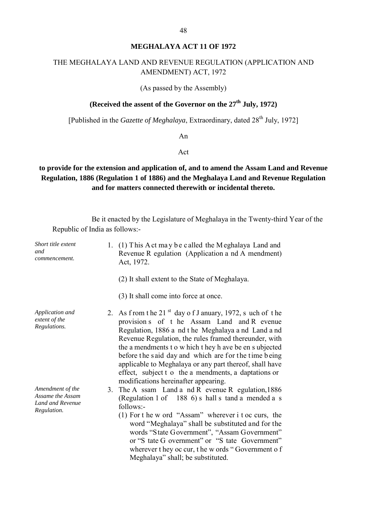### **MEGHALAYA ACT 11 OF 1972**

# THE MEGHALAYA LAND AND REVENUE REGULATION (APPLICATION AND AMENDMENT) ACT, 1972

(As passed by the Assembly)

# **(Received the assent of the Governor on the 27th July, 1972)**

[Published in the *Gazette of Meghalaya*, Extraordinary, dated 28<sup>th</sup> July, 1972]

An

Act

# **to provide for the extension and application of, and to amend the Assam Land and Revenue Regulation, 1886 (Regulation 1 of 1886) and the Meghalaya Land and Revenue Regulation and for matters connected therewith or incidental thereto.**

Be it enacted by the Legislature of Meghalaya in the Twenty-third Year of the Republic of India as follows:-

| Short title extent<br>and<br>commencement.                              | 1. (1) This A ct may be called the Meghalaya Land and<br>Revenue R egulation (Application a nd A mendment)<br>Act, 1972.                                                                                                                                                                                                                                                                                                                                                                                   |
|-------------------------------------------------------------------------|------------------------------------------------------------------------------------------------------------------------------------------------------------------------------------------------------------------------------------------------------------------------------------------------------------------------------------------------------------------------------------------------------------------------------------------------------------------------------------------------------------|
|                                                                         | (2) It shall extent to the State of Meghalaya.                                                                                                                                                                                                                                                                                                                                                                                                                                                             |
|                                                                         | (3) It shall come into force at once.                                                                                                                                                                                                                                                                                                                                                                                                                                                                      |
| Application and<br>extent of the<br>Regulations.                        | 2. As from the 21 <sup>st</sup> day of J anuary, 1972, such of the<br>provision s of t he Assam Land and R evenue<br>Regulation, 1886 a nd the Meghalaya and Land and<br>Revenue Regulation, the rules framed thereunder, with<br>the a mendments to w hich they h ave be en s ubjected<br>before the said day and which are for the time being<br>applicable to Meghalaya or any part thereof, shall have<br>effect, subject t o the a mendments, a daptations or<br>modifications hereinafter appearing. |
| Amendment of the<br>Assame the Assam<br>Land and Revenue<br>Regulation. | 3. The A ssam Land a nd R evenue R egulation, 1886<br>(Regulation 1 of 188 6) s hall s tand a mended a s<br>follows:-<br>(1) For t he w ord "Assam" wherever i t oc curs, the<br>word "Meghalaya" shall be substituted and for the<br>words "State Government", "Assam Government"<br>or "S tate G overnment" or "S tate Government"<br>wherever they oc cur, the w ords "Government of<br>Meghalaya" shall; be substituted.                                                                               |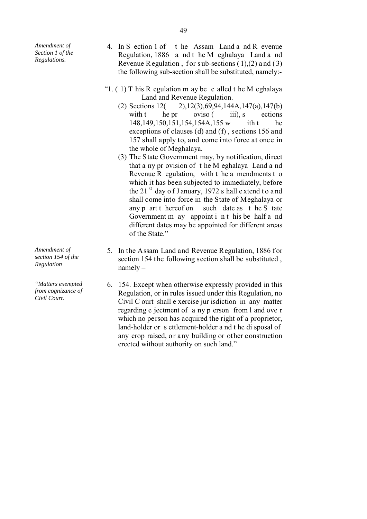*Amendment of Section 1 of the Regulations.*

- 4. In S ection 1 of t he Assam Land a nd R evenue Regulation, 1886 a nd t he M eghalaya Land a nd Revenue R egulation, for sub-sections  $(1),(2)$  and  $(3)$ the following sub-section shall be substituted, namely:-
- "1.  $(1)$  T his R egulation m ay be c alled t he M eghalaya Land and Revenue Regulation.
	- (2) Sections 12( 2),12(3),69,94,144A,147(a),147(b) with t he pr oviso  $(iii)$ , s ections 148,149,150,151,154,154A,155 w ith t he exceptions of clauses (d) and (f) , sections 156 and 157 shall apply to, and come into force at once in the whole of Meghalaya.
	- (3) The State Government may, by notification, direct that a ny pr ovision of t he M eghalaya Land a nd Revenue R egulation, with t he a mendments t o which it has been subjected to immediately, before the 21 $^{\text{st}}$  day of J anuary, 1972 s hall extend to and shall come into force in the State of Meghalaya or any p art t hereof on such date as t he S tate Government m ay appoint i n t his be half a nd different dates may be appointed for different areas of the State."
- 5. In the Assam Land and Revenue Regulation, 1886 for section 154 the following section shall be substituted , namely –
- 6. 154. Except when otherwise expressly provided in this Regulation, or in rules issued under this Regulation, no Civil C ourt shall e xercise jur isdiction in any matter regarding e jectment of a ny p erson from l and ove r which no person has acquired the right of a proprietor, land-holder or s ettlement-holder a nd t he di sposal of any crop raised, or any building or other construction erected without authority on such land."

*Amendment of section 154 of the Regulation*

*"Matters exempted from cognizance of Civil Court.*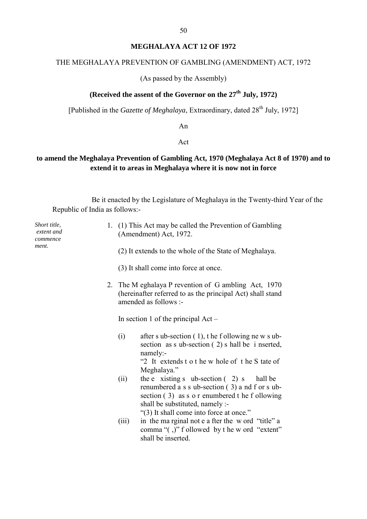### **MEGHALAYA ACT 12 OF 1972**

# THE MEGHALAYA PREVENTION OF GAMBLING (AMENDMENT) ACT, 1972

(As passed by the Assembly)

# **(Received the assent of the Governor on the 27th July, 1972)**

[Published in the *Gazette of Meghalaya*, Extraordinary, dated 28<sup>th</sup> July, 1972]

An

#### Act

## **to amend the Meghalaya Prevention of Gambling Act, 1970 (Meghalaya Act 8 of 1970) and to extend it to areas in Meghalaya where it is now not in force**

Be it enacted by the Legislature of Meghalaya in the Twenty-third Year of the Republic of India as follows:-

| Short title,<br>extent and<br>commence | 1. (1) This Act may be called the Prevention of Gambling<br>(Amendment) Act, 1972.                                                                                                                                                       |
|----------------------------------------|------------------------------------------------------------------------------------------------------------------------------------------------------------------------------------------------------------------------------------------|
| ment.                                  | (2) It extends to the whole of the State of Meghalaya.                                                                                                                                                                                   |
|                                        | (3) It shall come into force at once.                                                                                                                                                                                                    |
|                                        | 2. The M eghalaya P revention of G ambling Act, 1970<br>(hereinafter referred to as the principal Act) shall stand<br>amended as follows :-                                                                                              |
|                                        | In section 1 of the principal $Act -$                                                                                                                                                                                                    |
|                                        | after s ub-section $(1)$ , the f ollowing new s ub-<br>(i)<br>section as s ub-section $(2)$ s hall be i nserted,<br>namely:-<br>"2 It extends t o t he w hole of t he S tate of<br>Meghalaya."                                           |
|                                        | the e xisting s ub-section $(2)$ s<br>(ii)<br>hall be<br>renumbered a s s ub-section (3) a nd f or s ub-<br>section (3) as s o r enumbered t he f ollowing<br>shall be substituted, namely :-<br>"(3) It shall come into force at once." |
|                                        | in the marginal not e a fter the word "title" a<br>(iii)<br>comma "(,)" f ollowed by t he w ord "extent"<br>shall be inserted.                                                                                                           |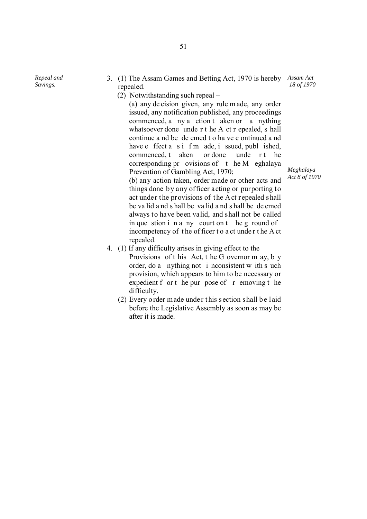*Repeal and Savings.*

- 3. (1) The Assam Games and Betting Act, 1970 is hereby *Assam Act* repealed. *18 of 1970*
	- (2) Notwithstanding such repeal –

(a) any de cision given, any rule m ade, any order issued, any notification published, any proceedings commenced, a ny a ction t aken or a nything whatsoever done unde r t he A ct r epealed, s hall continue a nd be de emed t o ha ve c ontinued a nd have e ffect a s i f m ade, i ssued, publ ished, commenced, t aken or done unde r t he corresponding pr ovisions of t he M eghalaya Prevention of Gambling Act, 1970;

(b) any action taken, order made or other acts and things done by any officer acting or purporting to act under the provisions of the Act repealed shall be va lid a nd s hall be va lid a nd s hall be de emed always to have been valid, and shall not be called in que stion i n a ny court on t he g round of incompetency of the officer to a ct under the A ct repealed.

- 4. (1) If any difficulty arises in giving effect to the Provisions of t his Act, t he G overnor m ay, b y order, do a nything not i nconsistent w ith s uch provision, which appears to him to be necessary or expedient f or t he pur pose of r emoving t he difficulty.
	- (2) Every o rder made under this section shall b e laid before the Legislative Assembly as soon as may be after it is made.

*Meghalaya Act 8 of 1970*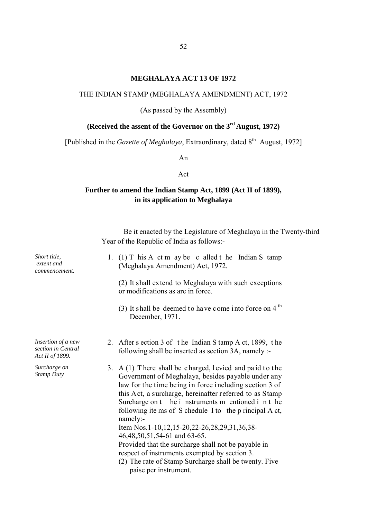#### **MEGHALAYA ACT 13 OF 1972**

#### THE INDIAN STAMP (MEGHALAYA AMENDMENT) ACT, 1972

(As passed by the Assembly)

# **(Received the assent of the Governor on the 3rd August, 1972)**

[Published in the *Gazette of Meghalaya*, Extraordinary, dated 8<sup>th</sup> August, 1972]

An

#### Act

# **Further to amend the Indian Stamp Act, 1899 (Act II of 1899), in its application to Meghalaya**

Be it enacted by the Legislature of Meghalaya in the Twenty-third Year of the Republic of India as follows:-

| Short title,<br>extent and<br>commencement.                 | 1. (1) T his A ct m ay be c alled t he Indian S tamp<br>(Meghalaya Amendment) Act, 1972.<br>(2) It shall extend to Meghalaya with such exceptions<br>or modifications as are in force.<br>(3) It shall be deemed to have come into force on 4 <sup>th</sup><br>December, 1971.                                                                                                                                                                                                                                                                                                                                                                     |
|-------------------------------------------------------------|----------------------------------------------------------------------------------------------------------------------------------------------------------------------------------------------------------------------------------------------------------------------------------------------------------------------------------------------------------------------------------------------------------------------------------------------------------------------------------------------------------------------------------------------------------------------------------------------------------------------------------------------------|
| Insertion of a new<br>section in Central<br>Act II of 1899. | 2. After s ection 3 of the Indian S tamp A ct, 1899, the<br>following shall be inserted as section 3A, namely :-                                                                                                                                                                                                                                                                                                                                                                                                                                                                                                                                   |
| Surcharge on<br><b>Stamp Duty</b>                           | 3. $A(1)$ There shall be charged, levied and paid to the<br>Government of Meghalaya, besides payable under any<br>law for the time being in force including section 3 of<br>this Act, a surcharge, hereinafter referred to as Stamp<br>Surcharge on t he i nstruments m entioned i n t he<br>following ite ms of S chedule I to the p rincipal A ct,<br>namely:-<br>Item Nos.1-10,12,15-20,22-26,28,29,31,36,38-<br>46, 48, 50, 51, 54 - 61 and 63 - 65.<br>Provided that the surcharge shall not be payable in<br>respect of instruments exempted by section 3.<br>(2) The rate of Stamp Surcharge shall be twenty. Five<br>paise per instrument. |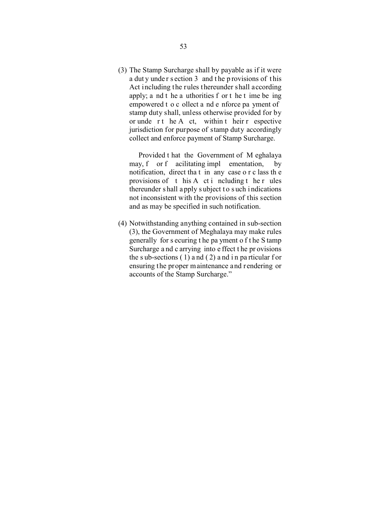(3) The Stamp Surcharge shall by payable as if it were a dut y unde r s ection 3 and t he p rovisions of t his Act including the rules thereunder shall according apply; a nd t he a uthorities f or t he t ime be ing empowered t o c ollect a nd e nforce pa yment of stamp duty shall, unless otherwise provided for by or unde r t he A ct, within t heir r espective jurisdiction for purpose of stamp duty accordingly collect and enforce payment of Stamp Surcharge.

 Provided t hat the Government of M eghalaya may, f or f acilitating impl ementation, by notification, direct tha t in any case o r c lass th e provisions of  $t$  his A ct i ncluding  $t$  he r ules thereunder shall a pply s ubject to such indications not inconsistent with the provisions of this section and as may be specified in such notification.

(4) Notwithstanding anything contained in sub-section (3), the Government of Meghalaya may make rules generally for s ecuring t he pa yment o f t he S tamp Surcharge a nd c arrying into e ffect t he pr ovisions the s ub-sections  $(1)$  and  $(2)$  and in particular for ensuring the proper maintenance and rendering or accounts of the Stamp Surcharge."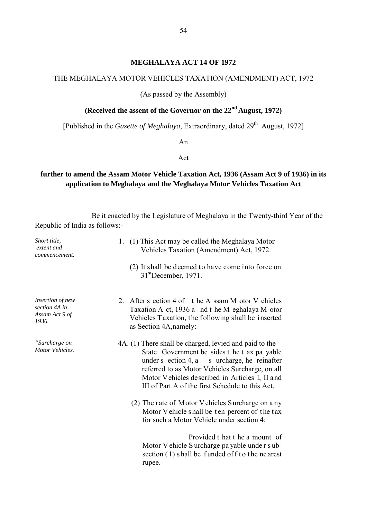#### **MEGHALAYA ACT 14 OF 1972**

#### THE MEGHALAYA MOTOR VEHICLES TAXATION (AMENDMENT) ACT, 1972

(As passed by the Assembly)

# **(Received the assent of the Governor on the 22nd August, 1972)**

[Published in the *Gazette of Meghalaya*, Extraordinary, dated 29<sup>th</sup> August, 1972]

An

Act

# **further to amend the Assam Motor Vehicle Taxation Act, 1936 (Assam Act 9 of 1936) in its application to Meghalaya and the Meghalaya Motor Vehicles Taxation Act**

Be it enacted by the Legislature of Meghalaya in the Twenty-third Year of the Republic of India as follows:-

| Short title,<br>extent and<br>commencement.                  | 1. (1) This Act may be called the Meghalaya Motor<br>Vehicles Taxation (Amendment) Act, 1972.                                                                                                                                                                                                                   |
|--------------------------------------------------------------|-----------------------------------------------------------------------------------------------------------------------------------------------------------------------------------------------------------------------------------------------------------------------------------------------------------------|
|                                                              | (2) It shall be deemed to have come into force on<br>$31st$ December, 1971.                                                                                                                                                                                                                                     |
| Insertion of new<br>section 4A in<br>Assam Act 9 of<br>1936. | 2. After s ection 4 of the A ssam M otor V ehicles<br>Taxation A ct, 1936 a nd t he M eghalaya M otor<br>Vehicles Taxation, the following shall be inserted<br>as Section 4A, namely:-                                                                                                                          |
| "Surcharge on<br>Motor Vehicles.                             | 4A. (1) There shall be charged, levied and paid to the<br>State Government be sides t he t ax pa yable<br>under s ection 4, a s urcharge, he reinafter<br>referred to as Motor Vehicles Surcharge, on all<br>Motor Vehicles described in Articles I, II and<br>III of Part A of the first Schedule to this Act. |
|                                                              | (2) The rate of Motor Vehicles Surcharge on a ny<br>Motor V ehicle shall be ten percent of the tax<br>for such a Motor Vehicle under section 4:                                                                                                                                                                 |
|                                                              | Provided t hat t he a mount of<br>Motor V ehicle S urcharge pa yable under s ub-<br>section $(1)$ shall be funded of f to the nearest<br>rupee.                                                                                                                                                                 |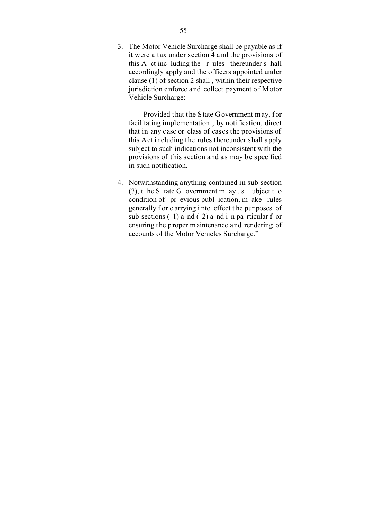3. The Motor Vehicle Surcharge shall be payable as if it were a tax under section 4 a nd the provisions of this A ct inc luding the r ules thereunder s hall accordingly apply and the officers appointed under clause (1) of section 2 shall , within their respective jurisdiction enforce and collect payment o f Motor Vehicle Surcharge:

Provided that the State Government may, for facilitating implementation , by notification, direct that in any case or class of cases the provisions of this Act including the rules thereunder shall apply subject to such indications not inconsistent with the provisions of this section and as may be specified in such notification.

4. Notwithstanding anything contained in sub-section  $(3)$ , t he S tate G overnment m ay, s ubject t o condition of pr evious publ ication, m ake rules generally f or c arrying i nto effect t he pur poses of sub-sections  $(1)$  a nd  $(2)$  a nd i n pa rticular f or ensuring the p roper maintenance and rendering of accounts of the Motor Vehicles Surcharge."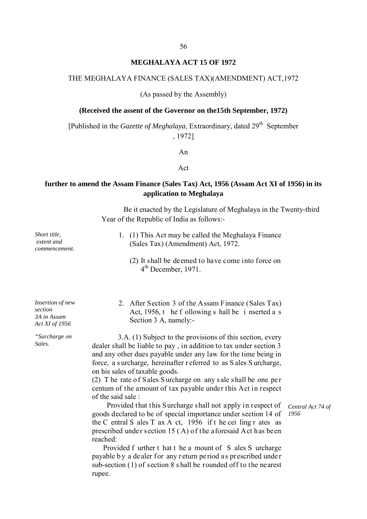#### **MEGHALAYA ACT 15 OF 1972**

#### THE MEGHALAYA FINANCE (SALES TAX)(AMENDMENT) ACT,1972

(As passed by the Assembly)

#### **(Received the assent of the Governor on the15th September, 1972)**

[Published in the *Gazette of Meghalaya*, Extraordinary, dated 29th September , 1972]

An

#### Act

#### **further to amend the Assam Finance (Sales Tax) Act, 1956 (Assam Act XI of 1956) in its application to Meghalaya**

Be it enacted by the Legislature of Meghalaya in the Twenty-third Year of the Republic of India as follows:-

- 1. (1) This Act may be called the Meghalaya Finance (Sales Tax) (Amendment) Act, 1972.
	- (2) It shall be deemed to have come into force on  $4<sup>th</sup>$  December, 1971.
- 2. After Section 3 of the Assam Finance (Sales Tax) Act, 1956, t he f ollowing s hall be i nserted a s Section 3 A, namely:-

*Surcharge on* 3.A. (1) Subject to the provisions of this section, every sales. dealer shall be liable to pay , in addition to tax under section 3 and any other dues payable under any law for the time being in force, a s urcharge, hereinafter r eferred to as S ales S urcharge, on his sales of taxable goods.

> (2) T he rate o f S ales S urcharge on any s ale s hall be one pe r centum of the amount of tax payable under this Act in respect of the said sale :

> Provided that this Surcharge shall not apply in respect of goods declared to be of special importance under section 14 of the C entral S ales T ax A ct, 1956 if t he cei ling r ates as prescribed under section 15 ( A) of the aforesaid Act has been reached:

> Provided f urther t hat t he a mount of S ales S urcharge payable by a dealer for any return period as prescribed under sub-section (1) of section 8 s hall be rounded off to the nearest rupee.

*Central Act 74 of 1956*

*Insertion of new section 3A in Assam Act XI of 1956*

*Short title, extent and commencement.*

*"Surcharge on*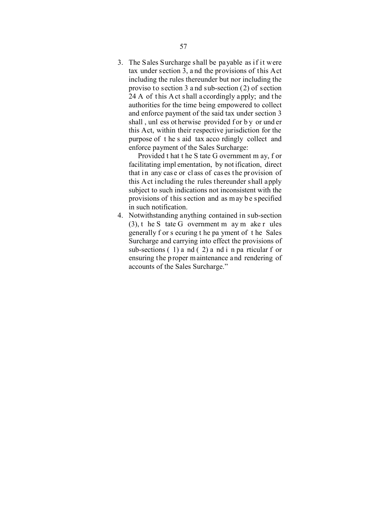3. The Sales Surcharge shall be payable as if it were tax under section 3, a nd the provisions of this Act including the rules thereunder but nor including the proviso to section 3 a nd sub-section (2) of section  $24 A$  of this A ct shall a ccordingly a pply; and the authorities for the time being empowered to collect and enforce payment of the said tax under section 3 shall, unl ess ot herwise provided f or by or und er this Act, within their respective jurisdiction for the purpose of t he s aid tax acco rdingly collect and enforce payment of the Sales Surcharge:

 Provided t hat t he S tate G overnment m ay, f or facilitating impl ementation, by not ification, direct that in any case or class of cases the provision of this Act including the rules thereunder shall apply subject to such indications not inconsistent with the provisions of this section and as may be specified in such notification.

4. Notwithstanding anything contained in sub-section (3), t he S tate G overnment m ay m ake r ules generally f or s ecuring t he pa yment of t he Sales Surcharge and carrying into effect the provisions of sub-sections  $(1)$  a nd  $(2)$  a nd i n pa rticular f or ensuring the p roper maintenance and rendering of accounts of the Sales Surcharge."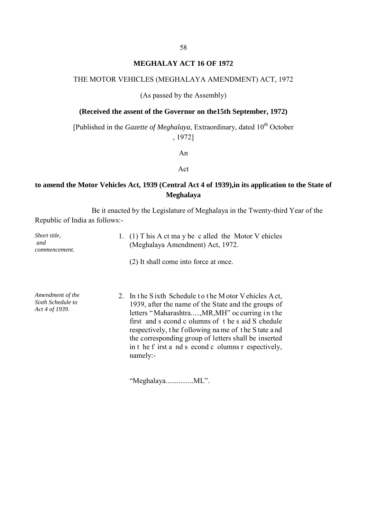### **MEGHALAY ACT 16 OF 1972**

#### THE MOTOR VEHICLES (MEGHALAYA AMENDMENT) ACT, 1972

(As passed by the Assembly)

#### **(Received the assent of the Governor on the15th September, 1972)**

[Published in the *Gazette of Meghalaya*, Extraordinary, dated 10<sup>th</sup> October , 1972]

An

Act

### **to amend the Motor Vehicles Act, 1939 (Central Act 4 of 1939),in its application to the State of Meghalaya**

Be it enacted by the Legislature of Meghalaya in the Twenty-third Year of the Republic of India as follows:-

| Short title,<br>and<br>commencement.                    | 1. (1) T his A ct ma y be c alled the Motor V ehicles<br>(Meghalaya Amendment) Act, 1972.                                                                                                                                                                                                                                                                                                           |
|---------------------------------------------------------|-----------------------------------------------------------------------------------------------------------------------------------------------------------------------------------------------------------------------------------------------------------------------------------------------------------------------------------------------------------------------------------------------------|
|                                                         | (2) It shall come into force at once.                                                                                                                                                                                                                                                                                                                                                               |
| Amendment of the<br>Sixth Schedule to<br>Act 4 of 1939. | 2. In the Sixth Schedule to the Motor V ehicles Act,<br>1939, after the name of the State and the groups of<br>letters "Maharashtra, MR, MH" oc curring in the<br>first and s econd c olumns of the s aid S chedule<br>respectively, the following name of the State and<br>the corresponding group of letters shall be inserted<br>in t he f irst a nd s econd c olumns r espectively,<br>namely:- |

"Meghalaya...............ML".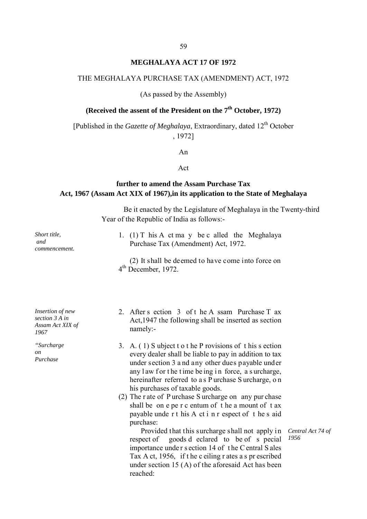#### **MEGHALAYA ACT 17 OF 1972**

#### THE MEGHALAYA PURCHASE TAX (AMENDMENT) ACT, 1972

(As passed by the Assembly)

# **(Received the assent of the President on the 7th October, 1972)**

[Published in the *Gazette of Meghalaya*, Extraordinary, dated 12<sup>th</sup> October , 1972]

An

#### Act

### **further to amend the Assam Purchase Tax Act, 1967 (Assam Act XIX of 1967),in its application to the State of Meghalaya**

Be it enacted by the Legislature of Meghalaya in the Twenty-third Year of the Republic of India as follows:-

*Short title, and commencement.* 1. (1) T his A ct ma y be c alled the Meghalaya Purchase Tax (Amendment) Act, 1972.

 (2) It shall be deemed to have come into force on 4<sup>th</sup> December, 1972.

*Insertion of new section 3 A in Assam Act XIX of 1967*

*"Surcharge on Purchase*

- 2. After s ection 3 of t he A ssam Purchase T ax Act,1947 the following shall be inserted as section namely:-
- 3. A. ( 1) S ubject t o t he P rovisions of t his s ection every dealer shall be liable to pay in addition to tax under section 3 a nd any other dues payable under any law for the time being in force, a surcharge, hereinafter referred to a s P urchase S urcharge, o n his purchases of taxable goods.
- (2) The r ate of P urchase S urcharge on any pur chase shall be on e pe r c entum of t he a mount of t ax payable unde r t his A ct i n r espect of t he s aid purchase:

 Provided that this surcharge shall not apply in respect of goods d eclared to be of s pecial importance unde r s ection 14 of t he C entral S ales Tax A ct, 1956, if t he c eiling r ates a s pr escribed under section 15 (A) of the aforesaid Act has been reached:

*Central Act 74 of 1956*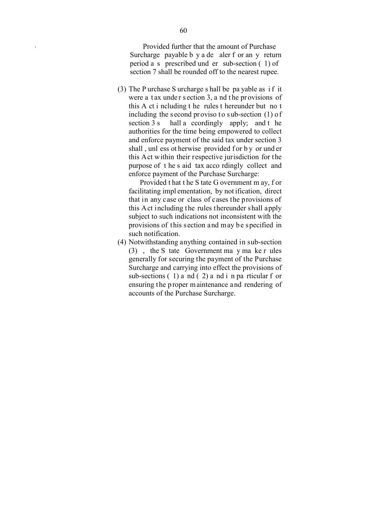*.* Provided further that the amount of Purchase Surcharge payable b y a de aler f or an y return period a s prescribed und er sub-section ( 1) of section 7 shall be rounded off to the nearest rupee.

(3) The P urchase S urcharge s hall be pa yable as i f it were a tax under section 3, a nd the provisions of this A ct i ncluding t he rules t hereunder but no t including the second proviso to sub-section (1) of section 3 s hall a ccordingly apply; and t he authorities for the time being empowered to collect and enforce payment of the said tax under section 3 shall, unl ess ot herwise provided f or by or und er this Act within their respective jurisdiction for the purpose of t he s aid tax acco rdingly collect and enforce payment of the Purchase Surcharge:

 Provided t hat t he S tate G overnment m ay, f or facilitating impl ementation, by not ification, direct that in any case or class of cases the provisions of this Act including the rules thereunder shall apply subject to such indications not inconsistent with the provisions of this section and may be specified in such notification.

(4) Notwithstanding anything contained in sub-section (3) , the S tate Government ma y ma ke r ules generally for securing the payment of the Purchase Surcharge and carrying into effect the provisions of sub-sections  $(1)$  a nd  $(2)$  a nd i n pa rticular f or ensuring the p roper maintenance and rendering of accounts of the Purchase Surcharge.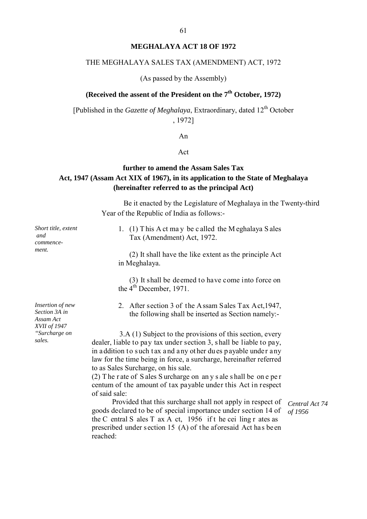#### **MEGHALAYA ACT 18 OF 1972**

#### THE MEGHALAYA SALES TAX (AMENDMENT) ACT, 1972

(As passed by the Assembly)

## **(Received the assent of the President on the 7th October, 1972)**

[Published in the *Gazette of Meghalaya*, Extraordinary, dated 12<sup>th</sup> October , 1972]

An

#### Act

### **further to amend the Assam Sales Tax Act, 1947 (Assam Act XIX of 1967), in its application to the State of Meghalaya (hereinafter referred to as the principal Act)**

Be it enacted by the Legislature of Meghalaya in the Twenty-third Year of the Republic of India as follows:-

1. (1) T his A ct ma y be c alled the M eghalaya S ales Tax (Amendment) Act, 1972.

 (2) It shall have the like extent as the principle Act in Meghalaya.

 (3) It shall be deemed to have come into force on the  $4<sup>th</sup>$  December, 1971.

2. After section 3 of the Assam Sales Tax Act,1947, the following shall be inserted as Section namely:-

*sales.* 3.A (1) Subject to the provisions of this section, every dealer, liable to pay tax under section 3, s hall be liable to pay, in addition to such tax a nd any other du es p ayable under any law for the time being in force, a surcharge, hereinafter referred to as Sales Surcharge, on his sale.

> (2) T he r ate of S ales S urcharge on an y s ale s hall be on e pe r centum of the amount of tax payable under this Act in respect of said sale:

 Provided that this surcharge shall not apply in respect of goods declared to be of special importance under section 14 of the C entral S ales T ax A ct, 1956 if t he cei ling r ates as prescribed under section 15 (A) of the aforesaid Act has been reached:

*Central Act 74 of 1956* 

*Insertion of new Section 3A in Assam Act XVII of 1947 "Surcharge on* 

*Short title, extent*

*and commencement.*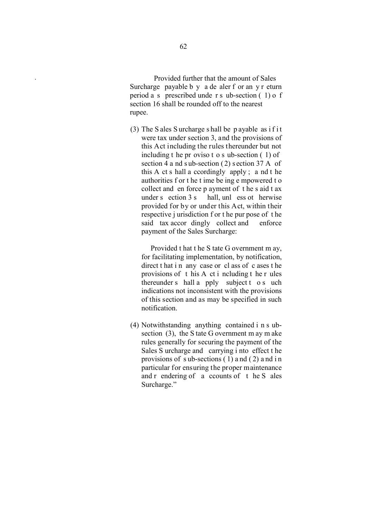*.* Provided further that the amount of Sales Surcharge payable b y a de aler f or an y r eturn period a s prescribed unde r s ub-section ( 1) o f section 16 shall be rounded off to the nearest rupee.

(3) The S ales S urcharge s hall be p ayable as if it were tax under section 3, and the provisions of this Act including the rules thereunder but not including t he pr oviso t o s ub-section ( 1) of section 4 a nd sub-section  $(2)$  s ection 37 A of this A ct s hall a ccordingly apply ; a nd t he authorities f or t he t ime be ing e mpowered t o collect and en force p ayment of t he s aid t ax under s ection 3 s hall, unl ess ot herwise provided for by or under this Act, within their respective j urisdiction f or t he pur pose of t he said tax accor dingly collect and enforce payment of the Sales Surcharge:

 Provided t hat t he S tate G overnment m ay, for facilitating implementation, by notification, direct t hat i n any case or cl ass of c ases t he provisions of t his A ct i ncluding t he r ules thereunder s hall a pply subject t o s uch indications not inconsistent with the provisions of this section and as may be specified in such notification.

(4) Notwithstanding anything contained i n s ubsection (3), the S tate G overnment m ay m ake rules generally for securing the payment of the Sales S urcharge and carrying i nto effect t he provisions of sub-sections  $(1)$  and  $(2)$  and in particular for ensuring the proper maintenance and r endering of a ccounts of t he S ales Surcharge."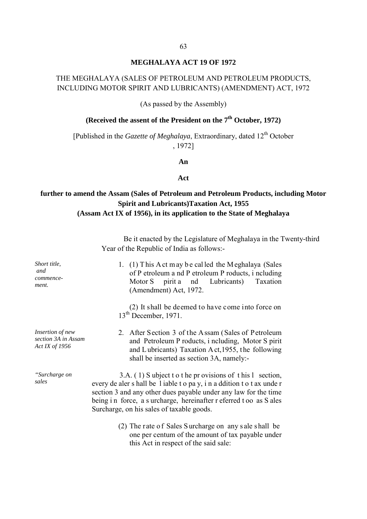#### **MEGHALAYA ACT 19 OF 1972**

# THE MEGHALAYA (SALES OF PETROLEUM AND PETROLEUM PRODUCTS, INCLUDING MOTOR SPIRIT AND LUBRICANTS) (AMENDMENT) ACT, 1972

(As passed by the Assembly)

# **(Received the assent of the President on the 7<sup>th</sup> October, 1972)**

[Published in the *Gazette of Meghalaya*, Extraordinary, dated 12<sup>th</sup> October , 1972]

#### **An**

#### **Act**

### **further to amend the Assam (Sales of Petroleum and Petroleum Products, including Motor Spirit and Lubricants)Taxation Act, 1955 (Assam Act IX of 1956), in its application to the State of Meghalaya**

Be it enacted by the Legislature of Meghalaya in the Twenty-third Year of the Republic of India as follows:-

- 1. (1) T his A ct m ay b e cal led the M eghalaya (Sales of P etroleum a nd P etroleum P roducts, i ncluding Motor S pirit a nd Lubricants) Taxation (Amendment) Act, 1972. (2) It shall be deemed to have come into force on  $13<sup>th</sup>$  December, 1971. *Insertion of new section 3A in Assam*  2. After Section 3 of the Assam (Sales of Petroleum and Petroleum P roducts, i ncluding, Motor S pirit and L ubricants) Taxation A ct,1955, t he following shall be inserted as section 3A, namely:- *"Surcharge on sales sales sales* **3.A.** (1) S ubject t o t he pr ovisions of t his 1 section, sales **example 1**  $\alpha$  and  $\beta$  **c**  $\alpha$  **c**  $\alpha$  **c**  $\alpha$  **c**  $\alpha$  **c**  $\alpha$  **c**  $\alpha$  **c**  $\alpha$  **c**  $\alpha$  **c**  $\alpha$  **c**  $\alpha$  **c**  $\alpha$  **c** section 3 and any other dues payable under any law for the time being in force, a s urcharge, hereinafter r eferred t oo as S ales Surcharge, on his sales of taxable goods.
	- (2) The rate o f Sales S urcharge on any s ale s hall be one per centum of the amount of tax payable under this Act in respect of the said sale:

*Short title, and commencement.*

*Act IX of 1956*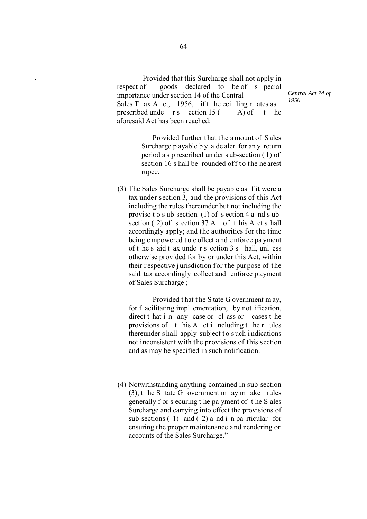Provided that this Surcharge shall not apply in respect of goods declared to be of s pecial importance under section 14 of the Central Sales T ax A ct, 1956, if t he cei ling r ates as prescribed unde r s ection  $15($  A) of t he aforesaid Act has been reached:

*Central Act 74 of 1956*

Provided further that the a mount of S ales Surcharge p ayable b y a de aler for an y return period a s p rescribed un der s ub-section ( 1) of section 16 s hall be rounded off to the ne arest rupee.

(3) The Sales Surcharge shall be payable as if it were a tax under section 3, and the provisions of this Act including the rules thereunder but not including the proviso t o s ub-section (1) of s ection 4 a nd s ubsection (2) of s ection 37 A of t his A ct s hall accordingly apply; and the authorities for the time being e mpowered t o c ollect a nd e nforce pa yment of t he s aid t ax unde r s ection 3 s hall, unl ess otherwise provided for by or under this Act, within their respective jurisdiction for the purpose of the said tax accor dingly collect and enforce p ayment of Sales Surcharge ;

 Provided t hat t he S tate G overnment m ay, for f acilitating impl ementation, by not ification, direct t hat i n any case or cl ass or cases t he provisions of t his A ct i ncluding t he r ules thereunder shall apply subject to such indications not inconsistent with the provisions of this section and as may be specified in such notification.

(4) Notwithstanding anything contained in sub-section (3), t he S tate G overnment m ay m ake rules generally f or s ecuring t he pa yment of t he S ales Surcharge and carrying into effect the provisions of sub-sections  $(1)$  and  $(2)$  a nd i n pa rticular for ensuring the proper maintenance and rendering or accounts of the Sales Surcharge."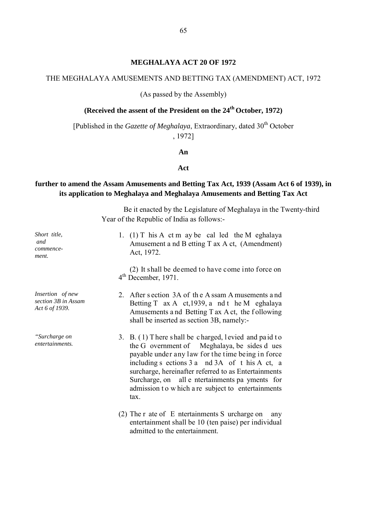#### **MEGHALAYA ACT 20 OF 1972**

#### THE MEGHALAYA AMUSEMENTS AND BETTING TAX (AMENDMENT) ACT, 1972

#### (As passed by the Assembly)

# **(Received the assent of the President on the 24th October, 1972)**

[Published in the *Gazette of Meghalaya*, Extraordinary, dated 30<sup>th</sup> October

, 1972]

#### **An**

#### **Act**

### **further to amend the Assam Amusements and Betting Tax Act, 1939 (Assam Act 6 of 1939), in its application to Meghalaya and Meghalaya Amusements and Betting Tax Act**

Be it enacted by the Legislature of Meghalaya in the Twenty-third Year of the Republic of India as follows:-

| Short title,<br>and<br>commence-<br>ment.                 | 1. (1) T his A ct m ay be called the M eghalaya<br>Amusement a nd B etting T ax A ct, (Amendment)<br>Act, 1972.                                                                                                                                                                                                                                                                     |
|-----------------------------------------------------------|-------------------------------------------------------------------------------------------------------------------------------------------------------------------------------------------------------------------------------------------------------------------------------------------------------------------------------------------------------------------------------------|
|                                                           | (2) It shall be deemed to have come into force on<br>$4th$ December, 1971.                                                                                                                                                                                                                                                                                                          |
| Insertion of new<br>section 3B in Assam<br>Act 6 of 1939. | 2. After section 3A of the Assam A musements and<br>Betting T ax A ct, 1939, a nd t he M eghalaya<br>Amusements and Betting T ax A ct, the following<br>shall be inserted as section 3B, namely:-                                                                                                                                                                                   |
| "Surcharge on<br>entertainments.                          | 3. B. (1) There shall be charged, levied and paid to<br>the G overnment of Meghalaya, be sides d ues<br>payable under any law for the time being in force<br>including s ections 3 a nd 3A of t his A ct, a<br>surcharge, hereinafter referred to as Entertainments<br>Surcharge, on all e ntertainments pa yments for<br>admission to which a re subject to entertainments<br>tax. |
|                                                           | $(2)$ The r ate of E ntertainments S urcharge on<br>any<br>entertainment shall be 10 (ten paise) per individual<br>admitted to the entertainment.                                                                                                                                                                                                                                   |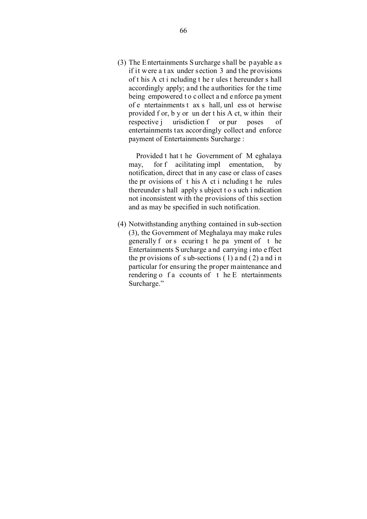(3) The Entertainments S urcharge s hall be p ayable a s if it were a t ax under section 3 and the provisions of t his A ct i ncluding t he r ules t hereunder s hall accordingly apply; and the authorities for the time being empowered t o c ollect a nd e nforce pa yment of e ntertainments t ax s hall, unl ess ot herwise provided f or, b y or un der t his A ct, w ithin their respective j urisdiction f or pur poses of entertainments tax accordingly collect and enforce payment of Entertainments Surcharge :

 Provided t hat t he Government of M eghalaya may, for f acilitating impl ementation, by notification, direct that in any case or class of cases the pr ovisions of t his A ct i ncluding t he rules thereunder s hall apply s ubject t o s uch i ndication not inconsistent with the provisions of this section and as may be specified in such notification.

(4) Notwithstanding anything contained in sub-section (3), the Government of Meghalaya may make rules generally f or s ecuring t he pa yment of t he Entertainments S urcharge a nd carrying i nto e ffect the pr ovisions of s ub-sections  $(1)$  and  $(2)$  and in particular for ensuring the proper maintenance and rendering  $\circ$  f a ccounts of t he E ntertainments Surcharge."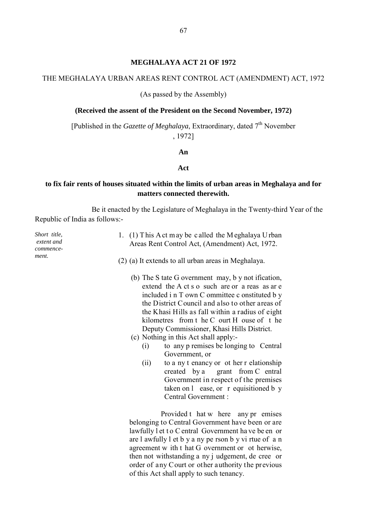#### **MEGHALAYA ACT 21 OF 1972**

#### THE MEGHALAYA URBAN AREAS RENT CONTROL ACT (AMENDMENT) ACT, 1972

(As passed by the Assembly)

#### **(Received the assent of the President on the Second November, 1972)**

[Published in the *Gazette of Meghalaya*, Extraordinary, dated 7<sup>th</sup> November , 1972]

#### **An**

#### **Act**

#### **to fix fair rents of houses situated within the limits of urban areas in Meghalaya and for matters connected therewith.**

Be it enacted by the Legislature of Meghalaya in the Twenty-third Year of the Republic of India as follows:-

*Short title, extent and commencement.*

- 1. (1) T his A ct m ay be c alled the M eghalaya U rban Areas Rent Control Act, (Amendment) Act, 1972.
- (2) (a) It extends to all urban areas in Meghalaya.
	- (b) The S tate G overnment may, b y not ification, extend the A ct s o such are or a reas as ar e included i n T own C ommittee c onstituted b y the District Council and also to other areas of the Khasi Hills as fall within a radius of eight kilometres from t he C ourt H ouse of t he Deputy Commissioner, Khasi Hills District.
	- (c) Nothing in this Act shall apply:-
		- (i) to any p remises be longing to Central Government, or
		- (ii) to a ny t enancy or ot her r elationship created by a grant from C entral Government in respect of the premises taken on l ease, or r equisitioned b y Central Government :

 Provided t hat w here any pr emises belonging to Central Government have been or are lawfully l et t o C entral Government ha ve be en or are l awfully l et b y a ny pe rson b y vi rtue of a n agreement w ith t hat G overnment or ot herwise, then not withstanding a ny j udgement, de cree or order of any Court or other authority the previous of this Act shall apply to such tenancy.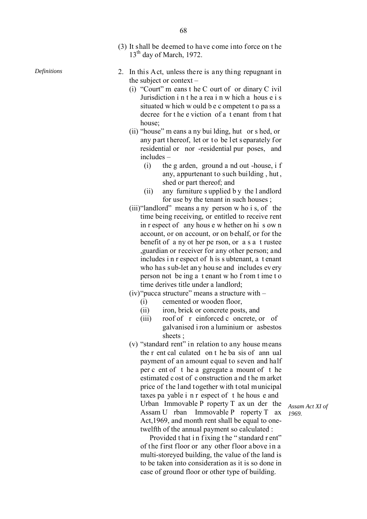- (3) It shall be deemed to have come into force on t he 13<sup>th</sup> day of March, 1972.
- *Definitions* 2. In this Act, unless there is any thing repugnant in the subject or context –
	- (i) "Court" m eans t he C ourt of or dinary C ivil Jurisdiction i n t he a rea i n w hich a hous e i s situated w hich w ould b e c ompetent t o pa ss a decree for t he e viction of a t enant from t hat house;
	- (ii) "house" m eans a ny bui lding, hut or s hed, or any part thereof, let or to be let separately for residential or nor -residential pur poses, and includes –
		- (i) the g arden, ground a nd out -house, i f any, appurtenant to such building , hut , shed or part thereof; and
		- (ii) any furniture s upplied b y the l andlord for use by the tenant in such houses ;
	- (iii)"landlord" means a ny person w ho i s, of the time being receiving, or entitled to receive rent in r espect of any hous e w hether on hi s ow n account, or on account, or on behalf, or for the benefit of a ny ot her pe rson, or a s a t rustee ,guardian or receiver for any other person; and includes i n r espect of h is s ubtenant, a t enant who has sub-let an y hou se and includes every person not be ing a t enant w ho f rom t ime t o time derives title under a landlord;
	- $(iv)$ "pucca structure" means a structure with  $-$ 
		- (i) cemented or wooden floor,
		- (ii) iron, brick or concrete posts, and
		- (iii) roof of r einforced c oncrete, or of galvanised i ron a luminium or asbestos sheets ;
	- (v) "standard rent" in relation to any house means the r ent cal culated on t he ba sis of ann ual payment of an amount equal to seven and half per c ent of t he a ggregate a mount of t he estimated c ost of c onstruction a nd t he m arket price of the land together with total municipal taxes pa yable i n r espect of t he hous e and Urban Immovable P roperty T ax un der the Assam U rban Immovable P roperty T ax Act,1969, and month rent shall be equal to onetwelfth of the annual payment so calculated :

Provided that in fixing the "standard r ent" of the first floor or any other floor above in a multi-storeyed building, the value of the land is to be taken into consideration as it is so done in case of ground floor or other type of building.

*Assam Act XI of 1969.*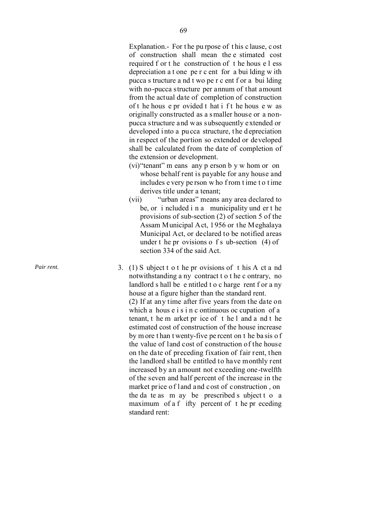Explanation. - For t he pu rpose of t his c lause, c ost of construction shall mean the e stimated cost required f or t he construction of t he hous e l ess depreciation a t one pe r c ent for a bui lding w ith pucca s tructure a nd t wo pe r c ent f or a bui lding with no -pucca structure per annum of that amount from the actual date of completion of construction of t he hous e pr ovided t hat i f t he hous e w as originally constructed as a s maller house or a non pucca structure and was subsequently extended or developed into a pu cca structure, the d epreciation in respect of the portion so extended or developed shall be calculated from the date of completion of the extension or development.

- (vi)"tenant" m eans any p erson b y w hom or on whose behalf rent is payable for any house and includes e very pe rson w ho from t ime to t ime derives title under a tenant;
- (vii) "urban areas" means any area declared to be, or i ncluded i n a municipality und er t he provisions of sub -section (2) of section 5 of the Assam Municipal Act, 1956 or the Meghalaya Municipal Act, or declared to be notified areas under t he pr ovisions o f s ub -section (4) of section 334 of the said Act.

*Pair rent.* 3. (1) S ubject t o t he pr ovisions of t his A ct a nd notwithstanding a ny contract t o t he c ontrary, no landlord s hall be e ntitled t o c harge rent f or a ny house at a figure higher than the standard rent. (2) If at any time after five years from the date on which a hous e i s i n c ontinuous oc cupation of a tenant, t he m arket pr ice of t he l and a nd t he estimated cost of construction of the house increase by m ore t han t wenty -five pe rcent on t he ba sis o f the value of land cost of construction of the house on the date of preceding fixation of fair rent, then the landlord shall be entitled to have monthly rent increased by an amount not exceeding one -twelfth of the seven and half percent of the increase in the market price of land and cost of construction , on the da te as m ay be prescribed s ubject t o a maximum of a f ifty percent of t he pr eceding standard rent: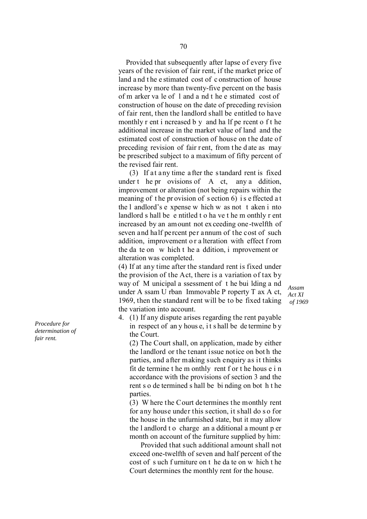Provided that subsequently after lapse of every five years of the revision of fair rent, if the market price of land a nd t he e stimated cost of c onstruction of house increase by more than twenty-five percent on the basis of m arker va le of l and a nd t he e stimated cost of construction of house on the date of preceding revision of fair rent, then the landlord shall be entitled to have monthly r ent i ncreased b y and ha lf pe rcent o f t he additional increase in the market value of land and the estimated cost of construction of house on t he date of preceding revision of fair r ent, from the date as may be prescribed subject to a maximum of fifty percent of the revised fair rent.

 (3) If at any time after the standard rent is fixed under t he pr ovisions of A ct, any a ddition, improvement or alteration (not being repairs within the meaning of the provision of section 6) is effected at the l andlord's e xpense w hich w as not t aken i nto landlord s hall be e ntitled t o ha ve t he m onthly r ent increased by an amount not exceeding one-twelfth of seven and half percent per annum of the cost of such addition, improvement o r a lteration with effect f rom the da te on w hich t he a ddition, i mprovement or alteration was completed.

(4) If at any time after the standard rent is fixed under the provision of the Act, there is a variation of tax by way of M unicipal a ssessment of t he bui lding a nd under A ssam U rban Immovable P roperty T ax A ct, 1969, then the standard rent will be to be fixed taking the variation into account.

*Assam Act XI of 1969*

4. (1) If any dispute arises regarding the rent payable in respect of an y hous e, i t s hall be de termine b y the Court.

(2) The Court shall, on application, made by either the landlord or the tenant issue notice on bot h the parties, and after making such enquiry as it thinks fit de termine t he m onthly rent f or t he hous e i n accordance with the provisions of section 3 and the rent s o de termined s hall be bi nding on bot h t he parties.

(3) W here the Court determines the monthly rent for any house under this section, it shall do s o for the house in the unfurnished state, but it may allow the l andlord t o charge an a dditional a mount p er month on account of the furniture supplied by him:

 Provided that such additional amount shall not exceed one-twelfth of seven and half percent of the cost of s uch f urniture on t he da te on w hich t he Court determines the monthly rent for the house.

*Procedure for determination of fair rent.*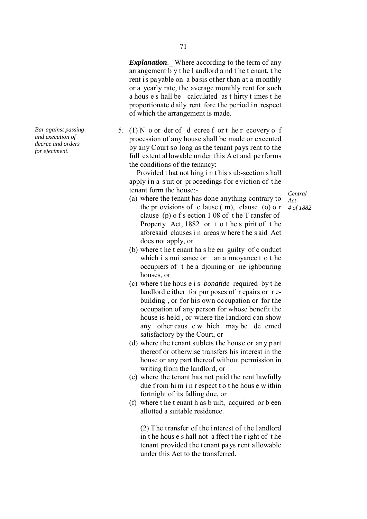*Explanation*.\_ Where according to the term of any arrangement b y t he l andlord a nd t he t enant, t he rent is payable on a basis other than at a monthly or a yearly rate, the average monthly rent for such a hous e s hall be calculated as t hirty t imes t he proportionate d aily rent fore the pe riod in respect of which the arrangement is made.

5. (1) N o or der of d ecree f or t he r ecovery o f procession of any house shall be made or executed by any Court so long as the tenant pays rent to the full extent allowable under this A ct and performs the conditions of the tenancy:

 Provided t hat not hing i n t his s ub-section s hall apply in a suit or proceedings for eviction of the tenant form the house:-

*Central Act*

- (a) where the tenant has done anything contrary to the pr ovisions of c lause ( m), clause (o) o r *4 of 1882*clause (p) o f s ection 1 08 of t he T ransfer of Property Act, 1882 or t o t he s pirit of t he aforesaid clauses i n areas w here t he s aid Act does not apply, or
- (b) where t he t enant ha s be en guilty of c onduct which i s nui sance or an a nnoyance t o t he occupiers of t he a djoining or ne ighbouring houses, or
- (c) where t he hous e i s *bonafide* required by t he landlord e ither for pur poses of r epairs or r ebuilding , or for his own occupation or for the occupation of any person for whose benefit the house is held , or where the landlord can show any other caus e w hich may be de emed satisfactory by the Court, or
- (d) where the tenant sublets the house or any part thereof or otherwise transfers his interest in the house or any part thereof without permission in writing from the landlord, or
- (e) where the tenant has not paid the rent lawfully due f rom hi m i n r espect t o t he hous e w ithin fortnight of its falling due, or
- (f) where t he t enant h as b uilt, acquired or b een allotted a suitable residence.

(2) The transfer of the interest of the landlord in t he hous e s hall not a ffect t he r ight of t he tenant provided the tenant pays rent allowable under this Act to the transferred.

*Bar against passing and execution of decree and orders for ejectment.*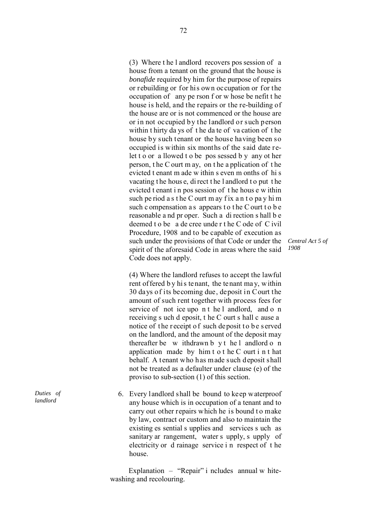(3) Where t he l andlord recovers pos session of a house from a tenant on the ground that the house is *bonafide* required by him for the purpose of repairs or rebuilding or for his own occupation or for the occupation of any pe rson f or w hose be nefit t he house is held, and the repairs or the re-building of the house are or is not commenced or the house are or in not occupied by the landlord or such person within t hirty da ys of t he da te of va cation of t he house by such tenant or the house having been so occupied is within six months of the said date relet t o or a llowed t o be pos sessed b y any ot her person, t he C ourt m ay, on t he a pplication of t he evicted t enant m ade w ithin s even m onths of hi s vacating t he hous e, di rect t he l andlord t o put t he evicted t enant i n pos session of t he hous e w ithin such pe riod as the C ourt may fix an to pay him such c ompensation a s appears to the C ourt to b e reasonable a nd pr oper. Such a di rection s hall b e deemed t o be a de cree unde r t he C ode of C ivil Procedure, 1908 and to be capable of execution as such under the provisions of that Code or under the spirit of the aforesaid Code in areas where the said Code does not apply.

*Central Act 5 of 1908*

(4) Where the landlord refuses to accept the lawful rent of fered by his tenant, the tenant may, within 30 days of its becoming due, deposit in Court the amount of such rent together with process fees for service of not ice upo n t he l andlord, and o n receiving s uch d eposit, t he C ourt s hall c ause a notice of the receipt of such deposit to be served on the landlord, and the amount of the deposit may thereafter be w ithdrawn b y t he l andlord o n application made by him t o t he C ourt i n t hat behalf. A tenant who has made such deposit shall not be treated as a defaulter under clause (e) of the proviso to sub-section (1) of this section.

6. Every landlord shall be bound to keep waterproof any house which is in occupation of a tenant and to carry out other repairs which he is bound to make by law, contract or custom and also to maintain the existing es sential s upplies and services s uch as sanitary ar rangement, water s upply, s upply of electricity or d rainage service i n respect of t he house.

 Explanation – "Repair" i ncludes annual w hite washing and recolouring.

*Duties of landlord*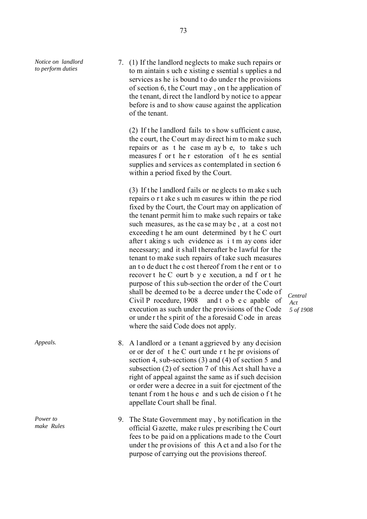*Notice on landlord to perform duties*

7. (1) If the landlord neglects to make such repairs or to m aintain s uch e xisting e ssential s upplies a nd services as he is bound to do under the provisions of section 6, t he Court may , on t he application of the tenant, direct the landlord b y notice to appear before is and to show cause against the application of the tenant.

(2) If t he l andlord fails to s how s ufficient c ause, the court, the Court may direct him to make such repairs or as t he case m ay b e, to take s uch measures f or t he r estoration of t he es sential supplies and services as contemplated in section 6 within a period fixed by the Court.

(3) If t he l andlord f ails or ne glects t o m ake s uch repairs o r t ake s uch m easures w ithin the pe riod fixed by the Court, the Court may on application of the tenant permit him to make such repairs or take such measures, as the case may be, at a cost not exceeding t he am ount determined by t he C ourt after t aking s uch evidence as i t m ay cons ider necessary; and it shall thereafter be lawful for the tenant to make such repairs of take such measures an t o de duct t he c ost t hereof f rom t he r ent or t o recover t he C ourt b y e xecution, a nd f or t he purpose of this sub-section the order of the Court shall be deemed to be a decree under the Code of Civil P rocedure, 1908 and t o b e c apable of execution as such under the provisions of the Code or unde r t he s pirit of t he a foresaid C ode in areas where the said Code does not apply.

*Central Act 5 of 1908*

- *Appeals.* 8. A l and lord or a tenant a general by any decision or or der of t he C ourt unde r t he pr ovisions of section 4, sub-sections (3) and (4) of section 5 and subsection (2) of section 7 of this Act shall have a right of appeal against the same as if such decision or order were a decree in a suit for ejectment of the tenant f rom t he hous e and s uch de cision o f t he appellate Court shall be final.
	- 9. The State Government may , by notification in the official G azette, make r ules pr escribing t he C ourt fees to be paid on a pplications made to the Court under the provisions of this A ct and a lso for the purpose of carrying out the provisions thereof.

*Power to make Rules*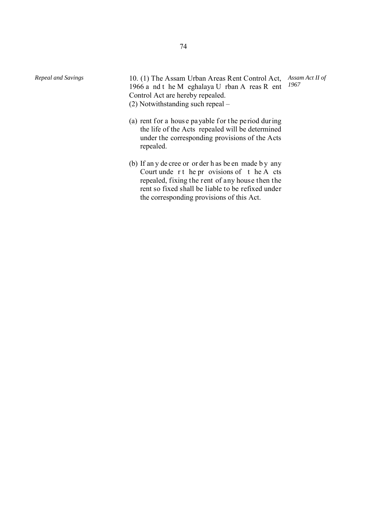*Repeal and Savings* 10. (1) The Assam Urban Areas Rent Control Act, *Assam Act II of*  1966 a nd t he M eghalaya U rban A reas R ent Control Act are hereby repealed. (2) Notwithstanding such repeal – *1967*

- (a) rent for a house pa yable for the period during the life of the Acts repealed will be determined under the corresponding provisions of the Acts repealed.
- (b) If an y de cree or or der h as be en made b y any Court unde  $r t$  he pr ovisions of  $t$  he A cts repealed, fixing the rent of any house then the rent so fixed shall be liable to be refixed under the corresponding provisions of this Act.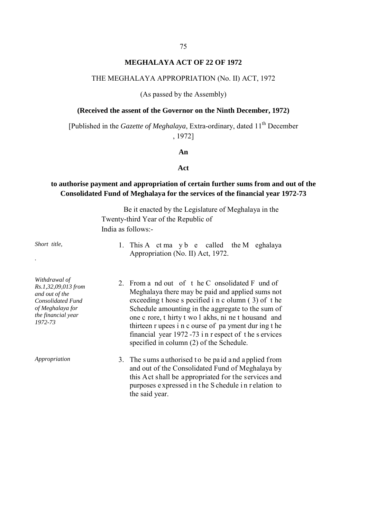#### **MEGHALAYA ACT OF 22 OF 1972**

### THE MEGHALAYA APPROPRIATION (No. II) ACT, 1972

(As passed by the Assembly)

#### **(Received the assent of the Governor on the Ninth December, 1972)**

[Published in the *Gazette of Meghalaya*, Extra-ordinary, dated 11<sup>th</sup> December , 1972]

#### **An**

### **Act**

## **to authorise payment and appropriation of certain further sums from and out of the Consolidated Fund of Meghalaya for the services of the financial year 1972-73**

Be it enacted by the Legislature of Meghalaya in the Twenty-third Year of the Republic of India as follows:-

- 
- *Withdrawal of Rs.1,32,09,013 from and out of the Consolidated Fund of Meghalaya for the financial year 1972-73*

- 1. This A ct ma y b e called the M eghalaya Appropriation (No. II) Act, 1972.
- 2. From a nd out of t he C onsolidated F und of Meghalaya there may be paid and applied sums not exceeding t hose s pecified i n c olumn ( 3) of t he Schedule amounting in the aggregate to the sum of one c rore, t hirty t wo l akhs, ni ne t housand and thirteen r upees i n c ourse of pa yment dur ing t he financial year 1972 -73 i n r espect of t he s ervices specified in column (2) of the Schedule.
- *Appropriation* 3. The sums authorised to be paid and applied from and out of the Consolidated Fund of Meghalaya by this Act shall be appropriated for the services and purposes e xpressed i n t he S chedule i n r elation to the said year.

*Short title,* 

*.*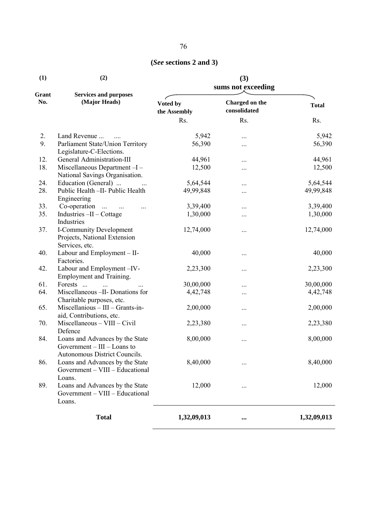# **(***See* **sections 2 and 3)**

| (1)<br>Grant<br>No. | (2)<br><b>Services and purposes</b><br>(Major Heads)                                              | (3)<br>sums not exceeding |                                |              |
|---------------------|---------------------------------------------------------------------------------------------------|---------------------------|--------------------------------|--------------|
|                     |                                                                                                   | Voted by<br>the Assembly  | Charged on the<br>consolidated | <b>Total</b> |
|                     |                                                                                                   | Rs.                       | Rs.                            | Rs.          |
| 2.                  | Land Revenue                                                                                      | 5,942                     |                                | 5,942        |
| 9.                  | Parliament State/Union Territory<br>Legislature-C-Elections.                                      | 56,390                    |                                | 56,390       |
| 12.                 | General Administration-III                                                                        | 44,961                    |                                | 44,961       |
| 18.                 | Miscellaneous Department-I-<br>National Savings Organisation.                                     | 12,500                    | $\cdots$                       | 12,500       |
| 24.                 | Education (General)                                                                               | 5,64,544                  | $\cdots$                       | 5,64,544     |
| 28.                 | Public Health -II- Public Health<br>Engineering                                                   | 49,99,848                 |                                | 49,99,848    |
| 33.                 | Co-operation<br>$\sim$ $\sim$<br>                                                                 | 3,39,400                  | $\cdots$                       | 3,39,400     |
| 35.                 | Industries -II - Cottage<br>Industries                                                            | 1,30,000                  | $\cdots$                       | 1,30,000     |
| 37.                 | I-Community Development<br>Projects, National Extension<br>Services, etc.                         | 12,74,000                 |                                | 12,74,000    |
| 40.                 | Labour and Employment - II-<br>Factories.                                                         | 40,000                    | $\cdots$                       | 40,000       |
| 42.                 | Labour and Employment-IV-<br>Employment and Training.                                             | 2,23,300                  |                                | 2,23,300     |
| 61.                 | Forests<br>$\dddotsc$                                                                             | 30,00,000                 |                                | 30,00,000    |
| 64.                 | Miscellaneous - II- Donations for<br>Charitable purposes, etc.                                    | 4, 42, 748                | $\cdots$                       | 4, 42, 748   |
| 65.                 | Miscellanious - III - Grants-in-<br>aid, Contributions, etc.                                      | 2,00,000                  | $\cdots$                       | 2,00,000     |
| 70.                 | $Miscellaneous - VIII - Civil$<br>Defence                                                         | 2,23,380                  | $\cdots$                       | 2,23,380     |
| 84.                 | Loans and Advances by the State<br>Government $- III -$ Loans to<br>Autonomous District Councils. | 8,00,000                  | $\cdots$                       | 8,00,000     |
| 86.                 | Loans and Advances by the State<br>Government - VIII - Educational<br>Loans.                      | 8,40,000                  |                                | 8,40,000     |
| 89.                 | Loans and Advances by the State<br>Government - VIII - Educational<br>Loans.                      | 12,000                    |                                | 12,000       |
|                     | <b>Total</b>                                                                                      | 1,32,09,013               | $\cdots$                       | 1,32,09,013  |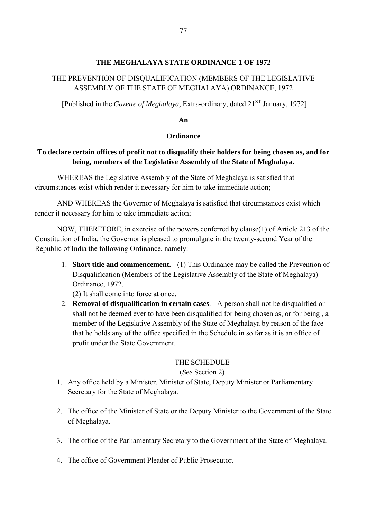### **THE MEGHALAYA STATE ORDINANCE 1 OF 1972**

## THE PREVENTION OF DISQUALIFICATION (MEMBERS OF THE LEGISLATIVE ASSEMBLY OF THE STATE OF MEGHALAYA) ORDINANCE, 1972

[Published in the *Gazette of Meghalaya*, Extra-ordinary, dated 21<sup>ST</sup> January, 1972]

### **An**

### **Ordinance**

## **To declare certain offices of profit not to disqualify their holders for being chosen as, and for being, members of the Legislative Assembly of the State of Meghalaya.**

WHEREAS the Legislative Assembly of the State of Meghalaya is satisfied that circumstances exist which render it necessary for him to take immediate action;

AND WHEREAS the Governor of Meghalaya is satisfied that circumstances exist which render it necessary for him to take immediate action;

NOW, THEREFORE, in exercise of the powers conferred by clause(1) of Article 213 of the Constitution of India, the Governor is pleased to promulgate in the twenty-second Year of the Republic of India the following Ordinance, namely:-

1. **Short title and commencement. -** (1) This Ordinance may be called the Prevention of Disqualification (Members of the Legislative Assembly of the State of Meghalaya) Ordinance, 1972.

(2) It shall come into force at once.

2. **Removal of disqualification in certain cases**. - A person shall not be disqualified or shall not be deemed ever to have been disqualified for being chosen as, or for being , a member of the Legislative Assembly of the State of Meghalaya by reason of the face that he holds any of the office specified in the Schedule in so far as it is an office of profit under the State Government.

### THE SCHEDULE

## (*See* Section 2)

- 1. Any office held by a Minister, Minister of State, Deputy Minister or Parliamentary Secretary for the State of Meghalaya.
- 2. The office of the Minister of State or the Deputy Minister to the Government of the State of Meghalaya.
- 3. The office of the Parliamentary Secretary to the Government of the State of Meghalaya.
- 4. The office of Government Pleader of Public Prosecutor.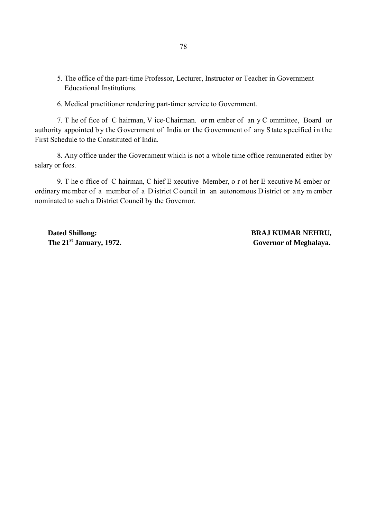- 5. The office of the part-time Professor, Lecturer, Instructor or Teacher in Government Educational Institutions.
- 6. Medical practitioner rendering part-timer service to Government.

7. T he of fice of C hairman, V ice-Chairman. or m ember of an y C ommittee, Board or authority appointed by the Government of India or the Government of any State specified in the First Schedule to the Constituted of India.

8. Any office under the Government which is not a whole time office remunerated either by salary or fees.

9. T he o ffice of C hairman, C hief E xecutive Member, o r ot her E xecutive M ember or ordinary me mber of a member of a D istrict C ouncil in an autonomous D istrict or a ny m ember nominated to such a District Council by the Governor.

 **Dated Shillong: BRAJ KUMAR NEHRU,** The 21<sup>st</sup> January, 1972. Governor of Meghalaya.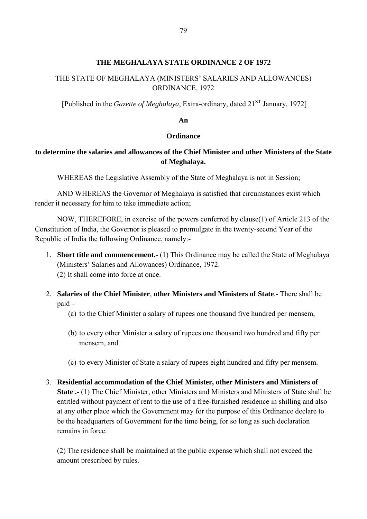### **THE MEGHALAYA STATE ORDINANCE 2 OF 1972**

## THE STATE OF MEGHALAYA (MINISTERS' SALARIES AND ALLOWANCES) ORDINANCE, 1972

[Published in the *Gazette of Meghalaya*, Extra-ordinary, dated 21<sup>ST</sup> January, 1972]

#### **An**

#### **Ordinance**

## **to determine the salaries and allowances of the Chief Minister and other Ministers of the State of Meghalaya.**

WHEREAS the Legislative Assembly of the State of Meghalaya is not in Session;

AND WHEREAS the Governor of Meghalaya is satisfied that circumstances exist which render it necessary for him to take immediate action;

NOW, THEREFORE, in exercise of the powers conferred by clause(1) of Article 213 of the Constitution of India, the Governor is pleased to promulgate in the twenty-second Year of the Republic of India the following Ordinance, namely:-

- 1. **Short title and commencement.-** (1) This Ordinance may be called the State of Meghalaya (Ministers' Salaries and Allowances) Ordinance, 1972. (2) It shall come into force at once.
- 2. **Salaries of the Chief Minister**, **other Ministers and Ministers of State**.- There shall be paid –
	- (a) to the Chief Minister a salary of rupees one thousand five hundred per mensem,
	- (b) to every other Minister a salary of rupees one thousand two hundred and fifty per mensem, and
	- (c) to every Minister of State a salary of rupees eight hundred and fifty per mensem.
- 3. **Residential accommodation of the Chief Minister, other Ministers and Ministers of State .-** (1) The Chief Minister, other Ministers and Ministers and Ministers of State shall be entitled without payment of rent to the use of a free-furnished residence in shilling and also at any other place which the Government may for the purpose of this Ordinance declare to be the headquarters of Government for the time being, for so long as such declaration remains in force.

(2) The residence shall be maintained at the public expense which shall not exceed the amount prescribed by rules.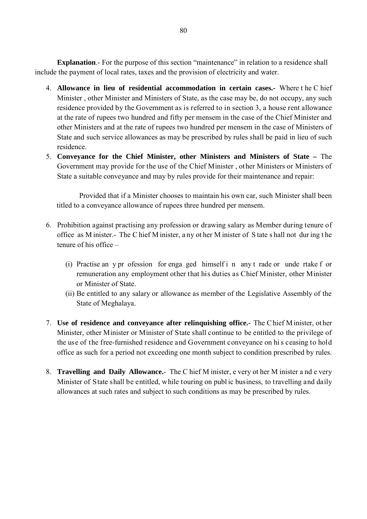**Explanation.**- For the purpose of this section "maintenance" in relation to a residence shall include the payment of local rates, taxes and the provision of electricity and water.

- 4. **Allowance in lieu of residential accommodation in certain cases.-** Where t he C hief Minister , other Minister and Ministers of State, as the case may be, do not occupy, any such residence provided by the Government as is referred to in section 3, a house rent allowance at the rate of rupees two hundred and fifty per mensem in the case of the Chief Minister and other Ministers and at the rate of rupees two hundred per mensem in the case of Ministers of State and such service allowances as may be prescribed by rules shall be paid in lieu of such residence.
- 5. **Conveyance for the Chief Minister, other Ministers and Ministers of State** The Government may provide for the use of the Chief Minister , other Ministers or Ministers of State a suitable conveyance and may by rules provide for their maintenance and repair:

 Provided that if a Minister chooses to maintain his own car, such Minister shall been titled to a conveyance allowance of rupees three hundred per mensem.

- 6. Prohibition against practising any profession or drawing salary as Member during tenure of office as M inister.- The C hief M inister, a ny ot her M inister of S tate s hall not dur ing t he tenure of his office –
	- (i) Practise an y pr ofession for enga ged himself i n any t rade or unde rtake f or remuneration any employment other that his duties as Chief Minister, other Minister or Minister of State.
	- (ii) Be entitled to any salary or allowance as member of the Legislative Assembly of the State of Meghalaya.
- 7. **Use of residence and conveyance after relinquishing office.-** The C hief M inister, ot her Minister, other Minister or Minister of State shall continue to be entitled to the privilege of the use of the free-furnished residence and Government conveyance on hi s ceasing to hold office as such for a period not exceeding one month subject to condition prescribed by rules.
- 8. **Travelling and Daily Allowance.** The C hief M inister, e very ot her M inister a nd e very Minister of State shall be entitled, while touring on publ ic business, to travelling and daily allowances at such rates and subject to such conditions as may be prescribed by rules.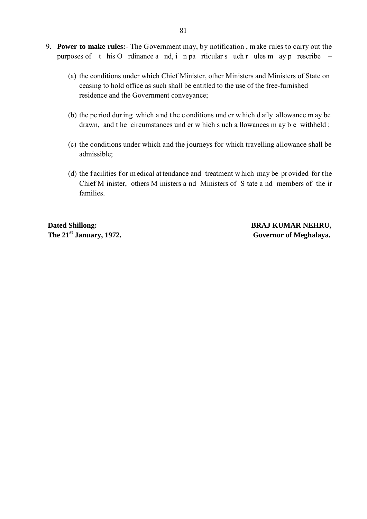- 9. **Power to make rules:-** The Government may, by notification , make rules to carry out the purposes of t his O rdinance a nd, i n pa rticular s uch r ules m ay p rescribe –
	- (a) the conditions under which Chief Minister, other Ministers and Ministers of State on ceasing to hold office as such shall be entitled to the use of the free-furnished residence and the Government conveyance;
	- (b) the pe riod dur ing which a nd t he c onditions und er w hich d aily allowance m ay be drawn, and t he circumstances und er w hich s uch a llowances m ay b e withheld ;
	- (c) the conditions under which and the journeys for which travelling allowance shall be admissible;
	- (d) the facilities for m edical attendance and treatment which may be provided for the Chief M inister, others M inisters a nd Ministers of S tate a nd members of the ir families.

**Dated Shillong: BRAJ KUMAR NEHRU,**

The 21<sup>st</sup> January, 1972. Governor of Meghalaya.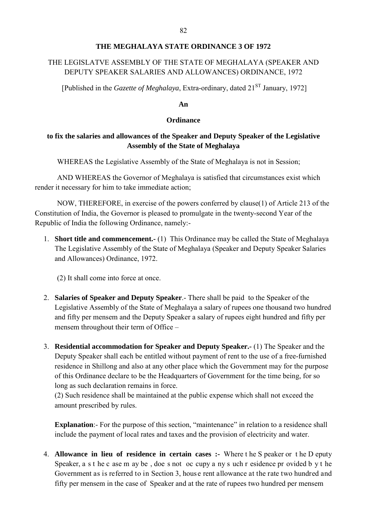### **THE MEGHALAYA STATE ORDINANCE 3 OF 1972**

## THE LEGISLATVE ASSEMBLY OF THE STATE OF MEGHALAYA (SPEAKER AND DEPUTY SPEAKER SALARIES AND ALLOWANCES) ORDINANCE, 1972

[Published in the *Gazette of Meghalaya*, Extra-ordinary, dated 21<sup>ST</sup> January, 1972]

#### **An**

### **Ordinance**

## **to fix the salaries and allowances of the Speaker and Deputy Speaker of the Legislative Assembly of the State of Meghalaya**

WHEREAS the Legislative Assembly of the State of Meghalaya is not in Session;

AND WHEREAS the Governor of Meghalaya is satisfied that circumstances exist which render it necessary for him to take immediate action;

 NOW, THEREFORE, in exercise of the powers conferred by clause(1) of Article 213 of the Constitution of India, the Governor is pleased to promulgate in the twenty-second Year of the Republic of India the following Ordinance, namely:-

1. **Short title and commencement.-** (1) This Ordinance may be called the State of Meghalaya The Legislative Assembly of the State of Meghalaya (Speaker and Deputy Speaker Salaries and Allowances) Ordinance, 1972.

(2) It shall come into force at once.

- 2. **Salaries of Speaker and Deputy Speaker**.- There shall be paid to the Speaker of the Legislative Assembly of the State of Meghalaya a salary of rupees one thousand two hundred and fifty per mensem and the Deputy Speaker a salary of rupees eight hundred and fifty per mensem throughout their term of Office –
- 3. **Residential accommodation for Speaker and Deputy Speaker.-** (1) The Speaker and the Deputy Speaker shall each be entitled without payment of rent to the use of a free-furnished residence in Shillong and also at any other place which the Government may for the purpose of this Ordinance declare to be the Headquarters of Government for the time being, for so long as such declaration remains in force.

(2) Such residence shall be maintained at the public expense which shall not exceed the amount prescribed by rules.

**Explanation:**- For the purpose of this section, "maintenance" in relation to a residence shall include the payment of local rates and taxes and the provision of electricity and water.

4. **Allowance in lieu of residence in certain cases :-** Where t he S peaker or t he D eputy Speaker, a s t he c ase m ay be , doe s not oc cupy a ny s uch r esidence pr ovided b y t he Government as is referred to in Section 3, house rent allowance at the rate two hundred and fifty per mensem in the case of Speaker and at the rate of rupees two hundred per mensem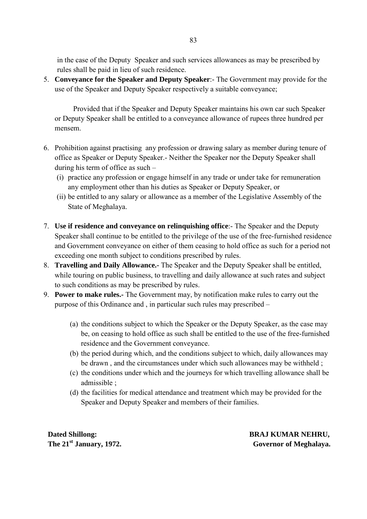in the case of the Deputy Speaker and such services allowances as may be prescribed by rules shall be paid in lieu of such residence.

5. **Conveyance for the Speaker and Deputy Speaker**:- The Government may provide for the use of the Speaker and Deputy Speaker respectively a suitable conveyance;

 Provided that if the Speaker and Deputy Speaker maintains his own car such Speaker or Deputy Speaker shall be entitled to a conveyance allowance of rupees three hundred per mensem.

- 6. Prohibition against practising any profession or drawing salary as member during tenure of office as Speaker or Deputy Speaker.- Neither the Speaker nor the Deputy Speaker shall during his term of office as such –
	- (i) practice any profession or engage himself in any trade or under take for remuneration any employment other than his duties as Speaker or Deputy Speaker, or
	- (ii) be entitled to any salary or allowance as a member of the Legislative Assembly of the State of Meghalaya.
- 7. **Use if residence and conveyance on relinquishing office**:- The Speaker and the Deputy Speaker shall continue to be entitled to the privilege of the use of the free-furnished residence and Government conveyance on either of them ceasing to hold office as such for a period not exceeding one month subject to conditions prescribed by rules.
- 8. **Travelling and Daily Allowance.-** The Speaker and the Deputy Speaker shall be entitled, while touring on public business, to travelling and daily allowance at such rates and subject to such conditions as may be prescribed by rules.
- 9. **Power to make rules.-** The Government may, by notification make rules to carry out the purpose of this Ordinance and , in particular such rules may prescribed –
	- (a) the conditions subject to which the Speaker or the Deputy Speaker, as the case may be, on ceasing to hold office as such shall be entitled to the use of the free-furnished residence and the Government conveyance.
	- (b) the period during which, and the conditions subject to which, daily allowances may be drawn , and the circumstances under which such allowances may be withheld ;
	- (c) the conditions under which and the journeys for which travelling allowance shall be admissible ;
	- (d) the facilities for medical attendance and treatment which may be provided for the Speaker and Deputy Speaker and members of their families.

**Dated Shillong:** BRAJ KUMAR NEHRU, The 21<sup>st</sup> January, 1972. Governor of Meghalaya.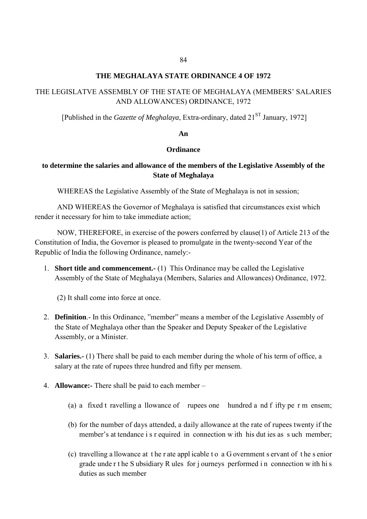#### **THE MEGHALAYA STATE ORDINANCE 4 OF 1972**

## THE LEGISLATVE ASSEMBLY OF THE STATE OF MEGHALAYA (MEMBERS' SALARIES AND ALLOWANCES) ORDINANCE, 1972

[Published in the *Gazette of Meghalaya*, Extra-ordinary, dated 21<sup>ST</sup> January, 1972]

#### **An**

#### **Ordinance**

## **to determine the salaries and allowance of the members of the Legislative Assembly of the State of Meghalaya**

WHEREAS the Legislative Assembly of the State of Meghalaya is not in session;

AND WHEREAS the Governor of Meghalaya is satisfied that circumstances exist which render it necessary for him to take immediate action;

 NOW, THEREFORE, in exercise of the powers conferred by clause(1) of Article 213 of the Constitution of India, the Governor is pleased to promulgate in the twenty-second Year of the Republic of India the following Ordinance, namely:-

1. **Short title and commencement.-** (1) This Ordinance may be called the Legislative Assembly of the State of Meghalaya (Members, Salaries and Allowances) Ordinance, 1972.

(2) It shall come into force at once.

- 2. **Definition**.- In this Ordinance, "member" means a member of the Legislative Assembly of the State of Meghalaya other than the Speaker and Deputy Speaker of the Legislative Assembly, or a Minister.
- 3. **Salaries.-** (1) There shall be paid to each member during the whole of his term of office, a salary at the rate of rupees three hundred and fifty per mensem.
- 4. **Allowance:-** There shall be paid to each member
	- (a) a fixed t ravelling a llowance of rupees one hundred a nd f ifty pe r m ensem;
	- (b) for the number of days attended, a daily allowance at the rate of rupees twenty if the member's at tendance i s r equired in connection w ith his dut ies as s uch member;
	- (c) travelling a llowance at t he r ate appl icable t o a G overnment s ervant of t he s enior grade unde r t he S ubsidiary R ules for j ourneys performed i n connection w ith hi s duties as such member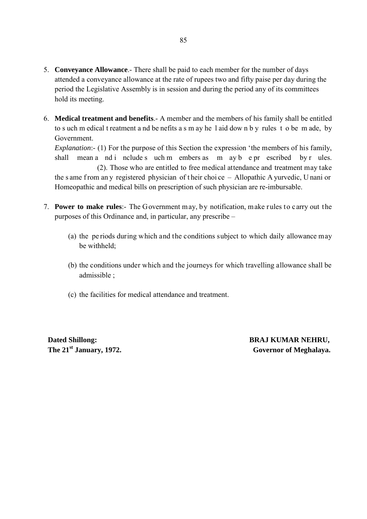- 5. **Conveyance Allowance**.- There shall be paid to each member for the number of days attended a conveyance allowance at the rate of rupees two and fifty paise per day during the period the Legislative Assembly is in session and during the period any of its committees hold its meeting.
- 6. **Medical treatment and benefits**.- A member and the members of his family shall be entitled to s uch m edical t reatment a nd be nefits a s m ay he l aid dow n b y rules t o be m ade, by Government.

*Explanation*:- (1) For the purpose of this Section the expression 'the members of his family, shall mean a nd i nclude s uch m embers as m ay b e pr escribed by r ules.

 (2). Those who are entitled to free medical attendance and treatment may take the s ame from an y registered physician of their choi ce - Allopathic A yurvedic, U nani or Homeopathic and medical bills on prescription of such physician are re-imbursable.

- 7. **Power to make rules**:- The Government may, by notification, make rules to carry out the purposes of this Ordinance and, in particular, any prescribe –
	- (a) the pe riods during which and the conditions subject to which daily allowance may be withheld;
	- (b) the conditions under which and the journeys for which travelling allowance shall be admissible ;
	- (c) the facilities for medical attendance and treatment.

**Dated Shillong:** BRAJ KUMAR NEHRU, The 21<sup>st</sup> January, 1972. Governor of Meghalaya.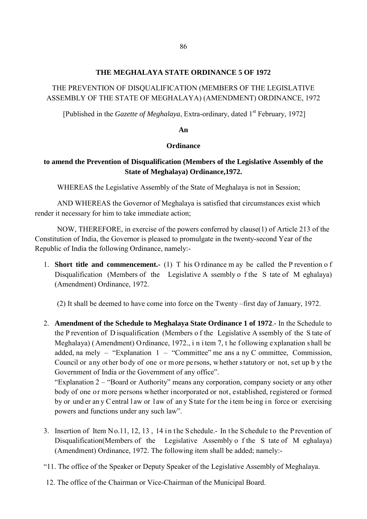### **THE MEGHALAYA STATE ORDINANCE 5 OF 1972**

## THE PREVENTION OF DISQUALIFICATION (MEMBERS OF THE LEGISLATIVE ASSEMBLY OF THE STATE OF MEGHALAYA) (AMENDMENT) ORDINANCE, 1972

[Published in the *Gazette of Meghalaya*, Extra-ordinary, dated 1<sup>st</sup> February, 1972]

#### **An**

### **Ordinance**

## **to amend the Prevention of Disqualification (Members of the Legislative Assembly of the State of Meghalaya) Ordinance,1972.**

WHEREAS the Legislative Assembly of the State of Meghalaya is not in Session;

AND WHEREAS the Governor of Meghalaya is satisfied that circumstances exist which render it necessary for him to take immediate action;

 NOW, THEREFORE, in exercise of the powers conferred by clause(1) of Article 213 of the Constitution of India, the Governor is pleased to promulgate in the twenty-second Year of the Republic of India the following Ordinance, namely:-

1. **Short title and commencement.-** (1) T his O rdinance m ay be called the P revention o f Disqualification (Members of the Legislative A ssembly o f the S tate of M eghalaya) (Amendment) Ordinance, 1972.

(2) It shall be deemed to have come into force on the Twenty –first day of January, 1972.

2. **Amendment of the Schedule to Meghalaya State Ordinance 1 of 1972**.- In the Schedule to the P revention of D isqualification (Members o f the Legislative A ssembly of the S tate of Meghalaya) ( Amendment) O rdinance, 1972., i n i tem 7, t he f ollowing e xplanation s hall be added, na mely – "Explanation  $1 -$  "Committee" me ans a ny C ommittee, Commission, Council or any other body of one or more persons, whether statutory or not, set up b y the Government of India or the Government of any office".

"Explanation 2 – "Board or Authority" means any corporation, company society or any other body of one or more persons whether incorporated or not, established, registered or formed by or und er an y C entral l aw or l aw of an y S tate f or the i tem be ing in force or exercising powers and functions under any such law".

- 3. Insertion of Item No.11, 12, 13 , 14 in the Schedule.- In the Schedule to the Prevention of Disqualification(Members of the Legislative Assembly o f the S tate of M eghalaya) (Amendment) Ordinance, 1972. The following item shall be added; namely:-
- "11. The office of the Speaker or Deputy Speaker of the Legislative Assembly of Meghalaya.
- 12. The office of the Chairman or Vice-Chairman of the Municipal Board.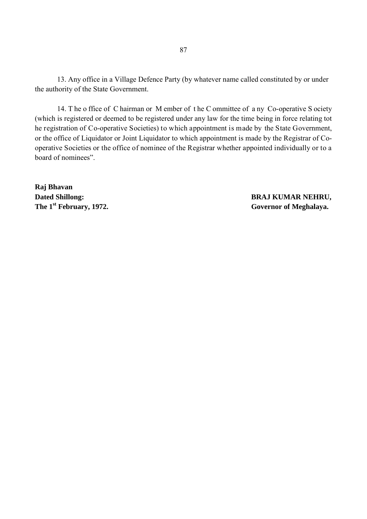13. Any office in a Village Defence Party (by whatever name called constituted by or under the authority of the State Government.

14. T he o ffice of C hairman or M ember of t he C ommittee of a ny Co-operative S ociety (which is registered or deemed to be registered under any law for the time being in force relating tot he registration of Co-operative Societies) to which appointment is made by the State Government, or the office of Liquidator or Joint Liquidator to which appointment is made by the Registrar of Cooperative Societies or the office of nominee of the Registrar whether appointed individually or to a board of nominees".

**Raj Bhavan Dated Shillong: BRAJ KUMAR NEHRU,**

The 1<sup>st</sup> February, 1972. The 1<sup>st</sup> **February, 1972.** Governor of Meghalaya.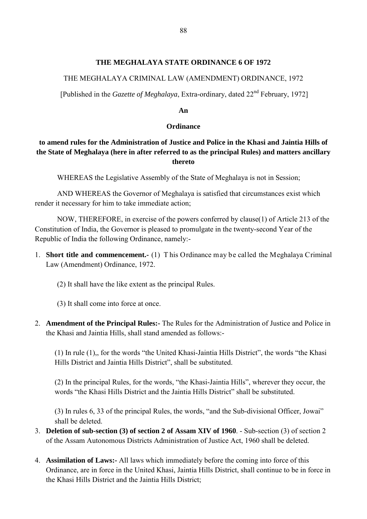### **THE MEGHALAYA STATE ORDINANCE 6 OF 1972**

## THE MEGHALAYA CRIMINAL LAW (AMENDMENT) ORDINANCE, 1972

[Published in the *Gazette of Meghalaya*, Extra-ordinary, dated 22<sup>nd</sup> February, 1972]

### **An**

### **Ordinance**

## **to amend rules for the Administration of Justice and Police in the Khasi and Jaintia Hills of the State of Meghalaya (here in after referred to as the principal Rules) and matters ancillary thereto**

WHEREAS the Legislative Assembly of the State of Meghalaya is not in Session;

AND WHEREAS the Governor of Meghalaya is satisfied that circumstances exist which render it necessary for him to take immediate action;

 NOW, THEREFORE, in exercise of the powers conferred by clause(1) of Article 213 of the Constitution of India, the Governor is pleased to promulgate in the twenty-second Year of the Republic of India the following Ordinance, namely:-

- 1. **Short title and commencement.-** (1) T his Ordinance may be called the Meghalaya Criminal Law (Amendment) Ordinance, 1972.
	- (2) It shall have the like extent as the principal Rules.

(3) It shall come into force at once.

2. **Amendment of the Principal Rules:-** The Rules for the Administration of Justice and Police in the Khasi and Jaintia Hills, shall stand amended as follows:-

(1) In rule (1),, for the words "the United Khasi-Jaintia Hills District", the words "the Khasi Hills District and Jaintia Hills District", shall be substituted.

(2) In the principal Rules, for the words, "the Khasi-Jaintia Hills", wherever they occur, the words "the Khasi Hills District and the Jaintia Hills District" shall be substituted.

(3) In rules 6, 33 of the principal Rules, the words, "and the Sub-divisional Officer, Jowai" shall be deleted.

- 3. **Deletion of sub-section (3) of section 2 of Assam XIV of 1960**. Sub-section (3) of section 2 of the Assam Autonomous Districts Administration of Justice Act, 1960 shall be deleted.
- 4. **Assimilation of Laws:-** All laws which immediately before the coming into force of this Ordinance, are in force in the United Khasi, Jaintia Hills District, shall continue to be in force in the Khasi Hills District and the Jaintia Hills District;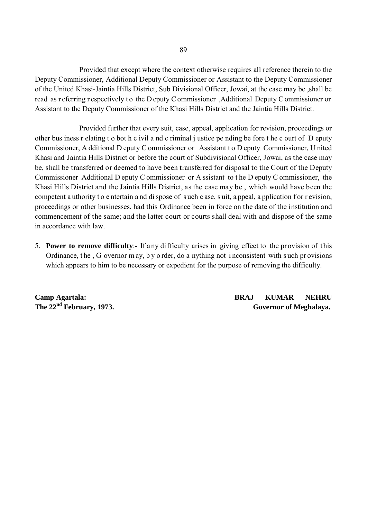Provided that except where the context otherwise requires all reference therein to the Deputy Commissioner, Additional Deputy Commissioner or Assistant to the Deputy Commissioner of the United Khasi-Jaintia Hills District, Sub Divisional Officer, Jowai, at the case may be ,shall be read as r eferring r espectively to the D eputy C ommissioner, Additional Deputy C ommissioner or Assistant to the Deputy Commissioner of the Khasi Hills District and the Jaintia Hills District.

 Provided further that every suit, case, appeal, application for revision, proceedings or other bus iness r elating t o bot h c ivil a nd c riminal j ustice pe nding be fore t he c ourt of D eputy Commissioner, A dditional D eputy C ommissioner or Assistant t o D eputy Commissioner, U nited Khasi and Jaintia Hills District or before the court of Subdivisional Officer, Jowai, as the case may be, shall be transferred or deemed to have been transferred for disposal to the Court of the Deputy Commissioner Additional D eputy C ommissioner or A ssistant to t he D eputy C ommissioner, the Khasi Hills District and the Jaintia Hills District, as the case may be , which would have been the competent a uthority to entertain a nd di spose of such c ase, suit, a ppeal, a pplication f or r evision, proceedings or other businesses, had this Ordinance been in force on the date of the institution and commencement of the same; and the latter court or courts shall deal with and dispose of the same in accordance with law.

5. **Power to remove difficulty**:- If any di fficulty arises in giving effect to the pr ovision of t his Ordinance, t he , G overnor m ay, b y o rder, do a nything not i nconsistent with s uch pr ovisions which appears to him to be necessary or expedient for the purpose of removing the difficulty.

**Camp Agartala: BRAJ KUMAR NEHRU** The 22<sup>nd</sup> February, 1973. **Governor of Meghalaya. Governor of Meghalaya.**